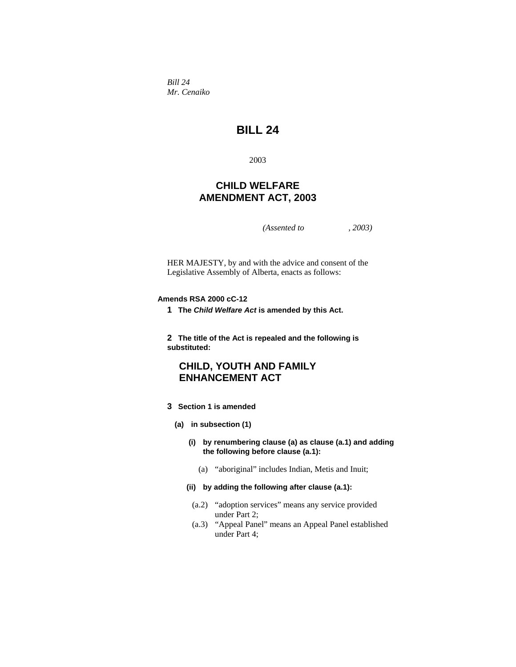*Bill 24 Mr. Cenaiko* 

# **BILL 24**

2003

## **CHILD WELFARE AMENDMENT ACT, 2003**

*(Assented to , 2003)* 

HER MAJESTY, by and with the advice and consent of the Legislative Assembly of Alberta, enacts as follows:

## **Amends RSA 2000 cC-12**

**1 The** *Child Welfare Act* **is amended by this Act.** 

**2 The title of the Act is repealed and the following is substituted:**

## **CHILD, YOUTH AND FAMILY ENHANCEMENT ACT**

- **3 Section 1 is amended** 
	- **(a) in subsection (1)** 
		- **(i) by renumbering clause (a) as clause (a.1) and adding the following before clause (a.1):**
			- (a) "aboriginal" includes Indian, Metis and Inuit;
		- **(ii) by adding the following after clause (a.1):**
		- (a.2) "adoption services" means any service provided under Part 2;
		- (a.3) "Appeal Panel" means an Appeal Panel established under Part 4;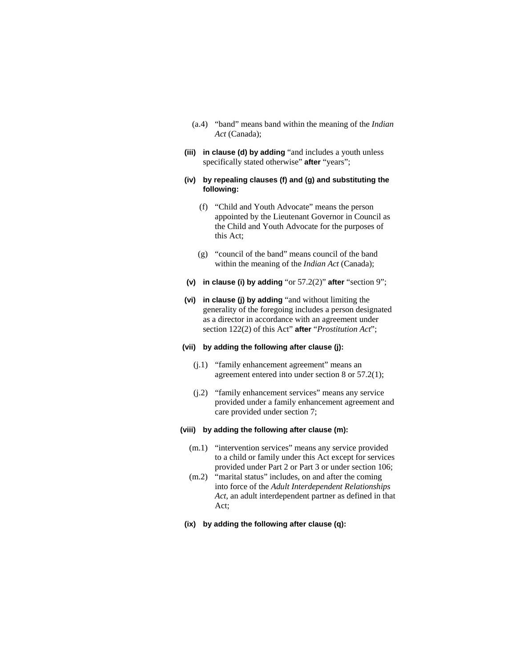- (a.4) "band" means band within the meaning of the *Indian Act* (Canada);
- **(iii) in clause (d) by adding** "and includes a youth unless specifically stated otherwise" **after** "years";
- **(iv) by repealing clauses (f) and (g) and substituting the following:** 
	- (f) "Child and Youth Advocate" means the person appointed by the Lieutenant Governor in Council as the Child and Youth Advocate for the purposes of this Act;
	- (g) "council of the band" means council of the band within the meaning of the *Indian Act* (Canada);
- **(v) in clause (i) by adding** "or 57.2(2)" **after** "section 9";
- **(vi) in clause (j) by adding** "and without limiting the generality of the foregoing includes a person designated as a director in accordance with an agreement under section 122(2) of this Act" **after** "*Prostitution Act*";

## **(vii) by adding the following after clause (j):**

- (j.1) "family enhancement agreement" means an agreement entered into under section 8 or 57.2(1);
- (j.2) "family enhancement services" means any service provided under a family enhancement agreement and care provided under section 7;

## **(viii) by adding the following after clause (m):**

- (m.1) "intervention services" means any service provided to a child or family under this Act except for services provided under Part 2 or Part 3 or under section 106;
- (m.2) "marital status" includes, on and after the coming into force of the *Adult Interdependent Relationships Act*, an adult interdependent partner as defined in that Act;
- **(ix) by adding the following after clause (q):**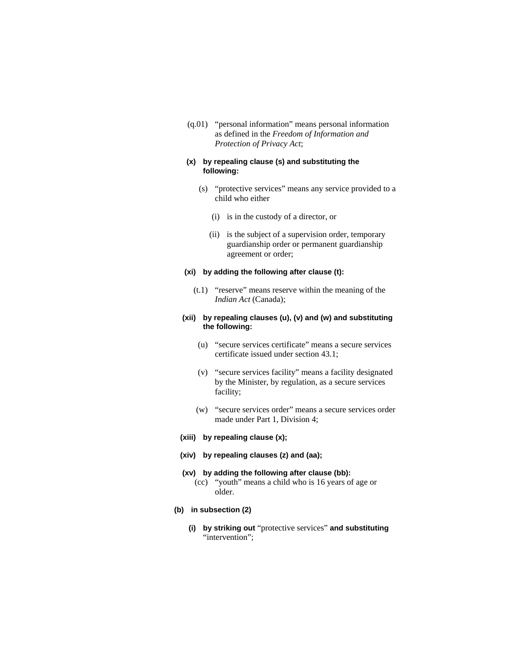(q.01) "personal information" means personal information as defined in the *Freedom of Information and Protection of Privacy Act*;

## **(x) by repealing clause (s) and substituting the following:**

- (s) "protective services" means any service provided to a child who either
	- (i) is in the custody of a director, or
	- (ii) is the subject of a supervision order, temporary guardianship order or permanent guardianship agreement or order;

#### **(xi) by adding the following after clause (t):**

 (t.1) "reserve" means reserve within the meaning of the *Indian Act* (Canada);

### **(xii) by repealing clauses (u), (v) and (w) and substituting the following:**

- (u) "secure services certificate" means a secure services certificate issued under section 43.1;
- (v) "secure services facility" means a facility designated by the Minister, by regulation, as a secure services facility;
- (w) "secure services order" means a secure services order made under Part 1, Division 4;
- **(xiii) by repealing clause (x);**
- **(xiv) by repealing clauses (z) and (aa);**

## **(xv) by adding the following after clause (bb):**

- (cc) "youth" means a child who is 16 years of age or older.
- **(b) in subsection (2)** 
	- **(i) by striking out** "protective services" **and substituting**  "intervention";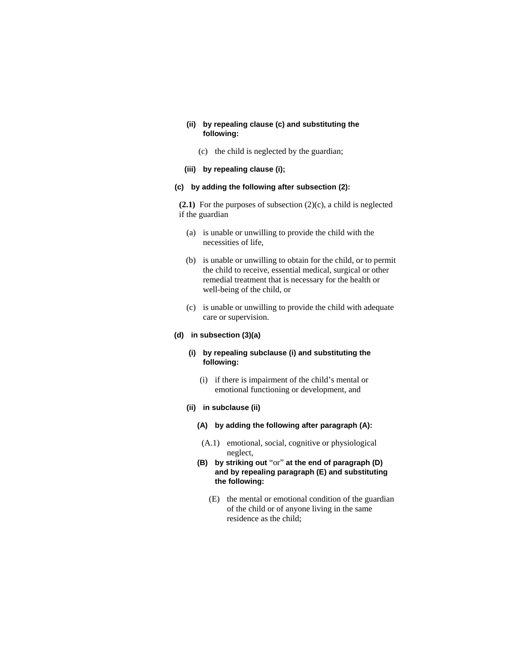## **(ii) by repealing clause (c) and substituting the following:**

- (c) the child is neglected by the guardian;
- **(iii) by repealing clause (i);**

## **(c) by adding the following after subsection (2):**

**(2.1)** For the purposes of subsection (2)(c), a child is neglected if the guardian

- (a) is unable or unwilling to provide the child with the necessities of life,
- (b) is unable or unwilling to obtain for the child, or to permit the child to receive, essential medical, surgical or other remedial treatment that is necessary for the health or well-being of the child, or
- (c) is unable or unwilling to provide the child with adequate care or supervision.

#### **(d) in subsection (3)(a)**

## **(i) by repealing subclause (i) and substituting the following:**

- (i) if there is impairment of the child's mental or emotional functioning or development, and
- **(ii) in subclause (ii)**
	- **(A) by adding the following after paragraph (A):**
	- (A.1) emotional, social, cognitive or physiological neglect,
	- **(B) by striking out** "or" **at the end of paragraph (D) and by repealing paragraph (E) and substituting the following:** 
		- (E) the mental or emotional condition of the guardian of the child or of anyone living in the same residence as the child;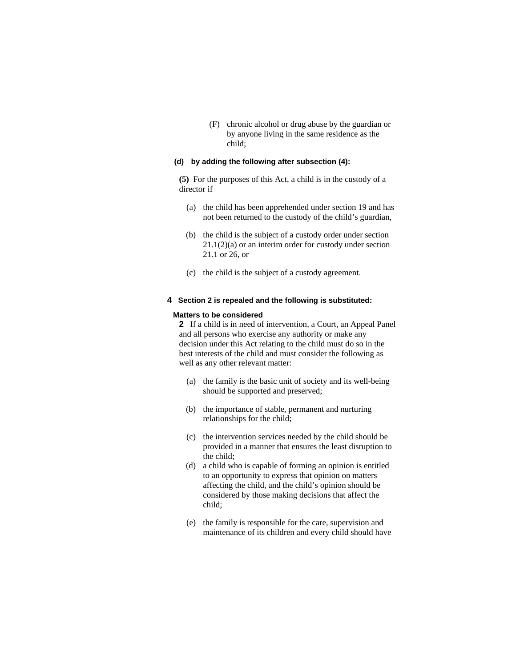(F) chronic alcohol or drug abuse by the guardian or by anyone living in the same residence as the child;

### **(d) by adding the following after subsection (4):**

**(5)** For the purposes of this Act, a child is in the custody of a director if

- (a) the child has been apprehended under section 19 and has not been returned to the custody of the child's guardian,
- (b) the child is the subject of a custody order under section 21.1(2)(a) or an interim order for custody under section 21.1 or 26, or
- (c) the child is the subject of a custody agreement.

### **4 Section 2 is repealed and the following is substituted:**

#### **Matters to be considered**

**2** If a child is in need of intervention, a Court, an Appeal Panel and all persons who exercise any authority or make any decision under this Act relating to the child must do so in the best interests of the child and must consider the following as well as any other relevant matter:

- (a) the family is the basic unit of society and its well-being should be supported and preserved;
- (b) the importance of stable, permanent and nurturing relationships for the child;
- (c) the intervention services needed by the child should be provided in a manner that ensures the least disruption to the child;
- (d) a child who is capable of forming an opinion is entitled to an opportunity to express that opinion on matters affecting the child, and the child's opinion should be considered by those making decisions that affect the child;
- (e) the family is responsible for the care, supervision and maintenance of its children and every child should have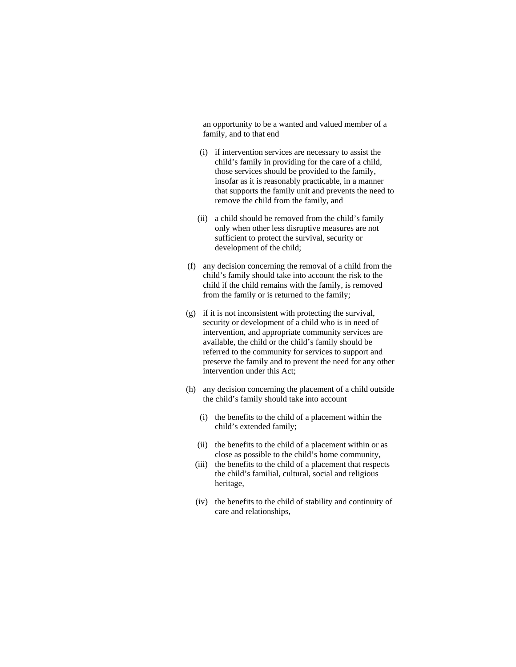an opportunity to be a wanted and valued member of a family, and to that end

- (i) if intervention services are necessary to assist the child's family in providing for the care of a child, those services should be provided to the family, insofar as it is reasonably practicable, in a manner that supports the family unit and prevents the need to remove the child from the family, and
- (ii) a child should be removed from the child's family only when other less disruptive measures are not sufficient to protect the survival, security or development of the child;
- (f) any decision concerning the removal of a child from the child's family should take into account the risk to the child if the child remains with the family, is removed from the family or is returned to the family;
- (g) if it is not inconsistent with protecting the survival, security or development of a child who is in need of intervention, and appropriate community services are available, the child or the child's family should be referred to the community for services to support and preserve the family and to prevent the need for any other intervention under this Act;
- (h) any decision concerning the placement of a child outside the child's family should take into account
	- (i) the benefits to the child of a placement within the child's extended family;
	- (ii) the benefits to the child of a placement within or as close as possible to the child's home community,
	- (iii) the benefits to the child of a placement that respects the child's familial, cultural, social and religious heritage,
	- (iv) the benefits to the child of stability and continuity of care and relationships,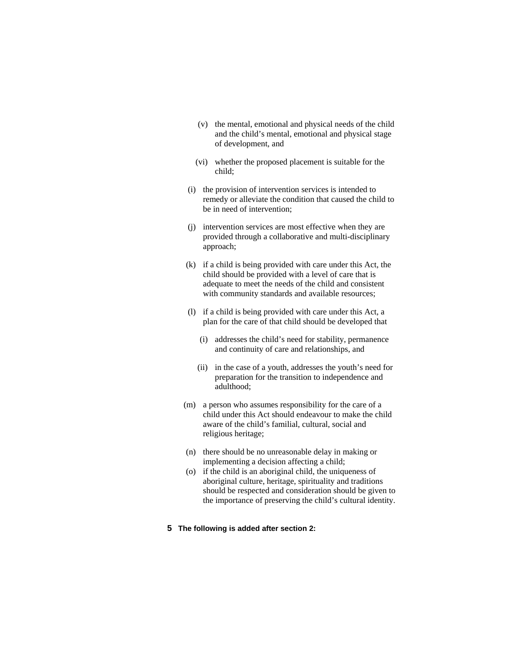- (v) the mental, emotional and physical needs of the child and the child's mental, emotional and physical stage of development, and
- (vi) whether the proposed placement is suitable for the child;
- (i) the provision of intervention services is intended to remedy or alleviate the condition that caused the child to be in need of intervention;
- (j) intervention services are most effective when they are provided through a collaborative and multi-disciplinary approach;
- (k) if a child is being provided with care under this Act, the child should be provided with a level of care that is adequate to meet the needs of the child and consistent with community standards and available resources;
- (l) if a child is being provided with care under this Act, a plan for the care of that child should be developed that
	- (i) addresses the child's need for stability, permanence and continuity of care and relationships, and
	- (ii) in the case of a youth, addresses the youth's need for preparation for the transition to independence and adulthood;
- (m) a person who assumes responsibility for the care of a child under this Act should endeavour to make the child aware of the child's familial, cultural, social and religious heritage;
- (n) there should be no unreasonable delay in making or implementing a decision affecting a child;
- (o) if the child is an aboriginal child, the uniqueness of aboriginal culture, heritage, spirituality and traditions should be respected and consideration should be given to the importance of preserving the child's cultural identity.
- **5 The following is added after section 2:**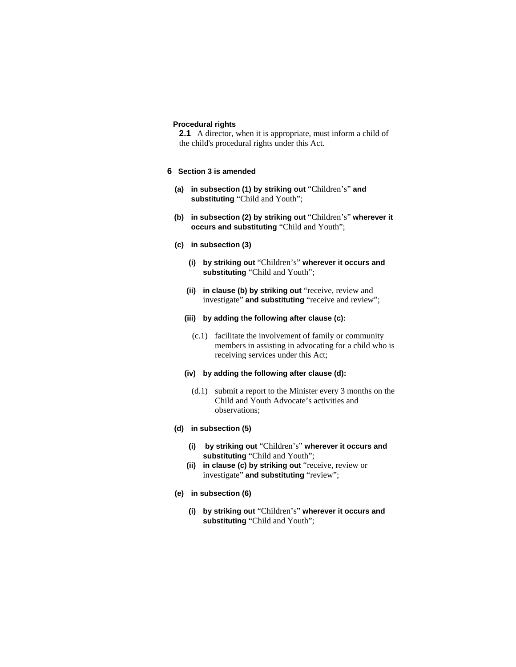#### **Procedural rights**

**2.1** A director, when it is appropriate, must inform a child of the child's procedural rights under this Act.

## **6 Section 3 is amended**

- **(a) in subsection (1) by striking out** "Children's" **and substituting** "Child and Youth";
- **(b) in subsection (2) by striking out** "Children's" **wherever it occurs and substituting** "Child and Youth";
- **(c) in subsection (3)** 
	- **(i) by striking out** "Children's" **wherever it occurs and substituting** "Child and Youth";
	- **(ii) in clause (b) by striking out** "receive, review and investigate" **and substituting** "receive and review";
	- **(iii) by adding the following after clause (c):**
		- (c.1) facilitate the involvement of family or community members in assisting in advocating for a child who is receiving services under this Act;

#### **(iv) by adding the following after clause (d):**

 (d.1) submit a report to the Minister every 3 months on the Child and Youth Advocate's activities and observations;

#### **(d) in subsection (5)**

- **(i) by striking out** "Children's" **wherever it occurs and substituting** "Child and Youth";
- **(ii) in clause (c) by striking out** "receive, review or investigate" **and substituting** "review";
- **(e) in subsection (6)** 
	- **(i) by striking out** "Children's" **wherever it occurs and substituting** "Child and Youth";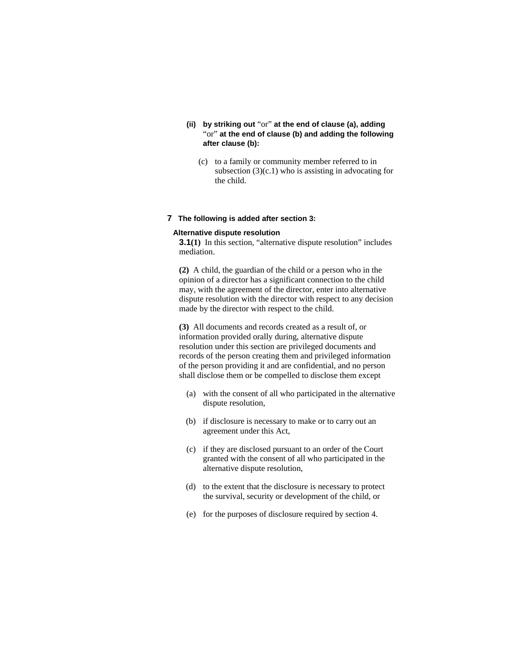- **(ii) by striking out** "or" **at the end of clause (a), adding**  "or" **at the end of clause (b) and adding the following after clause (b):** 
	- (c) to a family or community member referred to in subsection  $(3)(c.1)$  who is assisting in advocating for the child.

### **7 The following is added after section 3:**

#### **Alternative dispute resolution**

**3.1(1)** In this section, "alternative dispute resolution" includes mediation.

**(2)** A child, the guardian of the child or a person who in the opinion of a director has a significant connection to the child may, with the agreement of the director, enter into alternative dispute resolution with the director with respect to any decision made by the director with respect to the child.

**(3)** All documents and records created as a result of, or information provided orally during, alternative dispute resolution under this section are privileged documents and records of the person creating them and privileged information of the person providing it and are confidential, and no person shall disclose them or be compelled to disclose them except

- (a) with the consent of all who participated in the alternative dispute resolution,
- (b) if disclosure is necessary to make or to carry out an agreement under this Act,
- (c) if they are disclosed pursuant to an order of the Court granted with the consent of all who participated in the alternative dispute resolution,
- (d) to the extent that the disclosure is necessary to protect the survival, security or development of the child, or
- (e) for the purposes of disclosure required by section 4.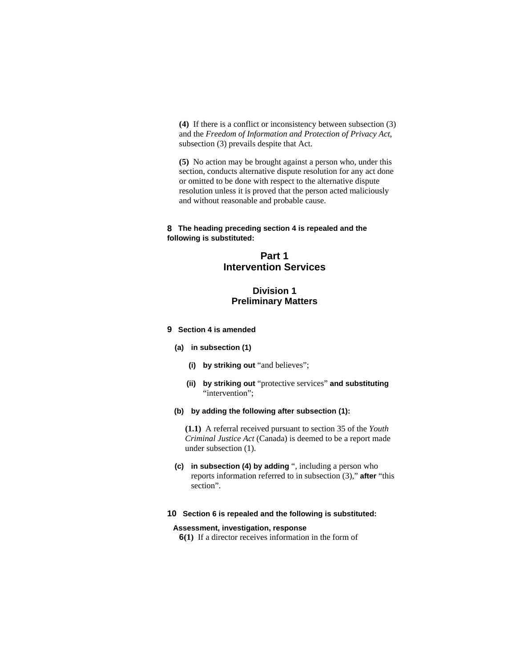**(4)** If there is a conflict or inconsistency between subsection (3) and the *Freedom of Information and Protection of Privacy Act*, subsection (3) prevails despite that Act.

**(5)** No action may be brought against a person who, under this section, conducts alternative dispute resolution for any act done or omitted to be done with respect to the alternative dispute resolution unless it is proved that the person acted maliciously and without reasonable and probable cause.

### **8 The heading preceding section 4 is repealed and the following is substituted:**

## **Part 1 Intervention Services**

## **Division 1 Preliminary Matters**

### **9 Section 4 is amended**

- **(a) in subsection (1)** 
	- **(i) by striking out** "and believes";
	- **(ii) by striking out** "protective services" **and substituting**  "intervention";
- **(b) by adding the following after subsection (1):**

**(1.1)** A referral received pursuant to section 35 of the *Youth Criminal Justice Act* (Canada) is deemed to be a report made under subsection (1).

**(c) in subsection (4) by adding** ", including a person who reports information referred to in subsection (3)," **after** "this section".

### **10 Section 6 is repealed and the following is substituted:**

## **Assessment, investigation, response**

**6(1)** If a director receives information in the form of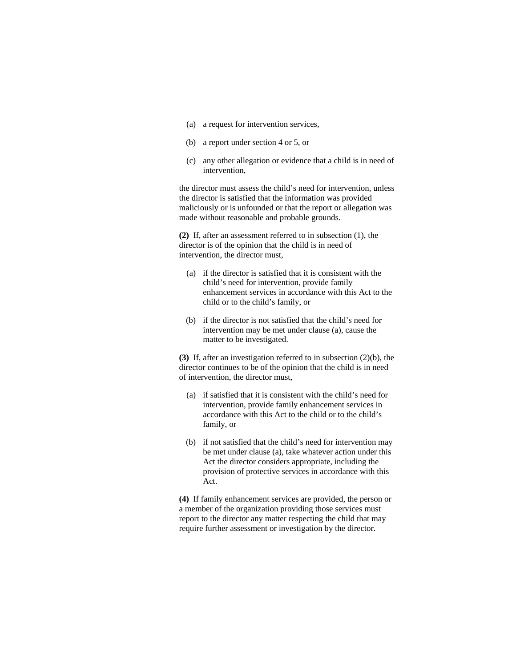- (a) a request for intervention services,
- (b) a report under section 4 or 5, or
- (c) any other allegation or evidence that a child is in need of intervention,

the director must assess the child's need for intervention, unless the director is satisfied that the information was provided maliciously or is unfounded or that the report or allegation was made without reasonable and probable grounds.

**(2)** If, after an assessment referred to in subsection (1), the director is of the opinion that the child is in need of intervention, the director must,

- (a) if the director is satisfied that it is consistent with the child's need for intervention, provide family enhancement services in accordance with this Act to the child or to the child's family, or
- (b) if the director is not satisfied that the child's need for intervention may be met under clause (a), cause the matter to be investigated.

**(3)** If, after an investigation referred to in subsection (2)(b), the director continues to be of the opinion that the child is in need of intervention, the director must,

- (a) if satisfied that it is consistent with the child's need for intervention, provide family enhancement services in accordance with this Act to the child or to the child's family, or
- (b) if not satisfied that the child's need for intervention may be met under clause (a), take whatever action under this Act the director considers appropriate, including the provision of protective services in accordance with this Act.

**(4)** If family enhancement services are provided, the person or a member of the organization providing those services must report to the director any matter respecting the child that may require further assessment or investigation by the director.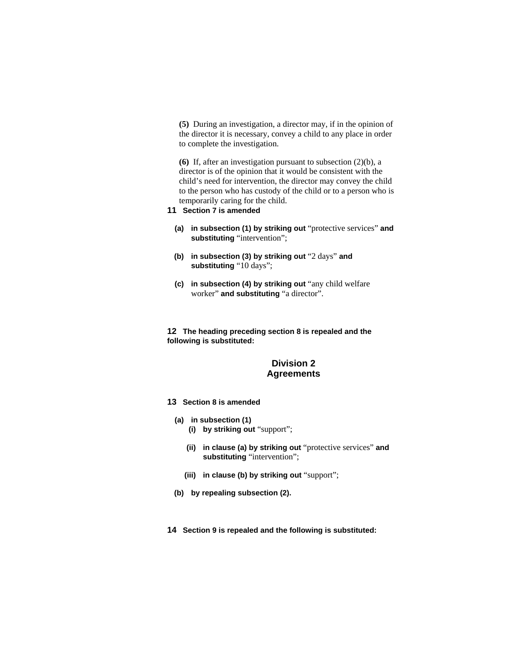**(5)** During an investigation, a director may, if in the opinion of the director it is necessary, convey a child to any place in order to complete the investigation.

**(6)** If, after an investigation pursuant to subsection (2)(b), a director is of the opinion that it would be consistent with the child's need for intervention, the director may convey the child to the person who has custody of the child or to a person who is temporarily caring for the child.

- **11 Section 7 is amended**
	- **(a) in subsection (1) by striking out** "protective services" **and substituting** "intervention";
	- **(b) in subsection (3) by striking out** "2 days" **and substituting** "10 days";
	- **(c) in subsection (4) by striking out** "any child welfare worker" **and substituting** "a director".

**12 The heading preceding section 8 is repealed and the following is substituted:**

## **Division 2 Agreements**

- **13 Section 8 is amended**
	- **(a) in subsection (1)**
		- **(i) by striking out** "support";
		- **(ii) in clause (a) by striking out** "protective services" **and substituting** "intervention";
		- **(iii) in clause (b) by striking out** "support";
	- **(b) by repealing subsection (2).**
- **14 Section 9 is repealed and the following is substituted:**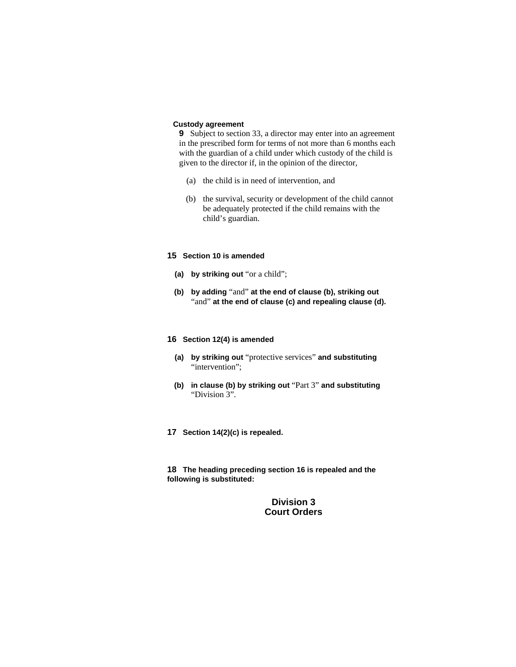## **Custody agreement**

**9** Subject to section 33, a director may enter into an agreement in the prescribed form for terms of not more than 6 months each with the guardian of a child under which custody of the child is given to the director if, in the opinion of the director,

- (a) the child is in need of intervention, and
- (b) the survival, security or development of the child cannot be adequately protected if the child remains with the child's guardian.

#### **15 Section 10 is amended**

- **(a) by striking out** "or a child";
- **(b) by adding** "and" **at the end of clause (b), striking out**  "and" at the end of clause (c) and repealing clause (d).

#### **16 Section 12(4) is amended**

- **(a) by striking out** "protective services" **and substituting**  "intervention";
- **(b) in clause (b) by striking out** "Part 3" **and substituting**  "Division 3".
- **17 Section 14(2)(c) is repealed.**

**18 The heading preceding section 16 is repealed and the following is substituted:**

> **Division 3 Court Orders**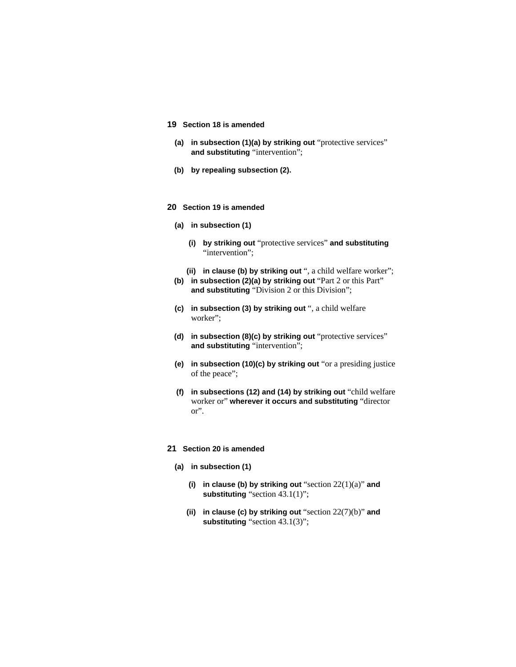### **19 Section 18 is amended**

- **(a) in subsection (1)(a) by striking out** "protective services" **and substituting** "intervention";
- **(b) by repealing subsection (2).**

#### **20 Section 19 is amended**

- **(a) in subsection (1)** 
	- **(i) by striking out** "protective services" **and substituting**  "intervention";
	- **(ii) in clause (b) by striking out** ", a child welfare worker";
- **(b) in subsection (2)(a) by striking out** "Part 2 or this Part" **and substituting** "Division 2 or this Division";
- **(c) in subsection (3) by striking out** ", a child welfare worker";
- **(d) in subsection (8)(c) by striking out** "protective services" **and substituting** "intervention";
- **(e) in subsection (10)(c) by striking out** "or a presiding justice of the peace";
- **(f) in subsections (12) and (14) by striking out** "child welfare worker or" **wherever it occurs and substituting** "director or".

## **21 Section 20 is amended**

- **(a) in subsection (1)** 
	- **(i) in clause (b) by striking out** "section 22(1)(a)" **and substituting** "section 43.1(1)";
	- **(ii) in clause (c) by striking out** "section 22(7)(b)" **and substituting** "section 43.1(3)";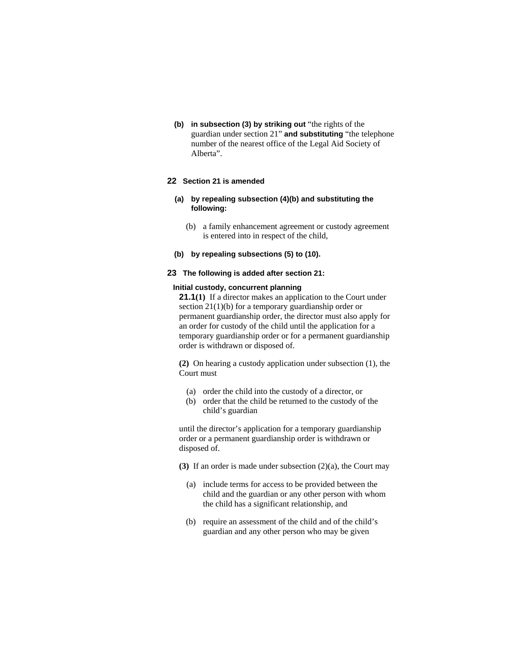**(b) in subsection (3) by striking out** "the rights of the guardian under section 21" **and substituting** "the telephone number of the nearest office of the Legal Aid Society of Alberta".

## **22 Section 21 is amended**

- **(a) by repealing subsection (4)(b) and substituting the following:**
	- (b) a family enhancement agreement or custody agreement is entered into in respect of the child,
- **(b) by repealing subsections (5) to (10).**

## **23 The following is added after section 21:**

### **Initial custody, concurrent planning**

**21.1(1)** If a director makes an application to the Court under section 21(1)(b) for a temporary guardianship order or permanent guardianship order, the director must also apply for an order for custody of the child until the application for a temporary guardianship order or for a permanent guardianship order is withdrawn or disposed of.

**(2)** On hearing a custody application under subsection (1), the Court must

- (a) order the child into the custody of a director, or
- (b) order that the child be returned to the custody of the child's guardian

until the director's application for a temporary guardianship order or a permanent guardianship order is withdrawn or disposed of.

- **(3)** If an order is made under subsection (2)(a), the Court may
	- (a) include terms for access to be provided between the child and the guardian or any other person with whom the child has a significant relationship, and
	- (b) require an assessment of the child and of the child's guardian and any other person who may be given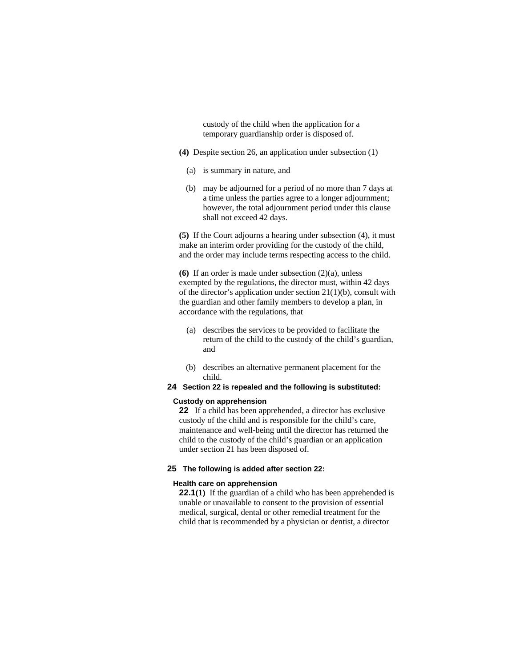custody of the child when the application for a temporary guardianship order is disposed of.

- **(4)** Despite section 26, an application under subsection (1)
	- (a) is summary in nature, and
	- (b) may be adjourned for a period of no more than 7 days at a time unless the parties agree to a longer adjournment; however, the total adjournment period under this clause shall not exceed 42 days.

**(5)** If the Court adjourns a hearing under subsection (4), it must make an interim order providing for the custody of the child, and the order may include terms respecting access to the child.

**(6)** If an order is made under subsection (2)(a), unless exempted by the regulations, the director must, within 42 days of the director's application under section 21(1)(b), consult with the guardian and other family members to develop a plan, in accordance with the regulations, that

- (a) describes the services to be provided to facilitate the return of the child to the custody of the child's guardian, and
- (b) describes an alternative permanent placement for the child.
- **24 Section 22 is repealed and the following is substituted:**

#### **Custody on apprehension**

**22** If a child has been apprehended, a director has exclusive custody of the child and is responsible for the child's care, maintenance and well-being until the director has returned the child to the custody of the child's guardian or an application under section 21 has been disposed of.

#### **25 The following is added after section 22:**

#### **Health care on apprehension**

**22.1**(1) If the guardian of a child who has been apprehended is unable or unavailable to consent to the provision of essential medical, surgical, dental or other remedial treatment for the child that is recommended by a physician or dentist, a director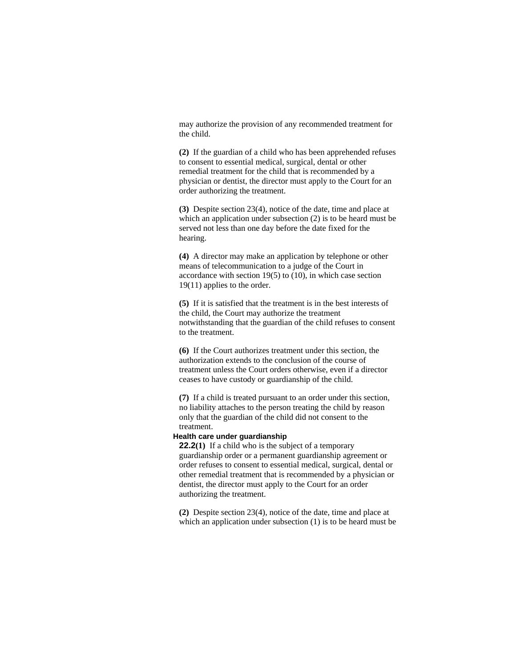may authorize the provision of any recommended treatment for the child.

**(2)** If the guardian of a child who has been apprehended refuses to consent to essential medical, surgical, dental or other remedial treatment for the child that is recommended by a physician or dentist, the director must apply to the Court for an order authorizing the treatment.

**(3)** Despite section 23(4), notice of the date, time and place at which an application under subsection (2) is to be heard must be served not less than one day before the date fixed for the hearing.

**(4)** A director may make an application by telephone or other means of telecommunication to a judge of the Court in accordance with section 19(5) to (10), in which case section 19(11) applies to the order.

**(5)** If it is satisfied that the treatment is in the best interests of the child, the Court may authorize the treatment notwithstanding that the guardian of the child refuses to consent to the treatment.

**(6)** If the Court authorizes treatment under this section, the authorization extends to the conclusion of the course of treatment unless the Court orders otherwise, even if a director ceases to have custody or guardianship of the child.

**(7)** If a child is treated pursuant to an order under this section, no liability attaches to the person treating the child by reason only that the guardian of the child did not consent to the treatment.

## **Health care under guardianship**

**22.2(1)** If a child who is the subject of a temporary guardianship order or a permanent guardianship agreement or order refuses to consent to essential medical, surgical, dental or other remedial treatment that is recommended by a physician or dentist, the director must apply to the Court for an order authorizing the treatment.

**(2)** Despite section 23(4), notice of the date, time and place at which an application under subsection (1) is to be heard must be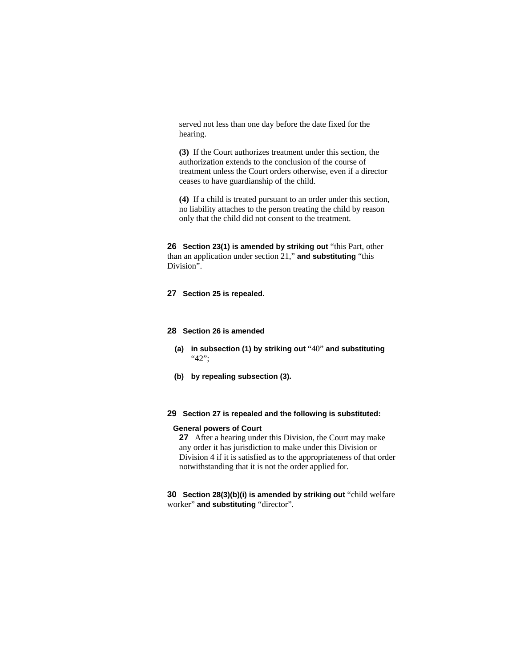served not less than one day before the date fixed for the hearing.

**(3)** If the Court authorizes treatment under this section, the authorization extends to the conclusion of the course of treatment unless the Court orders otherwise, even if a director ceases to have guardianship of the child.

**(4)** If a child is treated pursuant to an order under this section, no liability attaches to the person treating the child by reason only that the child did not consent to the treatment.

**26 Section 23(1) is amended by striking out** "this Part, other than an application under section 21," **and substituting** "this Division".

## **27 Section 25 is repealed.**

#### **28 Section 26 is amended**

- **(a) in subsection (1) by striking out** "40" **and substituting**  "42";
- **(b) by repealing subsection (3).**

#### **29 Section 27 is repealed and the following is substituted:**

#### **General powers of Court**

**27** After a hearing under this Division, the Court may make any order it has jurisdiction to make under this Division or Division 4 if it is satisfied as to the appropriateness of that order notwithstanding that it is not the order applied for.

**30 Section 28(3)(b)(i) is amended by striking out** "child welfare worker" **and substituting** "director".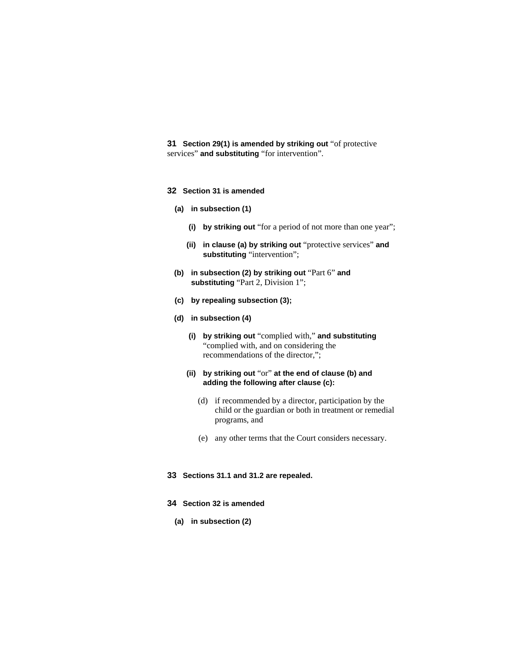**31 Section 29(1) is amended by striking out** "of protective services" **and substituting** "for intervention".

- **32 Section 31 is amended**
	- **(a) in subsection (1)**
		- **(i) by striking out** "for a period of not more than one year";
		- **(ii) in clause (a) by striking out** "protective services" **and substituting** "intervention";
	- **(b) in subsection (2) by striking out** "Part 6" **and substituting** "Part 2, Division 1";
	- **(c) by repealing subsection (3);**
	- **(d) in subsection (4)** 
		- **(i) by striking out** "complied with," **and substituting**  "complied with, and on considering the recommendations of the director,";
		- **(ii) by striking out** "or" **at the end of clause (b) and adding the following after clause (c):** 
			- (d) if recommended by a director, participation by the child or the guardian or both in treatment or remedial programs, and
			- (e) any other terms that the Court considers necessary.
- **33 Sections 31.1 and 31.2 are repealed.**
- **34 Section 32 is amended**
	- **(a) in subsection (2)**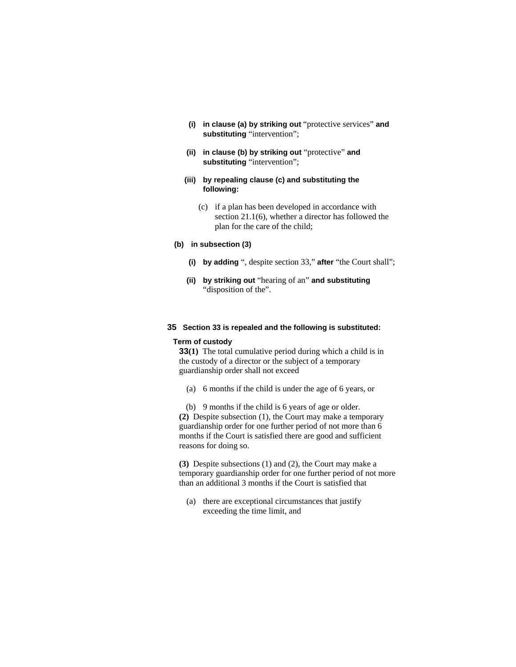- **(i) in clause (a) by striking out** "protective services" **and substituting** "intervention";
- **(ii) in clause (b) by striking out** "protective" **and substituting** "intervention";
- **(iii) by repealing clause (c) and substituting the following:**
	- (c) if a plan has been developed in accordance with section 21.1(6), whether a director has followed the plan for the care of the child;

## **(b) in subsection (3)**

- **(i) by adding** ", despite section 33," **after** "the Court shall";
- **(ii) by striking out** "hearing of an" **and substituting**  "disposition of the".

#### **35 Section 33 is repealed and the following is substituted:**

#### **Term of custody**

**33(1)** The total cumulative period during which a child is in the custody of a director or the subject of a temporary guardianship order shall not exceed

(a) 6 months if the child is under the age of 6 years, or

 (b) 9 months if the child is 6 years of age or older. **(2)** Despite subsection (1), the Court may make a temporary guardianship order for one further period of not more than 6 months if the Court is satisfied there are good and sufficient reasons for doing so.

**(3)** Despite subsections (1) and (2), the Court may make a temporary guardianship order for one further period of not more than an additional 3 months if the Court is satisfied that

 (a) there are exceptional circumstances that justify exceeding the time limit, and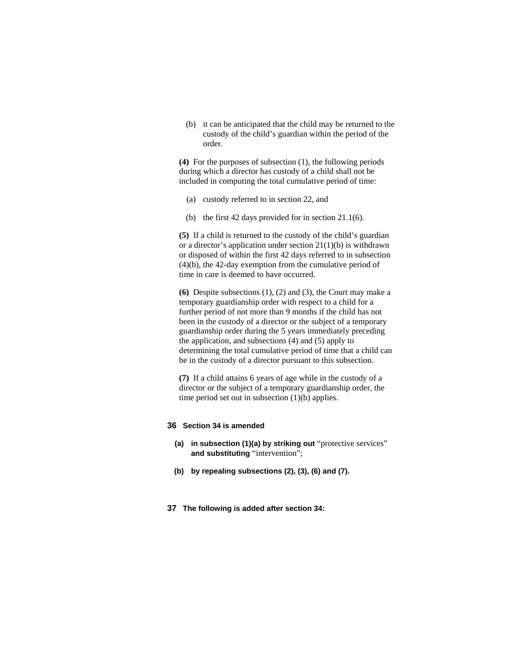(b) it can be anticipated that the child may be returned to the custody of the child's guardian within the period of the order.

**(4)** For the purposes of subsection (1), the following periods during which a director has custody of a child shall not be included in computing the total cumulative period of time:

- (a) custody referred to in section 22, and
- (b) the first 42 days provided for in section 21.1(6).

**(5)** If a child is returned to the custody of the child's guardian or a director's application under section 21(1)(b) is withdrawn or disposed of within the first 42 days referred to in subsection (4)(b), the 42-day exemption from the cumulative period of time in care is deemed to have occurred.

**(6)** Despite subsections (1), (2) and (3), the Court may make a temporary guardianship order with respect to a child for a further period of not more than 9 months if the child has not been in the custody of a director or the subject of a temporary guardianship order during the 5 years immediately preceding the application, and subsections (4) and (5) apply to determining the total cumulative period of time that a child can be in the custody of a director pursuant to this subsection.

**(7)** If a child attains 6 years of age while in the custody of a director or the subject of a temporary guardianship order, the time period set out in subsection (1)(b) applies.

#### **36 Section 34 is amended**

- **(a) in subsection (1)(a) by striking out** "protective services" **and substituting** "intervention";
- **(b) by repealing subsections (2), (3), (6) and (7).**
- **37 The following is added after section 34:**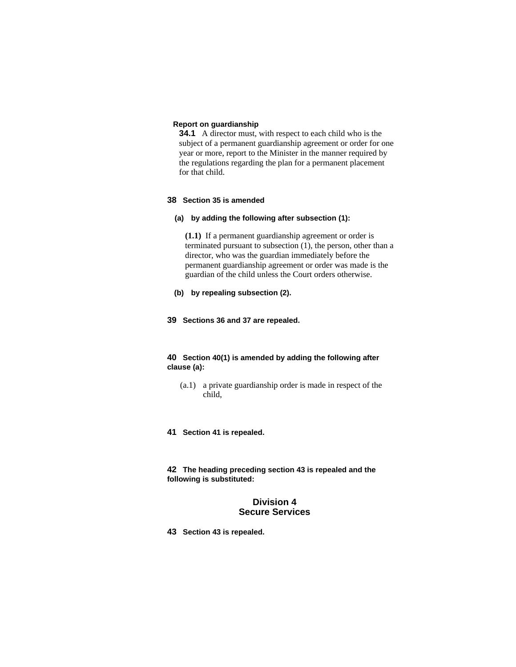## **Report on guardianship**

**34.1** A director must, with respect to each child who is the subject of a permanent guardianship agreement or order for one year or more, report to the Minister in the manner required by the regulations regarding the plan for a permanent placement for that child.

## **38 Section 35 is amended**

## **(a) by adding the following after subsection (1):**

**(1.1)** If a permanent guardianship agreement or order is terminated pursuant to subsection (1), the person, other than a director, who was the guardian immediately before the permanent guardianship agreement or order was made is the guardian of the child unless the Court orders otherwise.

## **(b) by repealing subsection (2).**

**39 Sections 36 and 37 are repealed.** 

## **40 Section 40(1) is amended by adding the following after clause (a):**

- (a.1) a private guardianship order is made in respect of the child,
- **41 Section 41 is repealed.**

**42 The heading preceding section 43 is repealed and the following is substituted:**

## **Division 4 Secure Services**

**43 Section 43 is repealed.**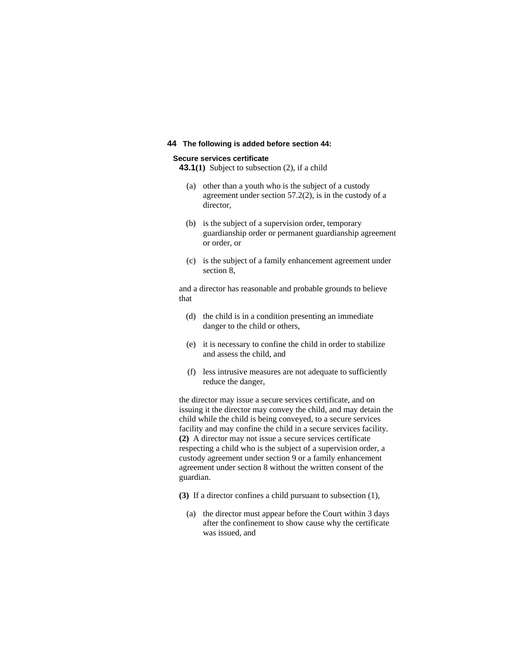## **44 The following is added before section 44:**

#### **Secure services certificate**

**43.1(1)** Subject to subsection (2), if a child

- (a) other than a youth who is the subject of a custody agreement under section 57.2(2), is in the custody of a director,
- (b) is the subject of a supervision order, temporary guardianship order or permanent guardianship agreement or order, or
- (c) is the subject of a family enhancement agreement under section 8,

and a director has reasonable and probable grounds to believe that

- (d) the child is in a condition presenting an immediate danger to the child or others,
- (e) it is necessary to confine the child in order to stabilize and assess the child, and
- (f) less intrusive measures are not adequate to sufficiently reduce the danger,

the director may issue a secure services certificate, and on issuing it the director may convey the child, and may detain the child while the child is being conveyed, to a secure services facility and may confine the child in a secure services facility. **(2)** A director may not issue a secure services certificate respecting a child who is the subject of a supervision order, a custody agreement under section 9 or a family enhancement agreement under section 8 without the written consent of the guardian.

- **(3)** If a director confines a child pursuant to subsection (1),
	- (a) the director must appear before the Court within 3 days after the confinement to show cause why the certificate was issued, and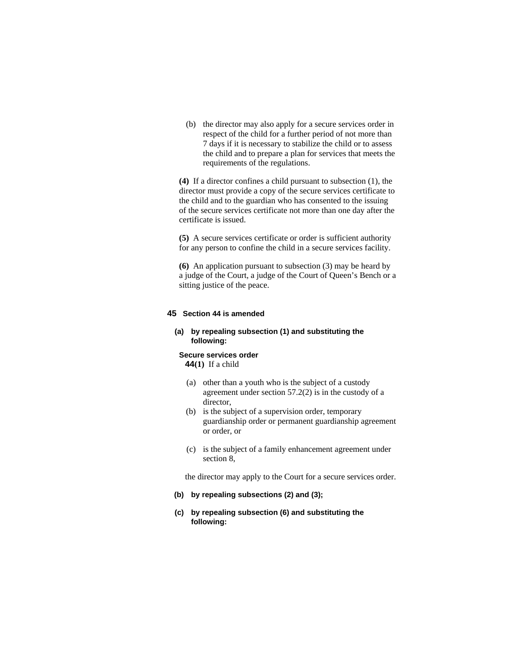(b) the director may also apply for a secure services order in respect of the child for a further period of not more than 7 days if it is necessary to stabilize the child or to assess the child and to prepare a plan for services that meets the requirements of the regulations.

**(4)** If a director confines a child pursuant to subsection (1), the director must provide a copy of the secure services certificate to the child and to the guardian who has consented to the issuing of the secure services certificate not more than one day after the certificate is issued.

**(5)** A secure services certificate or order is sufficient authority for any person to confine the child in a secure services facility.

**(6)** An application pursuant to subsection (3) may be heard by a judge of the Court, a judge of the Court of Queen's Bench or a sitting justice of the peace.

#### **45 Section 44 is amended**

## **(a) by repealing subsection (1) and substituting the following:**

#### **Secure services order**

**44(1)** If a child

- (a) other than a youth who is the subject of a custody agreement under section 57.2(2) is in the custody of a director,
- (b) is the subject of a supervision order, temporary guardianship order or permanent guardianship agreement or order, or
- (c) is the subject of a family enhancement agreement under section 8,

the director may apply to the Court for a secure services order.

#### **(b) by repealing subsections (2) and (3);**

**(c) by repealing subsection (6) and substituting the following:**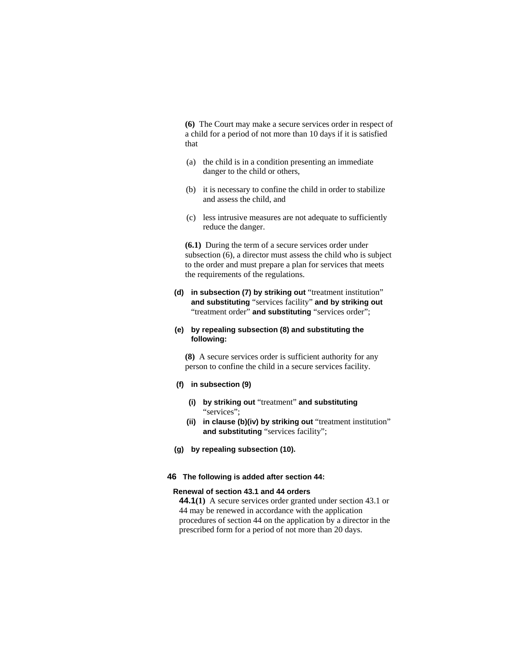**(6)** The Court may make a secure services order in respect of a child for a period of not more than 10 days if it is satisfied that

- (a) the child is in a condition presenting an immediate danger to the child or others,
- (b) it is necessary to confine the child in order to stabilize and assess the child, and
- (c) less intrusive measures are not adequate to sufficiently reduce the danger.

**(6.1)** During the term of a secure services order under subsection (6), a director must assess the child who is subject to the order and must prepare a plan for services that meets the requirements of the regulations.

**(d) in subsection (7) by striking out** "treatment institution" **and substituting** "services facility" **and by striking out**  "treatment order" and substituting "services order";

## **(e) by repealing subsection (8) and substituting the following:**

**(8)** A secure services order is sufficient authority for any person to confine the child in a secure services facility.

#### **(f) in subsection (9)**

- **(i) by striking out** "treatment" **and substituting**  "services";
- **(ii) in clause (b)(iv) by striking out** "treatment institution" **and substituting** "services facility";
- **(g) by repealing subsection (10).**

## **46 The following is added after section 44:**

#### **Renewal of section 43.1 and 44 orders**

**44.1(1)** A secure services order granted under section 43.1 or 44 may be renewed in accordance with the application procedures of section 44 on the application by a director in the prescribed form for a period of not more than 20 days.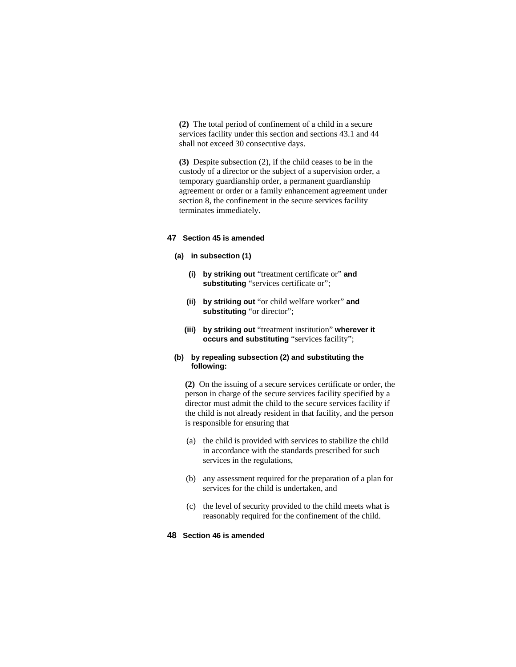**(2)** The total period of confinement of a child in a secure services facility under this section and sections 43.1 and 44 shall not exceed 30 consecutive days.

**(3)** Despite subsection (2), if the child ceases to be in the custody of a director or the subject of a supervision order, a temporary guardianship order, a permanent guardianship agreement or order or a family enhancement agreement under section 8, the confinement in the secure services facility terminates immediately.

#### **47 Section 45 is amended**

- **(a) in subsection (1)** 
	- **(i) by striking out** "treatment certificate or" **and substituting** "services certificate or";
	- **(ii) by striking out** "or child welfare worker" **and substituting** "or director";
	- **(iii) by striking out** "treatment institution" **wherever it occurs and substituting** "services facility";

### **(b) by repealing subsection (2) and substituting the following:**

**(2)** On the issuing of a secure services certificate or order, the person in charge of the secure services facility specified by a director must admit the child to the secure services facility if the child is not already resident in that facility, and the person is responsible for ensuring that

- (a) the child is provided with services to stabilize the child in accordance with the standards prescribed for such services in the regulations,
- (b) any assessment required for the preparation of a plan for services for the child is undertaken, and
- (c) the level of security provided to the child meets what is reasonably required for the confinement of the child.

#### **48 Section 46 is amended**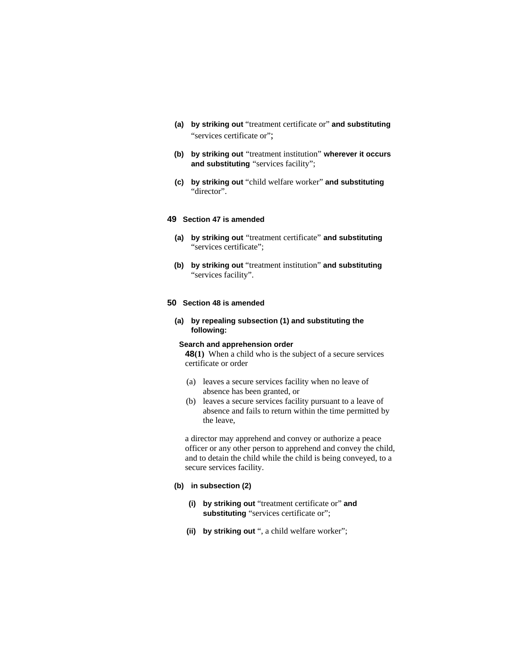- **(a) by striking out** "treatment certificate or" **and substituting** "services certificate or";
- **(b) by striking out** "treatment institution" **wherever it occurs and substituting** "services facility";
- **(c) by striking out** "child welfare worker" **and substituting**  "director".

## **49 Section 47 is amended**

- **(a) by striking out** "treatment certificate" **and substituting** "services certificate";
- **(b) by striking out** "treatment institution" **and substituting** "services facility".

#### **50 Section 48 is amended**

**(a) by repealing subsection (1) and substituting the following:**

#### **Search and apprehension order**

**48(1)** When a child who is the subject of a secure services certificate or order

- (a) leaves a secure services facility when no leave of absence has been granted, or
- (b) leaves a secure services facility pursuant to a leave of absence and fails to return within the time permitted by the leave,

a director may apprehend and convey or authorize a peace officer or any other person to apprehend and convey the child, and to detain the child while the child is being conveyed, to a secure services facility.

## **(b) in subsection (2)**

- **(i) by striking out** "treatment certificate or" **and**  substituting "services certificate or";
- **(ii) by striking out** ", a child welfare worker";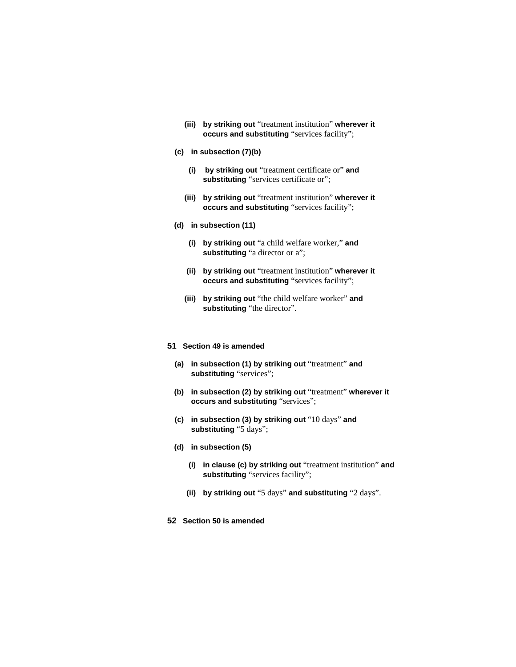- **(iii) by striking out** "treatment institution" **wherever it occurs and substituting** "services facility";
- **(c) in subsection (7)(b)**
	- **(i) by striking out** "treatment certificate or" **and**  substituting "services certificate or";
	- **(iii) by striking out** "treatment institution" **wherever it occurs and substituting** "services facility";
- **(d) in subsection (11)** 
	- **(i) by striking out** "a child welfare worker," **and substituting** "a director or a";
	- **(ii) by striking out** "treatment institution" **wherever it occurs and substituting** "services facility";
	- **(iii) by striking out** "the child welfare worker" **and substituting** "the director".
- **51 Section 49 is amended**
	- **(a) in subsection (1) by striking out** "treatment" **and substituting** "services";
	- **(b) in subsection (2) by striking out** "treatment" **wherever it occurs and substituting** "services";
	- **(c) in subsection (3) by striking out** "10 days" **and substituting** "5 days";
	- **(d) in subsection (5)** 
		- **(i) in clause (c) by striking out** "treatment institution" **and substituting** "services facility";
		- **(ii) by striking out** "5 days" **and substituting** "2 days".
- **52 Section 50 is amended**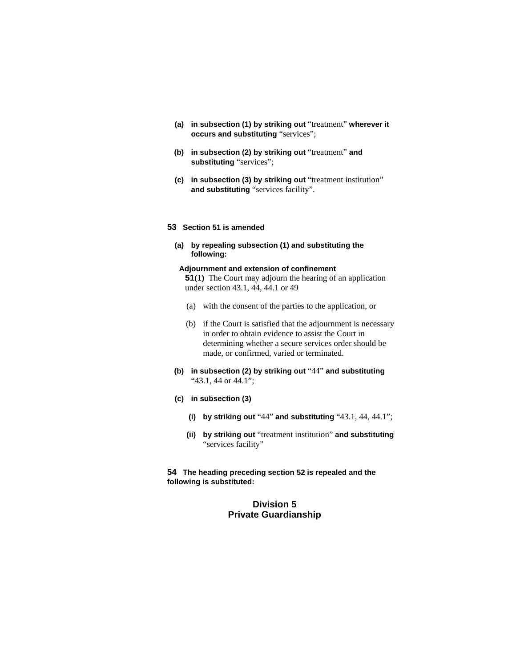- **(a) in subsection (1) by striking out** "treatment" **wherever it occurs and substituting** "services";
- **(b) in subsection (2) by striking out** "treatment" **and substituting** "services";
- **(c) in subsection (3) by striking out** "treatment institution" **and substituting** "services facility".

#### **53 Section 51 is amended**

## **(a) by repealing subsection (1) and substituting the following:**

## **Adjournment and extension of confinement**

**51(1)** The Court may adjourn the hearing of an application under section 43.1, 44, 44.1 or 49

- (a) with the consent of the parties to the application, or
- (b) if the Court is satisfied that the adjournment is necessary in order to obtain evidence to assist the Court in determining whether a secure services order should be made, or confirmed, varied or terminated.
- **(b) in subsection (2) by striking out** "44" **and substituting**  "43.1, 44 or 44.1";
- **(c) in subsection (3)** 
	- **(i) by striking out** "44" **and substituting** "43.1, 44, 44.1";
	- **(ii) by striking out** "treatment institution" **and substituting** "services facility"

**54 The heading preceding section 52 is repealed and the following is substituted:**

## **Division 5 Private Guardianship**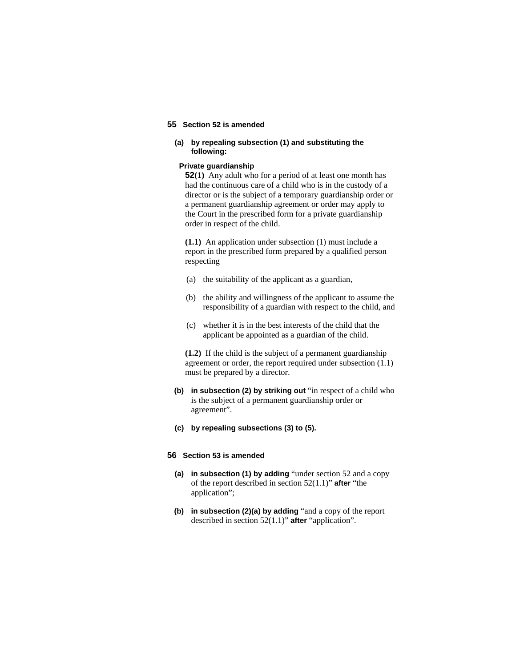#### **55 Section 52 is amended**

### **(a) by repealing subsection (1) and substituting the following:**

### **Private guardianship**

**52(1)** Any adult who for a period of at least one month has had the continuous care of a child who is in the custody of a director or is the subject of a temporary guardianship order or a permanent guardianship agreement or order may apply to the Court in the prescribed form for a private guardianship order in respect of the child.

**(1.1)** An application under subsection (1) must include a report in the prescribed form prepared by a qualified person respecting

- (a) the suitability of the applicant as a guardian,
- (b) the ability and willingness of the applicant to assume the responsibility of a guardian with respect to the child, and
- (c) whether it is in the best interests of the child that the applicant be appointed as a guardian of the child.

**(1.2)** If the child is the subject of a permanent guardianship agreement or order, the report required under subsection (1.1) must be prepared by a director.

- **(b) in subsection (2) by striking out** "in respect of a child who is the subject of a permanent guardianship order or agreement".
- **(c) by repealing subsections (3) to (5).**

#### **56 Section 53 is amended**

- **(a) in subsection (1) by adding** "under section 52 and a copy of the report described in section 52(1.1)" **after** "the application";
- **(b) in subsection (2)(a) by adding** "and a copy of the report described in section 52(1.1)" **after** "application".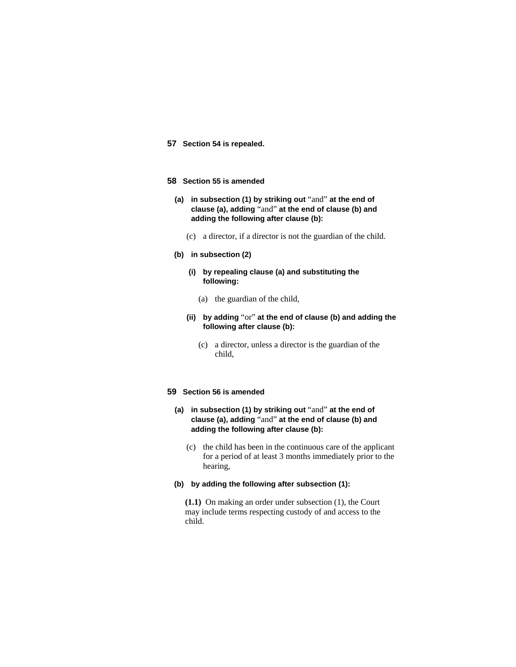**57 Section 54 is repealed.**

### **58 Section 55 is amended**

- **(a) in subsection (1) by striking out** "and" **at the end of clause (a), adding** "and" **at the end of clause (b) and adding the following after clause (b):** 
	- (c) a director, if a director is not the guardian of the child.
- **(b) in subsection (2)**
	- **(i) by repealing clause (a) and substituting the following:**
		- (a) the guardian of the child,
	- **(ii) by adding** "or" **at the end of clause (b) and adding the following after clause (b):**
		- (c) a director, unless a director is the guardian of the child,

#### **59 Section 56 is amended**

- **(a) in subsection (1) by striking out** "and" **at the end of clause (a), adding** "and" **at the end of clause (b) and adding the following after clause (b):**
	- (c) the child has been in the continuous care of the applicant for a period of at least 3 months immediately prior to the hearing,
- **(b) by adding the following after subsection (1):**

**(1.1)** On making an order under subsection (1), the Court may include terms respecting custody of and access to the child.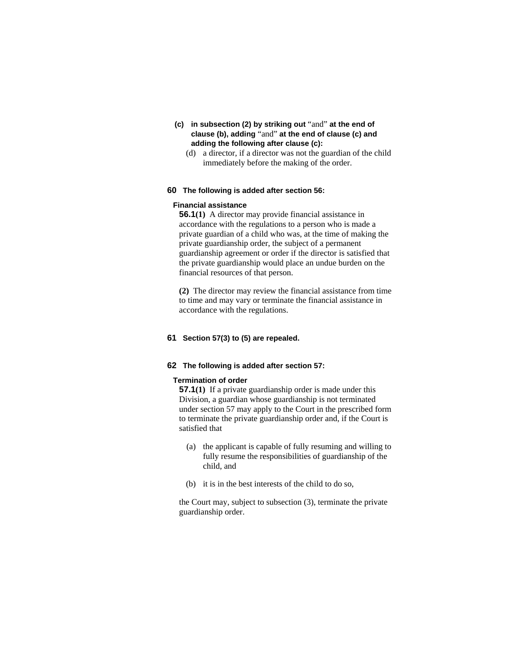- **(c) in subsection (2) by striking out** "and" **at the end of clause (b), adding** "and" **at the end of clause (c) and adding the following after clause (c):** 
	- (d) a director, if a director was not the guardian of the child immediately before the making of the order.

## **60 The following is added after section 56:**

## **Financial assistance**

**56.1(1)** A director may provide financial assistance in accordance with the regulations to a person who is made a private guardian of a child who was, at the time of making the private guardianship order, the subject of a permanent guardianship agreement or order if the director is satisfied that the private guardianship would place an undue burden on the financial resources of that person.

**(2)** The director may review the financial assistance from time to time and may vary or terminate the financial assistance in accordance with the regulations.

## **61 Section 57(3) to (5) are repealed.**

## **62 The following is added after section 57:**

#### **Termination of order**

**57.1(1)** If a private guardianship order is made under this Division, a guardian whose guardianship is not terminated under section 57 may apply to the Court in the prescribed form to terminate the private guardianship order and, if the Court is satisfied that

- (a) the applicant is capable of fully resuming and willing to fully resume the responsibilities of guardianship of the child, and
- (b) it is in the best interests of the child to do so,

the Court may, subject to subsection (3), terminate the private guardianship order.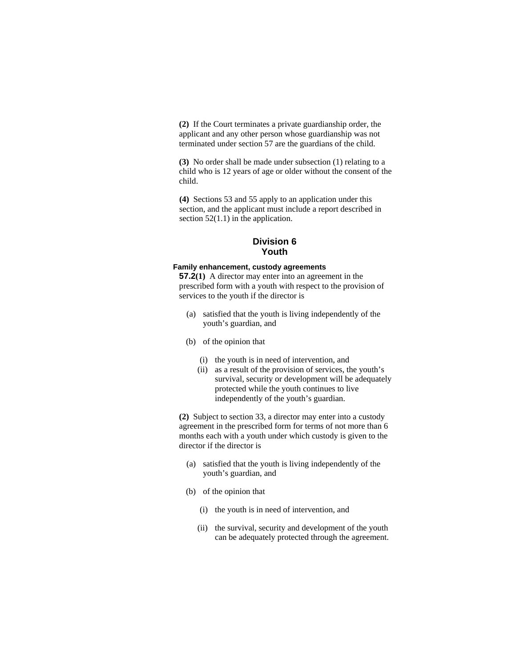**(2)** If the Court terminates a private guardianship order, the applicant and any other person whose guardianship was not terminated under section 57 are the guardians of the child.

**(3)** No order shall be made under subsection (1) relating to a child who is 12 years of age or older without the consent of the child.

**(4)** Sections 53 and 55 apply to an application under this section, and the applicant must include a report described in section  $52(1.1)$  in the application.

## **Division 6 Youth**

#### **Family enhancement, custody agreements**

**57.2(1)** A director may enter into an agreement in the prescribed form with a youth with respect to the provision of services to the youth if the director is

- (a) satisfied that the youth is living independently of the youth's guardian, and
- (b) of the opinion that
	- (i) the youth is in need of intervention, and
	- (ii) as a result of the provision of services, the youth's survival, security or development will be adequately protected while the youth continues to live independently of the youth's guardian.

**(2)** Subject to section 33, a director may enter into a custody agreement in the prescribed form for terms of not more than 6 months each with a youth under which custody is given to the director if the director is

- (a) satisfied that the youth is living independently of the youth's guardian, and
- (b) of the opinion that
	- (i) the youth is in need of intervention, and
	- (ii) the survival, security and development of the youth can be adequately protected through the agreement.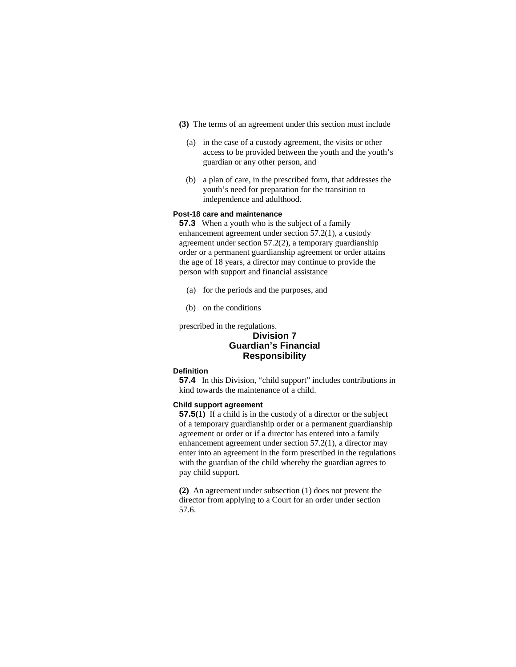- **(3)** The terms of an agreement under this section must include
	- (a) in the case of a custody agreement, the visits or other access to be provided between the youth and the youth's guardian or any other person, and
	- (b) a plan of care, in the prescribed form, that addresses the youth's need for preparation for the transition to independence and adulthood.

### **Post-18 care and maintenance**

**57.3** When a youth who is the subject of a family enhancement agreement under section 57.2(1), a custody agreement under section 57.2(2), a temporary guardianship order or a permanent guardianship agreement or order attains the age of 18 years, a director may continue to provide the person with support and financial assistance

- (a) for the periods and the purposes, and
- (b) on the conditions

prescribed in the regulations.

## **Division 7 Guardian's Financial Responsibility**

#### **Definition**

**57.4** In this Division, "child support" includes contributions in kind towards the maintenance of a child.

#### **Child support agreement**

**57.5(1)** If a child is in the custody of a director or the subject of a temporary guardianship order or a permanent guardianship agreement or order or if a director has entered into a family enhancement agreement under section 57.2(1), a director may enter into an agreement in the form prescribed in the regulations with the guardian of the child whereby the guardian agrees to pay child support.

**(2)** An agreement under subsection (1) does not prevent the director from applying to a Court for an order under section 57.6.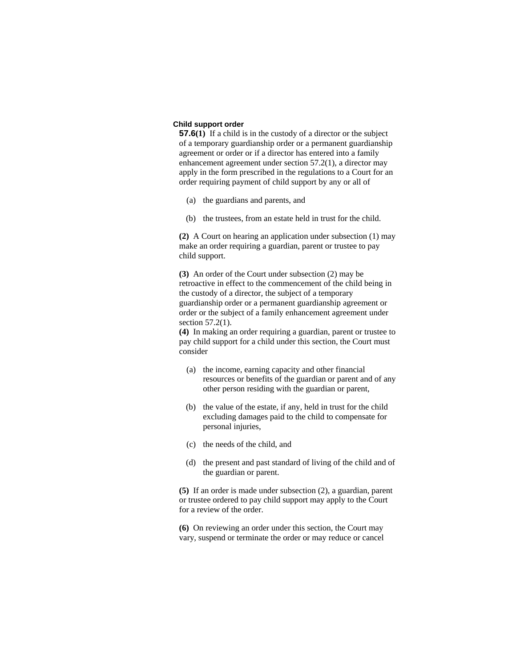### **Child support order**

**57.6(1)** If a child is in the custody of a director or the subject of a temporary guardianship order or a permanent guardianship agreement or order or if a director has entered into a family enhancement agreement under section 57.2(1), a director may apply in the form prescribed in the regulations to a Court for an order requiring payment of child support by any or all of

- (a) the guardians and parents, and
- (b) the trustees, from an estate held in trust for the child.

**(2)** A Court on hearing an application under subsection (1) may make an order requiring a guardian, parent or trustee to pay child support.

**(3)** An order of the Court under subsection (2) may be retroactive in effect to the commencement of the child being in the custody of a director, the subject of a temporary guardianship order or a permanent guardianship agreement or order or the subject of a family enhancement agreement under section 57.2(1).

**(4)** In making an order requiring a guardian, parent or trustee to pay child support for a child under this section, the Court must consider

- (a) the income, earning capacity and other financial resources or benefits of the guardian or parent and of any other person residing with the guardian or parent,
- (b) the value of the estate, if any, held in trust for the child excluding damages paid to the child to compensate for personal injuries,
- (c) the needs of the child, and
- (d) the present and past standard of living of the child and of the guardian or parent.

**(5)** If an order is made under subsection (2), a guardian, parent or trustee ordered to pay child support may apply to the Court for a review of the order.

**(6)** On reviewing an order under this section, the Court may vary, suspend or terminate the order or may reduce or cancel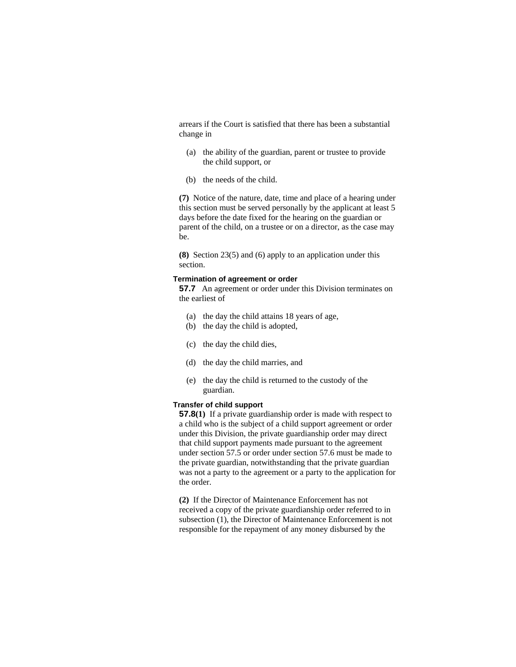arrears if the Court is satisfied that there has been a substantial change in

- (a) the ability of the guardian, parent or trustee to provide the child support, or
- (b) the needs of the child.

**(7)** Notice of the nature, date, time and place of a hearing under this section must be served personally by the applicant at least 5 days before the date fixed for the hearing on the guardian or parent of the child, on a trustee or on a director, as the case may be.

**(8)** Section 23(5) and (6) apply to an application under this section.

### **Termination of agreement or order**

**57.7** An agreement or order under this Division terminates on the earliest of

- (a) the day the child attains 18 years of age,
- (b) the day the child is adopted,
- (c) the day the child dies,
- (d) the day the child marries, and
- (e) the day the child is returned to the custody of the guardian.

#### **Transfer of child support**

**57.8(1)** If a private guardianship order is made with respect to a child who is the subject of a child support agreement or order under this Division, the private guardianship order may direct that child support payments made pursuant to the agreement under section 57.5 or order under section 57.6 must be made to the private guardian, notwithstanding that the private guardian was not a party to the agreement or a party to the application for the order.

**(2)** If the Director of Maintenance Enforcement has not received a copy of the private guardianship order referred to in subsection (1), the Director of Maintenance Enforcement is not responsible for the repayment of any money disbursed by the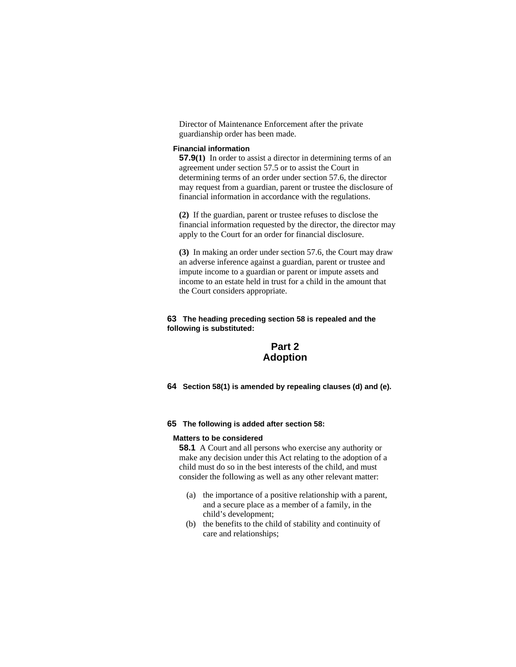Director of Maintenance Enforcement after the private guardianship order has been made.

## **Financial information**

**57.9(1)** In order to assist a director in determining terms of an agreement under section 57.5 or to assist the Court in determining terms of an order under section 57.6, the director may request from a guardian, parent or trustee the disclosure of financial information in accordance with the regulations.

**(2)** If the guardian, parent or trustee refuses to disclose the financial information requested by the director, the director may apply to the Court for an order for financial disclosure.

**(3)** In making an order under section 57.6, the Court may draw an adverse inference against a guardian, parent or trustee and impute income to a guardian or parent or impute assets and income to an estate held in trust for a child in the amount that the Court considers appropriate.

# **63 The heading preceding section 58 is repealed and the following is substituted:**

# **Part 2 Adoption**

**64 Section 58(1) is amended by repealing clauses (d) and (e).** 

### **65 The following is added after section 58:**

#### **Matters to be considered**

**58.1** A Court and all persons who exercise any authority or make any decision under this Act relating to the adoption of a child must do so in the best interests of the child, and must consider the following as well as any other relevant matter:

- (a) the importance of a positive relationship with a parent, and a secure place as a member of a family, in the child's development;
- (b) the benefits to the child of stability and continuity of care and relationships;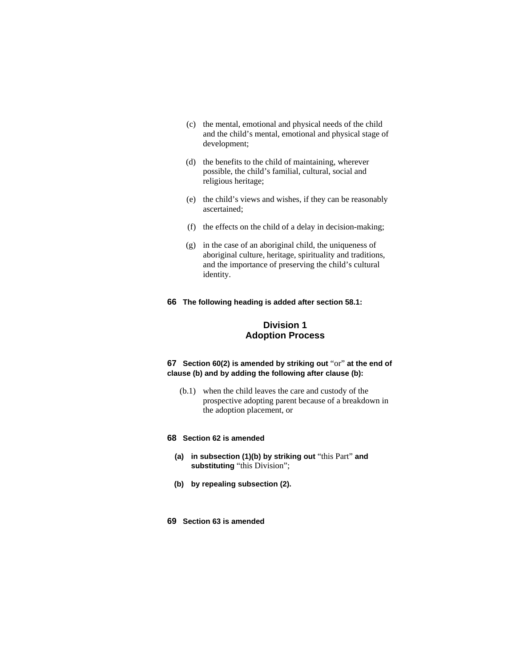- (c) the mental, emotional and physical needs of the child and the child's mental, emotional and physical stage of development;
- (d) the benefits to the child of maintaining, wherever possible, the child's familial, cultural, social and religious heritage;
- (e) the child's views and wishes, if they can be reasonably ascertained;
- (f) the effects on the child of a delay in decision-making;
- (g) in the case of an aboriginal child, the uniqueness of aboriginal culture, heritage, spirituality and traditions, and the importance of preserving the child's cultural identity.
- **66 The following heading is added after section 58.1:**

# **Division 1 Adoption Process**

# **67 Section 60(2) is amended by striking out** "or" **at the end of clause (b) and by adding the following after clause (b):**

 (b.1) when the child leaves the care and custody of the prospective adopting parent because of a breakdown in the adoption placement, or

#### **68 Section 62 is amended**

- **(a) in subsection (1)(b) by striking out** "this Part" **and substituting** "this Division";
- **(b) by repealing subsection (2).**
- **69 Section 63 is amended**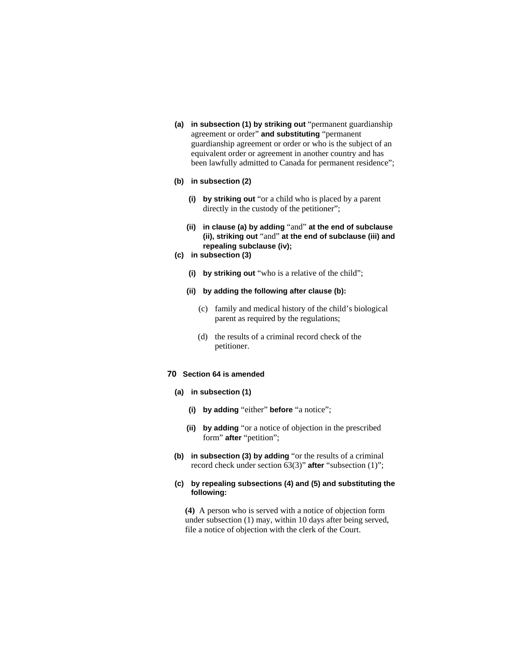- **(a) in subsection (1) by striking out** "permanent guardianship agreement or order" **and substituting** "permanent guardianship agreement or order or who is the subject of an equivalent order or agreement in another country and has been lawfully admitted to Canada for permanent residence";
- **(b) in subsection (2)** 
	- **(i) by striking out** "or a child who is placed by a parent directly in the custody of the petitioner";
	- **(ii) in clause (a) by adding** "and" **at the end of subclause (ii), striking out** "and" **at the end of subclause (iii) and repealing subclause (iv);**
- **(c) in subsection (3)** 
	- **(i) by striking out** "who is a relative of the child";
	- **(ii) by adding the following after clause (b):** 
		- (c) family and medical history of the child's biological parent as required by the regulations;
		- (d) the results of a criminal record check of the petitioner.

# **70 Section 64 is amended**

- **(a) in subsection (1)** 
	- **(i) by adding** "either" **before** "a notice";
	- **(ii) by adding** "or a notice of objection in the prescribed form" **after** "petition";
- **(b) in subsection (3) by adding** "or the results of a criminal record check under section 63(3)" **after** "subsection (1)";
- **(c) by repealing subsections (4) and (5) and substituting the following:**

**(4)** A person who is served with a notice of objection form under subsection (1) may, within 10 days after being served, file a notice of objection with the clerk of the Court.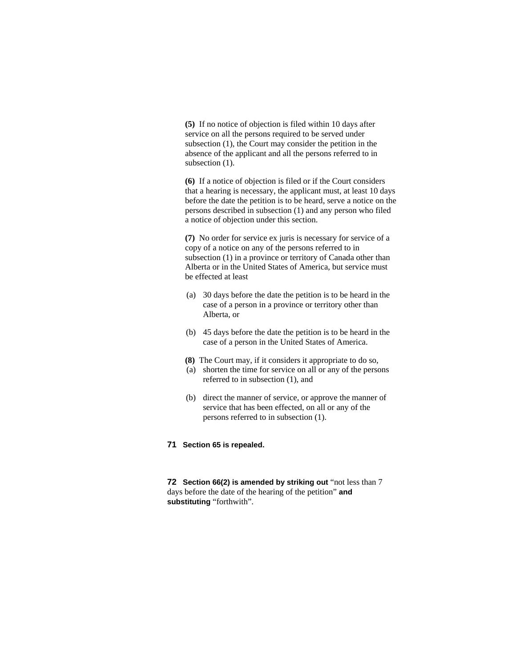**(5)** If no notice of objection is filed within 10 days after service on all the persons required to be served under subsection (1), the Court may consider the petition in the absence of the applicant and all the persons referred to in subsection  $(1)$ .

**(6)** If a notice of objection is filed or if the Court considers that a hearing is necessary, the applicant must, at least 10 days before the date the petition is to be heard, serve a notice on the persons described in subsection (1) and any person who filed a notice of objection under this section.

**(7)** No order for service ex juris is necessary for service of a copy of a notice on any of the persons referred to in subsection (1) in a province or territory of Canada other than Alberta or in the United States of America, but service must be effected at least

- (a) 30 days before the date the petition is to be heard in the case of a person in a province or territory other than Alberta, or
- (b) 45 days before the date the petition is to be heard in the case of a person in the United States of America.
- **(8)** The Court may, if it considers it appropriate to do so,
- (a) shorten the time for service on all or any of the persons referred to in subsection (1), and
- (b) direct the manner of service, or approve the manner of service that has been effected, on all or any of the persons referred to in subsection (1).

# **71 Section 65 is repealed.**

**72 Section 66(2) is amended by striking out** "not less than 7 days before the date of the hearing of the petition" **and substituting** "forthwith".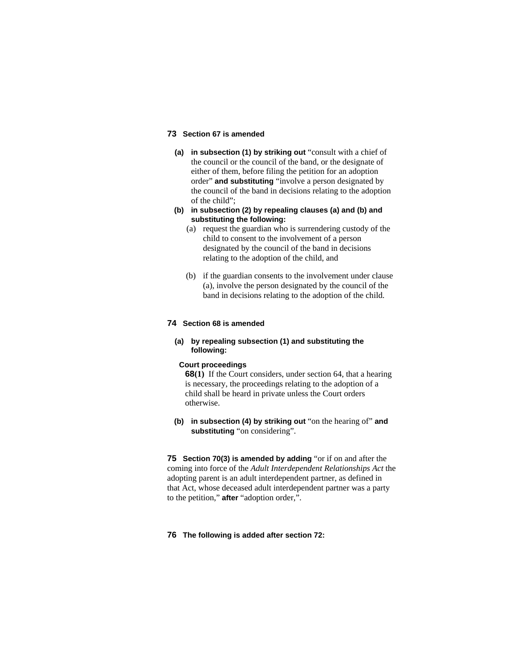# **73 Section 67 is amended**

- **(a) in subsection (1) by striking out** "consult with a chief of the council or the council of the band, or the designate of either of them, before filing the petition for an adoption order" **and substituting** "involve a person designated by the council of the band in decisions relating to the adoption of the child";
- **(b) in subsection (2) by repealing clauses (a) and (b) and substituting the following:**
	- (a) request the guardian who is surrendering custody of the child to consent to the involvement of a person designated by the council of the band in decisions relating to the adoption of the child, and
	- (b) if the guardian consents to the involvement under clause (a), involve the person designated by the council of the band in decisions relating to the adoption of the child.

### **74 Section 68 is amended**

**(a) by repealing subsection (1) and substituting the following:**

# **Court proceedings**

**68(1)** If the Court considers, under section 64, that a hearing is necessary, the proceedings relating to the adoption of a child shall be heard in private unless the Court orders otherwise.

**(b) in subsection (4) by striking out** "on the hearing of" **and substituting** "on considering".

**75 Section 70(3) is amended by adding** "or if on and after the coming into force of the *Adult Interdependent Relationships Act* the adopting parent is an adult interdependent partner, as defined in that Act, whose deceased adult interdependent partner was a party to the petition," **after** "adoption order,".

### **76 The following is added after section 72:**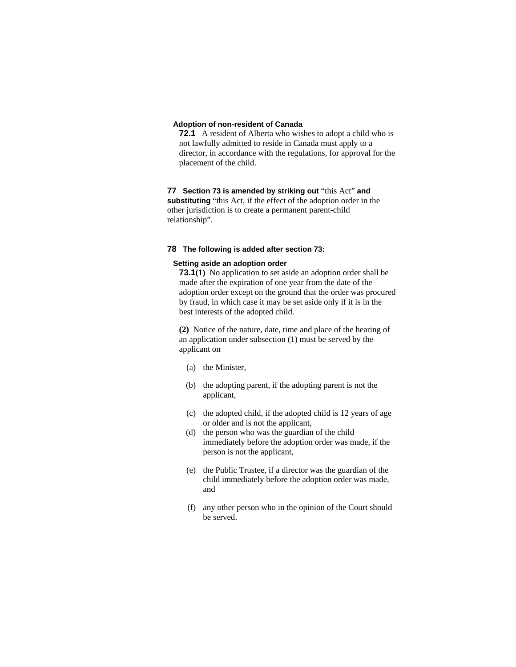### **Adoption of non-resident of Canada**

**72.1** A resident of Alberta who wishes to adopt a child who is not lawfully admitted to reside in Canada must apply to a director, in accordance with the regulations, for approval for the placement of the child.

# **77 Section 73 is amended by striking out** "this Act" **and substituting** "this Act, if the effect of the adoption order in the other jurisdiction is to create a permanent parent-child relationship".

# **78 The following is added after section 73:**

# **Setting aside an adoption order**

**73.1(1)** No application to set aside an adoption order shall be made after the expiration of one year from the date of the adoption order except on the ground that the order was procured by fraud, in which case it may be set aside only if it is in the best interests of the adopted child.

**(2)** Notice of the nature, date, time and place of the hearing of an application under subsection (1) must be served by the applicant on

- (a) the Minister,
- (b) the adopting parent, if the adopting parent is not the applicant,
- (c) the adopted child, if the adopted child is 12 years of age or older and is not the applicant,
- (d) the person who was the guardian of the child immediately before the adoption order was made, if the person is not the applicant,
- (e) the Public Trustee, if a director was the guardian of the child immediately before the adoption order was made, and
- (f) any other person who in the opinion of the Court should be served.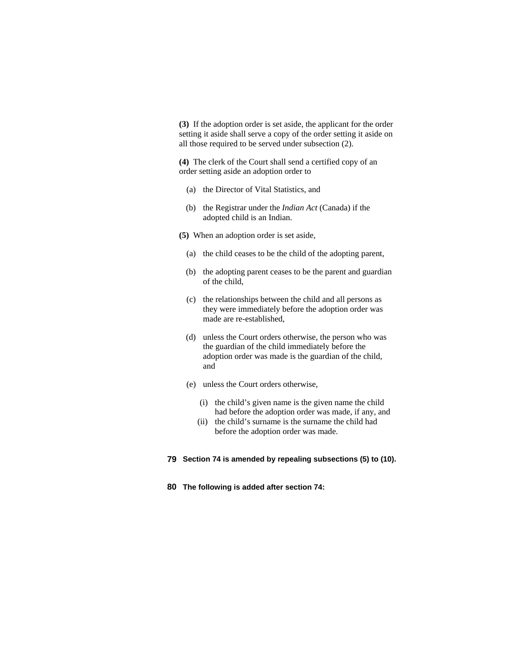**(3)** If the adoption order is set aside, the applicant for the order setting it aside shall serve a copy of the order setting it aside on all those required to be served under subsection (2).

**(4)** The clerk of the Court shall send a certified copy of an order setting aside an adoption order to

- (a) the Director of Vital Statistics, and
- (b) the Registrar under the *Indian Act* (Canada) if the adopted child is an Indian.
- **(5)** When an adoption order is set aside,
	- (a) the child ceases to be the child of the adopting parent,
	- (b) the adopting parent ceases to be the parent and guardian of the child,
	- (c) the relationships between the child and all persons as they were immediately before the adoption order was made are re-established,
	- (d) unless the Court orders otherwise, the person who was the guardian of the child immediately before the adoption order was made is the guardian of the child, and
	- (e) unless the Court orders otherwise,
		- (i) the child's given name is the given name the child had before the adoption order was made, if any, and
		- (ii) the child's surname is the surname the child had before the adoption order was made.
- **79 Section 74 is amended by repealing subsections (5) to (10).**
- **80 The following is added after section 74:**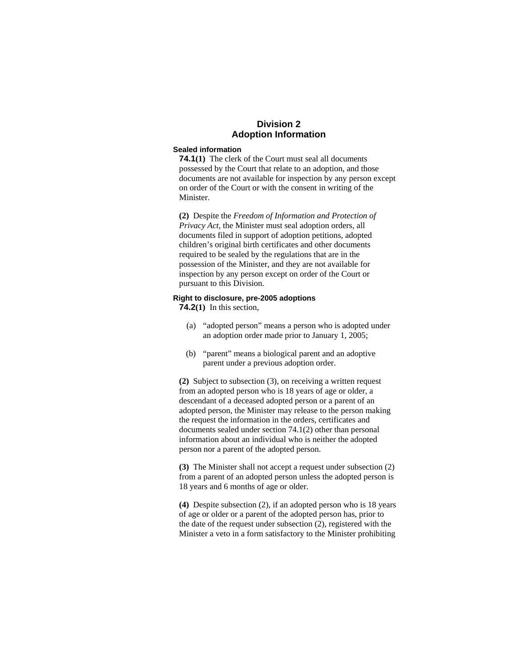# **Division 2 Adoption Information**

## **Sealed information**

**74.1(1)** The clerk of the Court must seal all documents possessed by the Court that relate to an adoption, and those documents are not available for inspection by any person except on order of the Court or with the consent in writing of the Minister.

**(2)** Despite the *Freedom of Information and Protection of Privacy Act*, the Minister must seal adoption orders, all documents filed in support of adoption petitions, adopted children's original birth certificates and other documents required to be sealed by the regulations that are in the possession of the Minister, and they are not available for inspection by any person except on order of the Court or pursuant to this Division.

#### **Right to disclosure, pre-2005 adoptions**

**74.2(1)** In this section,

- (a) "adopted person" means a person who is adopted under an adoption order made prior to January 1, 2005;
- (b) "parent" means a biological parent and an adoptive parent under a previous adoption order.

**(2)** Subject to subsection (3), on receiving a written request from an adopted person who is 18 years of age or older, a descendant of a deceased adopted person or a parent of an adopted person, the Minister may release to the person making the request the information in the orders, certificates and documents sealed under section 74.1(2) other than personal information about an individual who is neither the adopted person nor a parent of the adopted person.

**(3)** The Minister shall not accept a request under subsection (2) from a parent of an adopted person unless the adopted person is 18 years and 6 months of age or older.

**(4)** Despite subsection (2), if an adopted person who is 18 years of age or older or a parent of the adopted person has, prior to the date of the request under subsection (2), registered with the Minister a veto in a form satisfactory to the Minister prohibiting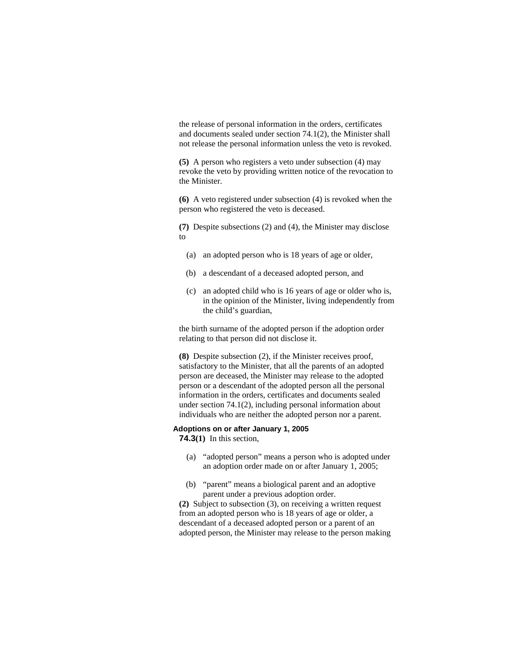the release of personal information in the orders, certificates and documents sealed under section 74.1(2), the Minister shall not release the personal information unless the veto is revoked.

**(5)** A person who registers a veto under subsection (4) may revoke the veto by providing written notice of the revocation to the Minister.

**(6)** A veto registered under subsection (4) is revoked when the person who registered the veto is deceased.

**(7)** Despite subsections (2) and (4), the Minister may disclose to

- (a) an adopted person who is 18 years of age or older,
- (b) a descendant of a deceased adopted person, and
- (c) an adopted child who is 16 years of age or older who is, in the opinion of the Minister, living independently from the child's guardian,

the birth surname of the adopted person if the adoption order relating to that person did not disclose it.

**(8)** Despite subsection (2), if the Minister receives proof, satisfactory to the Minister, that all the parents of an adopted person are deceased, the Minister may release to the adopted person or a descendant of the adopted person all the personal information in the orders, certificates and documents sealed under section 74.1(2), including personal information about individuals who are neither the adopted person nor a parent.

#### **Adoptions on or after January 1, 2005 74.3(1)** In this section,

- (a) "adopted person" means a person who is adopted under an adoption order made on or after January 1, 2005;
- (b) "parent" means a biological parent and an adoptive parent under a previous adoption order.

**(2)** Subject to subsection (3), on receiving a written request from an adopted person who is 18 years of age or older, a descendant of a deceased adopted person or a parent of an adopted person, the Minister may release to the person making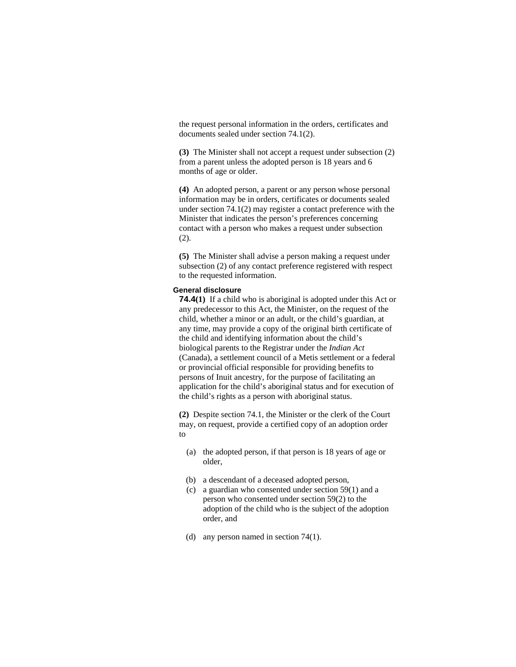the request personal information in the orders, certificates and documents sealed under section 74.1(2).

**(3)** The Minister shall not accept a request under subsection (2) from a parent unless the adopted person is 18 years and 6 months of age or older.

**(4)** An adopted person, a parent or any person whose personal information may be in orders, certificates or documents sealed under section 74.1(2) may register a contact preference with the Minister that indicates the person's preferences concerning contact with a person who makes a request under subsection (2).

**(5)** The Minister shall advise a person making a request under subsection (2) of any contact preference registered with respect to the requested information.

### **General disclosure**

**74.4(1)** If a child who is aboriginal is adopted under this Act or any predecessor to this Act, the Minister, on the request of the child, whether a minor or an adult, or the child's guardian, at any time, may provide a copy of the original birth certificate of the child and identifying information about the child's biological parents to the Registrar under the *Indian Act* (Canada), a settlement council of a Metis settlement or a federal or provincial official responsible for providing benefits to persons of Inuit ancestry, for the purpose of facilitating an application for the child's aboriginal status and for execution of the child's rights as a person with aboriginal status.

**(2)** Despite section 74.1, the Minister or the clerk of the Court may, on request, provide a certified copy of an adoption order to

- (a) the adopted person, if that person is 18 years of age or older,
- (b) a descendant of a deceased adopted person,
- (c) a guardian who consented under section 59(1) and a person who consented under section 59(2) to the adoption of the child who is the subject of the adoption order, and
- (d) any person named in section 74(1).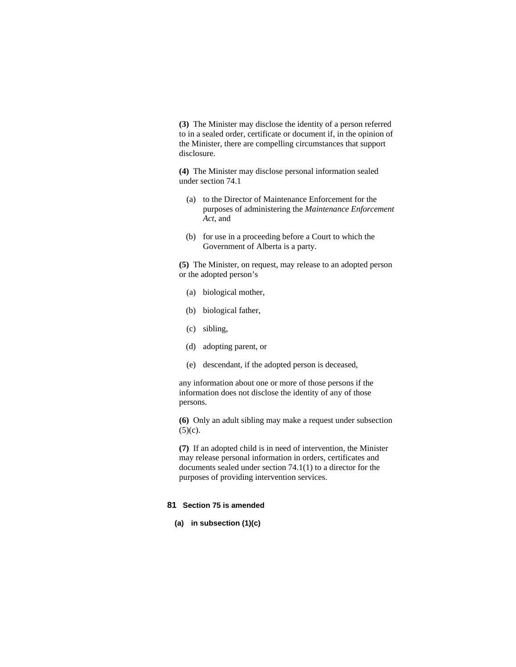**(3)** The Minister may disclose the identity of a person referred to in a sealed order, certificate or document if, in the opinion of the Minister, there are compelling circumstances that support disclosure.

**(4)** The Minister may disclose personal information sealed under section 74.1

- (a) to the Director of Maintenance Enforcement for the purposes of administering the *Maintenance Enforcement Act*, and
- (b) for use in a proceeding before a Court to which the Government of Alberta is a party.

**(5)** The Minister, on request, may release to an adopted person or the adopted person's

- (a) biological mother,
- (b) biological father,
- (c) sibling,
- (d) adopting parent, or
- (e) descendant, if the adopted person is deceased,

any information about one or more of those persons if the information does not disclose the identity of any of those persons.

**(6)** Only an adult sibling may make a request under subsection  $(5)(c)$ .

**(7)** If an adopted child is in need of intervention, the Minister may release personal information in orders, certificates and documents sealed under section 74.1(1) to a director for the purposes of providing intervention services.

## **81 Section 75 is amended**

**(a) in subsection (1)(c)**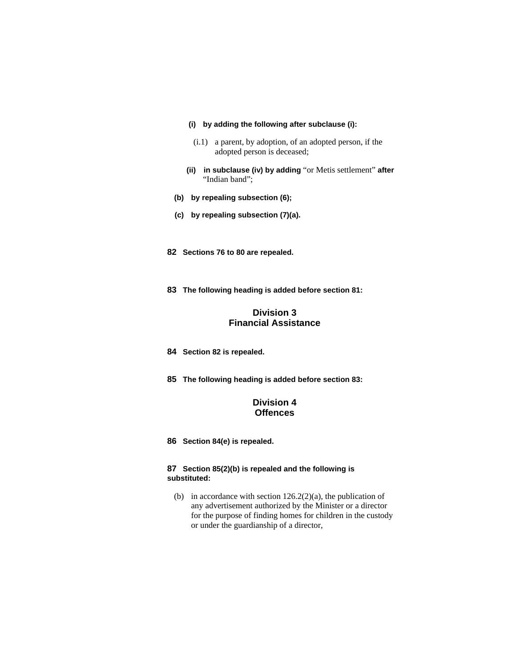- **(i) by adding the following after subclause (i):**
- (i.1) a parent, by adoption, of an adopted person, if the adopted person is deceased;
- **(ii) in subclause (iv) by adding** "or Metis settlement" **after**  "Indian band";
- **(b) by repealing subsection (6);**
- **(c) by repealing subsection (7)(a).**
- **82 Sections 76 to 80 are repealed.**
- **83 The following heading is added before section 81:**

# **Division 3 Financial Assistance**

- **84 Section 82 is repealed.**
- **85 The following heading is added before section 83:**

# **Division 4 Offences**

**86 Section 84(e) is repealed.**

# **87 Section 85(2)(b) is repealed and the following is substituted:**

(b) in accordance with section  $126.2(2)(a)$ , the publication of any advertisement authorized by the Minister or a director for the purpose of finding homes for children in the custody or under the guardianship of a director,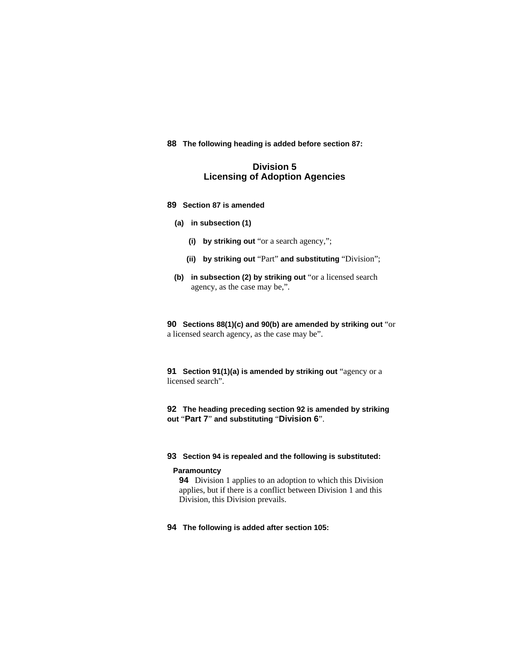# **88 The following heading is added before section 87:**

# **Division 5 Licensing of Adoption Agencies**

### **89 Section 87 is amended**

# **(a) in subsection (1)**

- **(i) by striking out** "or a search agency,";
- **(ii) by striking out** "Part" **and substituting** "Division";
- **(b) in subsection (2) by striking out** "or a licensed search agency, as the case may be,".

**90 Sections 88(1)(c) and 90(b) are amended by striking out** "or a licensed search agency, as the case may be".

**91 Section 91(1)(a) is amended by striking out** "agency or a licensed search".

# **92 The heading preceding section 92 is amended by striking out** "**Part 7**" **and substituting** "**Division 6**".

# **93 Section 94 is repealed and the following is substituted:**

### **Paramountcy**

**94** Division 1 applies to an adoption to which this Division applies, but if there is a conflict between Division 1 and this Division, this Division prevails.

**94 The following is added after section 105:**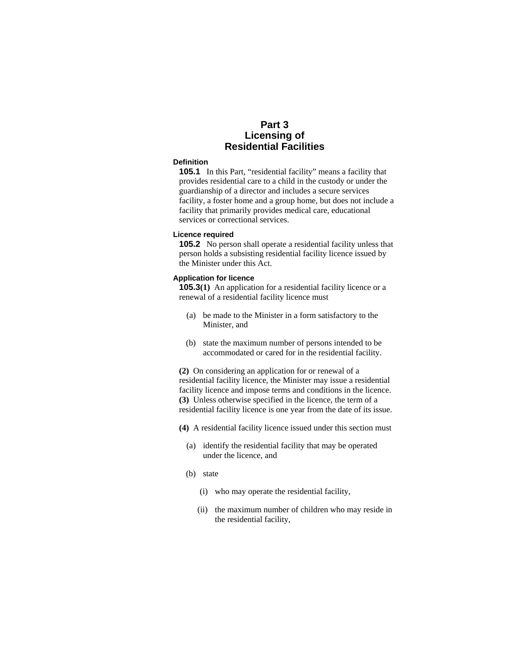# **Part 3 Licensing of Residential Facilities**

### **Definition**

**105.1** In this Part, "residential facility" means a facility that provides residential care to a child in the custody or under the guardianship of a director and includes a secure services facility, a foster home and a group home, but does not include a facility that primarily provides medical care, educational services or correctional services.

#### **Licence required**

**105.2** No person shall operate a residential facility unless that person holds a subsisting residential facility licence issued by the Minister under this Act.

# **Application for licence**

**105.3**(1) An application for a residential facility licence or a renewal of a residential facility licence must

- (a) be made to the Minister in a form satisfactory to the Minister, and
- (b) state the maximum number of persons intended to be accommodated or cared for in the residential facility.

**(2)** On considering an application for or renewal of a residential facility licence, the Minister may issue a residential facility licence and impose terms and conditions in the licence. **(3)** Unless otherwise specified in the licence, the term of a residential facility licence is one year from the date of its issue.

**(4)** A residential facility licence issued under this section must

- (a) identify the residential facility that may be operated under the licence, and
- (b) state
	- (i) who may operate the residential facility,
	- (ii) the maximum number of children who may reside in the residential facility,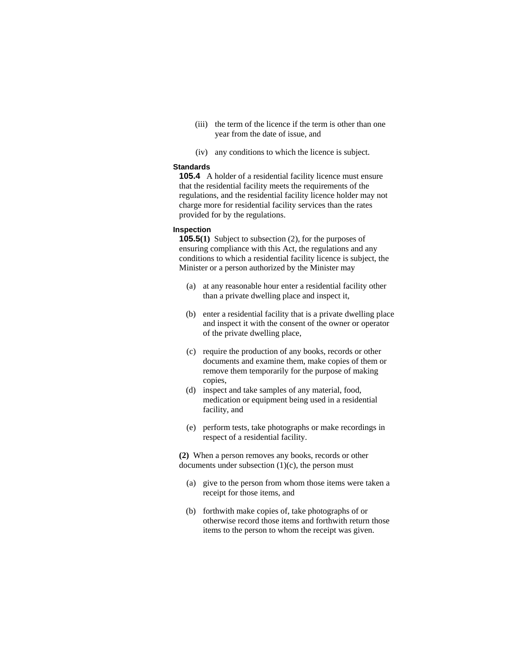- (iii) the term of the licence if the term is other than one year from the date of issue, and
- (iv) any conditions to which the licence is subject.

# **Standards**

**105.4** A holder of a residential facility licence must ensure that the residential facility meets the requirements of the regulations, and the residential facility licence holder may not charge more for residential facility services than the rates provided for by the regulations.

### **Inspection**

**105.5(1)** Subject to subsection (2), for the purposes of ensuring compliance with this Act, the regulations and any conditions to which a residential facility licence is subject, the Minister or a person authorized by the Minister may

- (a) at any reasonable hour enter a residential facility other than a private dwelling place and inspect it,
- (b) enter a residential facility that is a private dwelling place and inspect it with the consent of the owner or operator of the private dwelling place,
- (c) require the production of any books, records or other documents and examine them, make copies of them or remove them temporarily for the purpose of making copies,
- (d) inspect and take samples of any material, food, medication or equipment being used in a residential facility, and
- (e) perform tests, take photographs or make recordings in respect of a residential facility.

**(2)** When a person removes any books, records or other documents under subsection  $(1)(c)$ , the person must

- (a) give to the person from whom those items were taken a receipt for those items, and
- (b) forthwith make copies of, take photographs of or otherwise record those items and forthwith return those items to the person to whom the receipt was given.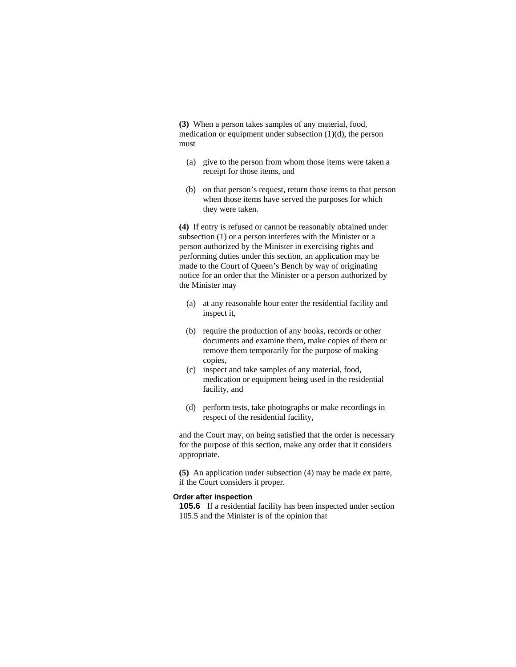**(3)** When a person takes samples of any material, food, medication or equipment under subsection (1)(d), the person must

- (a) give to the person from whom those items were taken a receipt for those items, and
- (b) on that person's request, return those items to that person when those items have served the purposes for which they were taken.

**(4)** If entry is refused or cannot be reasonably obtained under subsection (1) or a person interferes with the Minister or a person authorized by the Minister in exercising rights and performing duties under this section, an application may be made to the Court of Queen's Bench by way of originating notice for an order that the Minister or a person authorized by the Minister may

- (a) at any reasonable hour enter the residential facility and inspect it,
- (b) require the production of any books, records or other documents and examine them, make copies of them or remove them temporarily for the purpose of making copies,
- (c) inspect and take samples of any material, food, medication or equipment being used in the residential facility, and
- (d) perform tests, take photographs or make recordings in respect of the residential facility,

and the Court may, on being satisfied that the order is necessary for the purpose of this section, make any order that it considers appropriate.

**(5)** An application under subsection (4) may be made ex parte, if the Court considers it proper.

#### **Order after inspection**

**105.6** If a residential facility has been inspected under section 105.5 and the Minister is of the opinion that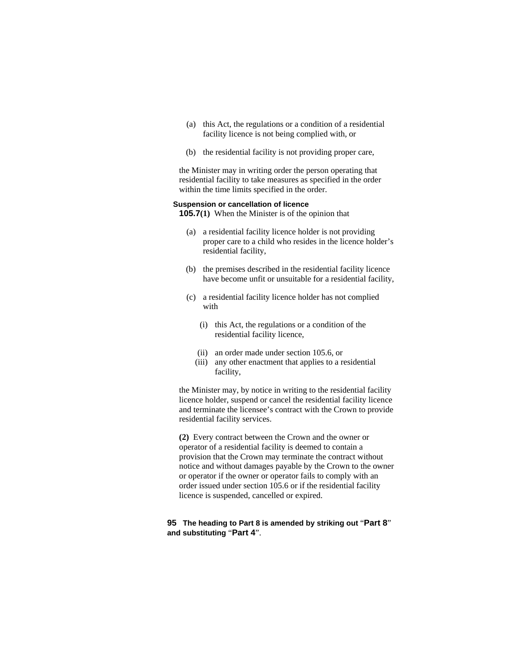- (a) this Act, the regulations or a condition of a residential facility licence is not being complied with, or
- (b) the residential facility is not providing proper care,

the Minister may in writing order the person operating that residential facility to take measures as specified in the order within the time limits specified in the order.

### **Suspension or cancellation of licence**

**105.7(1)** When the Minister is of the opinion that

- (a) a residential facility licence holder is not providing proper care to a child who resides in the licence holder's residential facility,
- (b) the premises described in the residential facility licence have become unfit or unsuitable for a residential facility,
- (c) a residential facility licence holder has not complied with
	- (i) this Act, the regulations or a condition of the residential facility licence,
	- (ii) an order made under section 105.6, or
	- (iii) any other enactment that applies to a residential facility,

the Minister may, by notice in writing to the residential facility licence holder, suspend or cancel the residential facility licence and terminate the licensee's contract with the Crown to provide residential facility services.

**(2)** Every contract between the Crown and the owner or operator of a residential facility is deemed to contain a provision that the Crown may terminate the contract without notice and without damages payable by the Crown to the owner or operator if the owner or operator fails to comply with an order issued under section 105.6 or if the residential facility licence is suspended, cancelled or expired.

# **95 The heading to Part 8 is amended by striking out** "**Part 8**" **and substituting** "**Part 4**".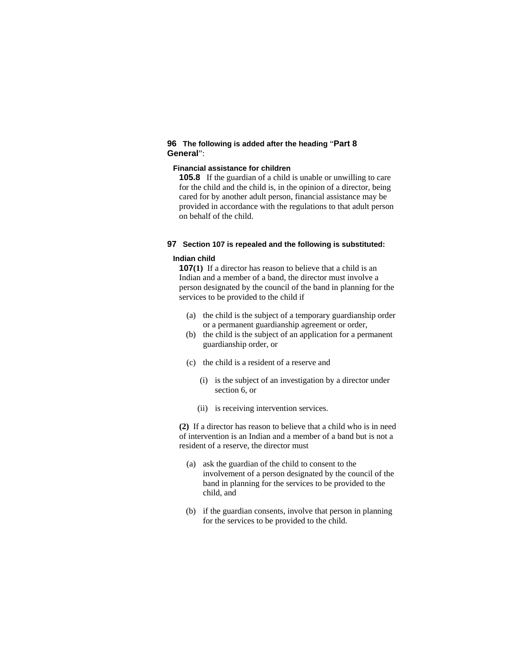# **96 The following is added after the heading** "**Part 8 General**":

# **Financial assistance for children**

**105.8** If the guardian of a child is unable or unwilling to care for the child and the child is, in the opinion of a director, being cared for by another adult person, financial assistance may be provided in accordance with the regulations to that adult person on behalf of the child.

#### **97 Section 107 is repealed and the following is substituted:**

### **Indian child**

**107(1)** If a director has reason to believe that a child is an Indian and a member of a band, the director must involve a person designated by the council of the band in planning for the services to be provided to the child if

- (a) the child is the subject of a temporary guardianship order or a permanent guardianship agreement or order,
- (b) the child is the subject of an application for a permanent guardianship order, or
- (c) the child is a resident of a reserve and
	- (i) is the subject of an investigation by a director under section 6, or
	- (ii) is receiving intervention services.

**(2)** If a director has reason to believe that a child who is in need of intervention is an Indian and a member of a band but is not a resident of a reserve, the director must

- (a) ask the guardian of the child to consent to the involvement of a person designated by the council of the band in planning for the services to be provided to the child, and
- (b) if the guardian consents, involve that person in planning for the services to be provided to the child.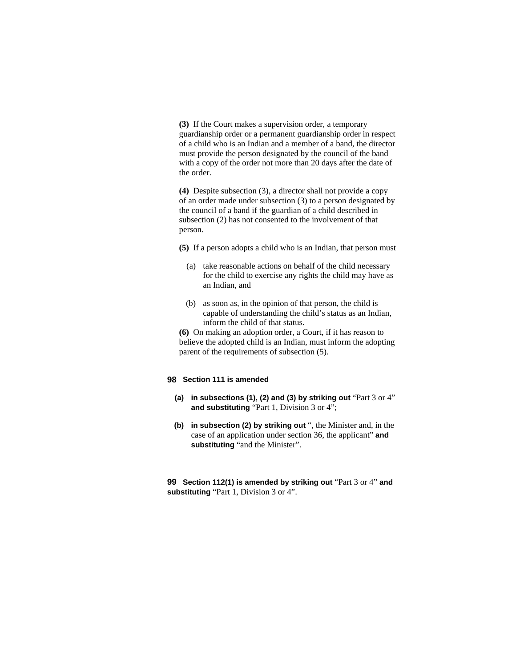**(3)** If the Court makes a supervision order, a temporary guardianship order or a permanent guardianship order in respect of a child who is an Indian and a member of a band, the director must provide the person designated by the council of the band with a copy of the order not more than 20 days after the date of the order.

**(4)** Despite subsection (3), a director shall not provide a copy of an order made under subsection (3) to a person designated by the council of a band if the guardian of a child described in subsection (2) has not consented to the involvement of that person.

**(5)** If a person adopts a child who is an Indian, that person must

- (a) take reasonable actions on behalf of the child necessary for the child to exercise any rights the child may have as an Indian, and
- (b) as soon as, in the opinion of that person, the child is capable of understanding the child's status as an Indian, inform the child of that status.

**(6)** On making an adoption order, a Court, if it has reason to believe the adopted child is an Indian, must inform the adopting parent of the requirements of subsection (5).

## **98 Section 111 is amended**

- **(a) in subsections (1), (2) and (3) by striking out** "Part 3 or 4" **and substituting** "Part 1, Division 3 or 4";
- **(b) in subsection (2) by striking out** ", the Minister and, in the case of an application under section 36, the applicant" **and substituting** "and the Minister".

**99 Section 112(1) is amended by striking out** "Part 3 or 4" **and substituting** "Part 1, Division 3 or 4".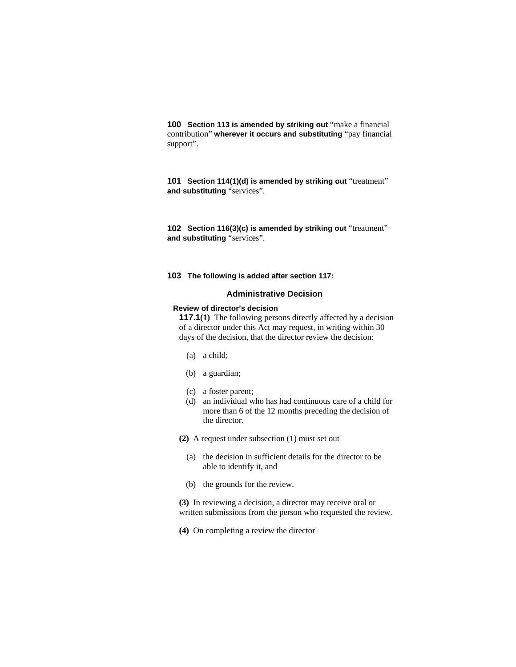**100 Section 113 is amended by striking out** "make a financial contribution" **wherever it occurs and substituting** "pay financial support".

**101 Section 114(1)(d) is amended by striking out** "treatment" **and substituting** "services".

**102 Section 116(3)(c) is amended by striking out** "treatment" **and substituting** "services".

#### **103 The following is added after section 117:**

### **Administrative Decision**

## **Review of director's decision**

**117.1(1)** The following persons directly affected by a decision of a director under this Act may request, in writing within 30 days of the decision, that the director review the decision:

- (a) a child;
- (b) a guardian;
- (c) a foster parent;
- (d) an individual who has had continuous care of a child for more than 6 of the 12 months preceding the decision of the director.
- **(2)** A request under subsection (1) must set out
	- (a) the decision in sufficient details for the director to be able to identify it, and
	- (b) the grounds for the review.
- **(3)** In reviewing a decision, a director may receive oral or written submissions from the person who requested the review.
- **(4)** On completing a review the director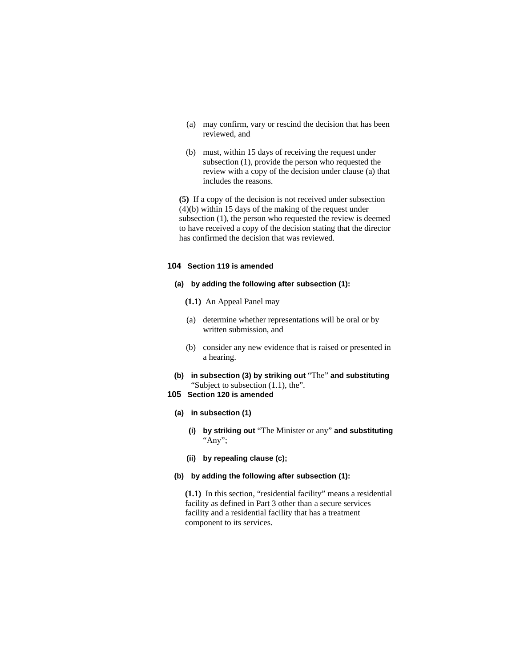- (a) may confirm, vary or rescind the decision that has been reviewed, and
- (b) must, within 15 days of receiving the request under subsection (1), provide the person who requested the review with a copy of the decision under clause (a) that includes the reasons.

**(5)** If a copy of the decision is not received under subsection (4)(b) within 15 days of the making of the request under subsection (1), the person who requested the review is deemed to have received a copy of the decision stating that the director has confirmed the decision that was reviewed.

# **104 Section 119 is amended**

### **(a) by adding the following after subsection (1):**

- **(1.1)** An Appeal Panel may
- (a) determine whether representations will be oral or by written submission, and
- (b) consider any new evidence that is raised or presented in a hearing.
- **(b) in subsection (3) by striking out** "The" **and substituting**  "Subject to subsection (1.1), the".
- **105 Section 120 is amended**

#### **(a) in subsection (1)**

- **(i) by striking out** "The Minister or any" **and substituting**  "Any";
- **(ii) by repealing clause (c);**

### **(b) by adding the following after subsection (1):**

**(1.1)** In this section, "residential facility" means a residential facility as defined in Part 3 other than a secure services facility and a residential facility that has a treatment component to its services.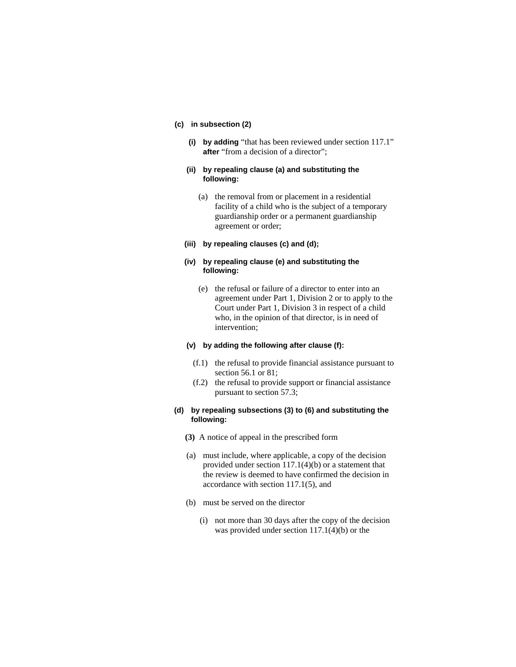### **(c) in subsection (2)**

**(i) by adding** "that has been reviewed under section 117.1" **after** "from a decision of a director";

### **(ii) by repealing clause (a) and substituting the following:**

- (a) the removal from or placement in a residential facility of a child who is the subject of a temporary guardianship order or a permanent guardianship agreement or order;
- **(iii) by repealing clauses (c) and (d);**

# **(iv) by repealing clause (e) and substituting the following:**

 (e) the refusal or failure of a director to enter into an agreement under Part 1, Division 2 or to apply to the Court under Part 1, Division 3 in respect of a child who, in the opinion of that director, is in need of intervention;

#### **(v) by adding the following after clause (f):**

- (f.1) the refusal to provide financial assistance pursuant to section 56.1 or 81;
- (f.2) the refusal to provide support or financial assistance pursuant to section 57.3;

### **(d) by repealing subsections (3) to (6) and substituting the following:**

- **(3)** A notice of appeal in the prescribed form
- (a) must include, where applicable, a copy of the decision provided under section 117.1(4)(b) or a statement that the review is deemed to have confirmed the decision in accordance with section 117.1(5), and
- (b) must be served on the director
	- (i) not more than 30 days after the copy of the decision was provided under section 117.1(4)(b) or the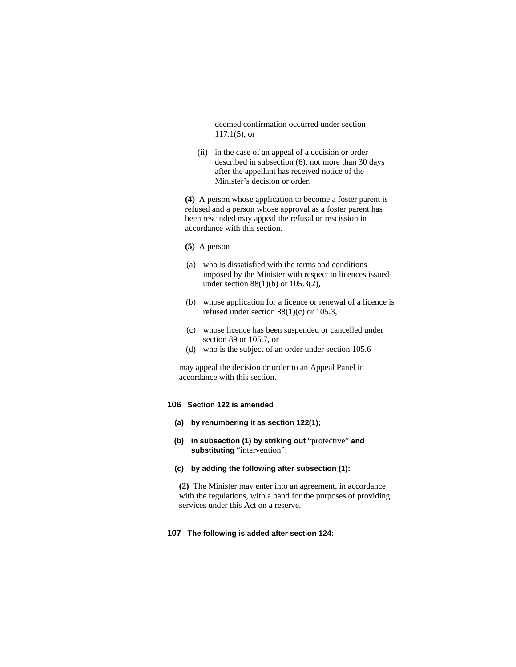deemed confirmation occurred under section 117.1(5), or

 (ii) in the case of an appeal of a decision or order described in subsection (6), not more than 30 days after the appellant has received notice of the Minister's decision or order.

**(4)** A person whose application to become a foster parent is refused and a person whose approval as a foster parent has been rescinded may appeal the refusal or rescission in accordance with this section.

- **(5)** A person
- (a) who is dissatisfied with the terms and conditions imposed by the Minister with respect to licences issued under section 88(1)(b) or 105.3(2),
- (b) whose application for a licence or renewal of a licence is refused under section 88(1)(c) or 105.3,
- (c) whose licence has been suspended or cancelled under section 89 or 105.7, or
- (d) who is the subject of an order under section 105.6

may appeal the decision or order to an Appeal Panel in accordance with this section.

# **106 Section 122 is amended**

- **(a) by renumbering it as section 122(1);**
- **(b) in subsection (1) by striking out** "protective" **and substituting** "intervention";
- **(c) by adding the following after subsection (1):**

**(2)** The Minister may enter into an agreement, in accordance with the regulations, with a band for the purposes of providing services under this Act on a reserve.

### **107 The following is added after section 124:**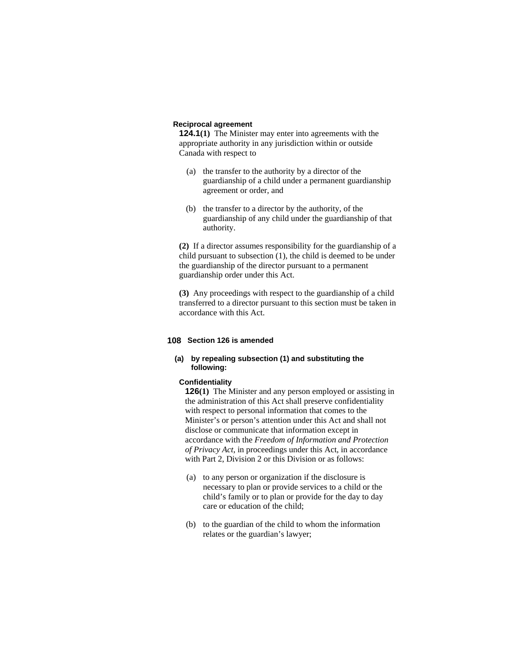# **Reciprocal agreement**

**124.1(1)** The Minister may enter into agreements with the appropriate authority in any jurisdiction within or outside Canada with respect to

- (a) the transfer to the authority by a director of the guardianship of a child under a permanent guardianship agreement or order, and
- (b) the transfer to a director by the authority, of the guardianship of any child under the guardianship of that authority.

**(2)** If a director assumes responsibility for the guardianship of a child pursuant to subsection (1), the child is deemed to be under the guardianship of the director pursuant to a permanent guardianship order under this Act.

**(3)** Any proceedings with respect to the guardianship of a child transferred to a director pursuant to this section must be taken in accordance with this Act.

#### **108 Section 126 is amended**

# **(a) by repealing subsection (1) and substituting the following:**

#### **Confidentiality**

**126(1)** The Minister and any person employed or assisting in the administration of this Act shall preserve confidentiality with respect to personal information that comes to the Minister's or person's attention under this Act and shall not disclose or communicate that information except in accordance with the *Freedom of Information and Protection of Privacy Act*, in proceedings under this Act, in accordance with Part 2, Division 2 or this Division or as follows:

- (a) to any person or organization if the disclosure is necessary to plan or provide services to a child or the child's family or to plan or provide for the day to day care or education of the child;
- (b) to the guardian of the child to whom the information relates or the guardian's lawyer;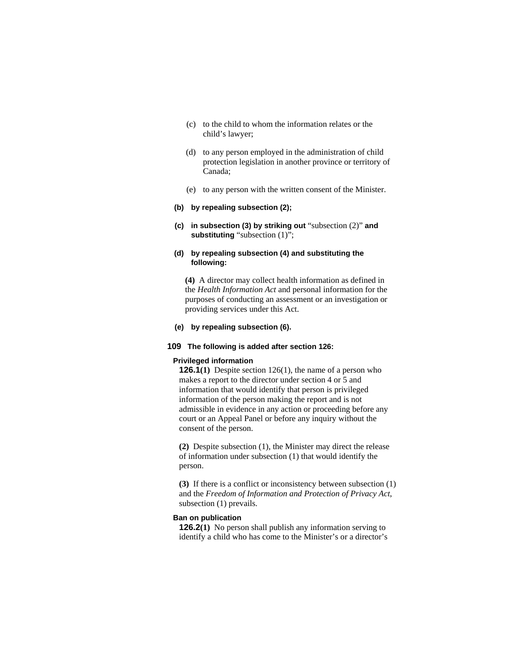- (c) to the child to whom the information relates or the child's lawyer;
- (d) to any person employed in the administration of child protection legislation in another province or territory of Canada;
- (e) to any person with the written consent of the Minister.
- **(b) by repealing subsection (2);**
- **(c) in subsection (3) by striking out** "subsection (2)" **and substituting** "subsection (1)";

## **(d) by repealing subsection (4) and substituting the following:**

**(4)** A director may collect health information as defined in the *Health Information Act* and personal information for the purposes of conducting an assessment or an investigation or providing services under this Act.

#### **(e) by repealing subsection (6).**

# **109 The following is added after section 126:**

# **Privileged information**

**126.1(1)** Despite section 126(1), the name of a person who makes a report to the director under section 4 or 5 and information that would identify that person is privileged information of the person making the report and is not admissible in evidence in any action or proceeding before any court or an Appeal Panel or before any inquiry without the consent of the person.

**(2)** Despite subsection (1), the Minister may direct the release of information under subsection (1) that would identify the person.

**(3)** If there is a conflict or inconsistency between subsection (1) and the *Freedom of Information and Protection of Privacy Act*, subsection (1) prevails.

### **Ban on publication**

**126.2(1)** No person shall publish any information serving to identify a child who has come to the Minister's or a director's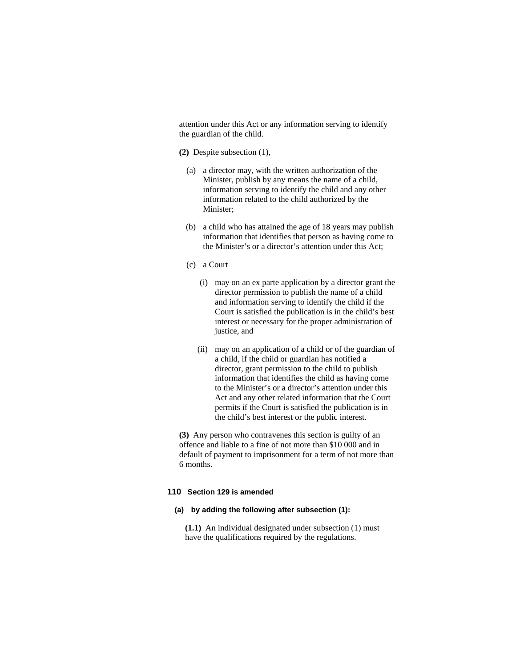attention under this Act or any information serving to identify the guardian of the child.

- **(2)** Despite subsection (1),
	- (a) a director may, with the written authorization of the Minister, publish by any means the name of a child, information serving to identify the child and any other information related to the child authorized by the Minister;
	- (b) a child who has attained the age of 18 years may publish information that identifies that person as having come to the Minister's or a director's attention under this Act;
	- (c) a Court
		- (i) may on an ex parte application by a director grant the director permission to publish the name of a child and information serving to identify the child if the Court is satisfied the publication is in the child's best interest or necessary for the proper administration of justice, and
		- (ii) may on an application of a child or of the guardian of a child, if the child or guardian has notified a director, grant permission to the child to publish information that identifies the child as having come to the Minister's or a director's attention under this Act and any other related information that the Court permits if the Court is satisfied the publication is in the child's best interest or the public interest.

**(3)** Any person who contravenes this section is guilty of an offence and liable to a fine of not more than \$10 000 and in default of payment to imprisonment for a term of not more than 6 months.

### **110 Section 129 is amended**

# **(a) by adding the following after subsection (1):**

**(1.1)** An individual designated under subsection (1) must have the qualifications required by the regulations.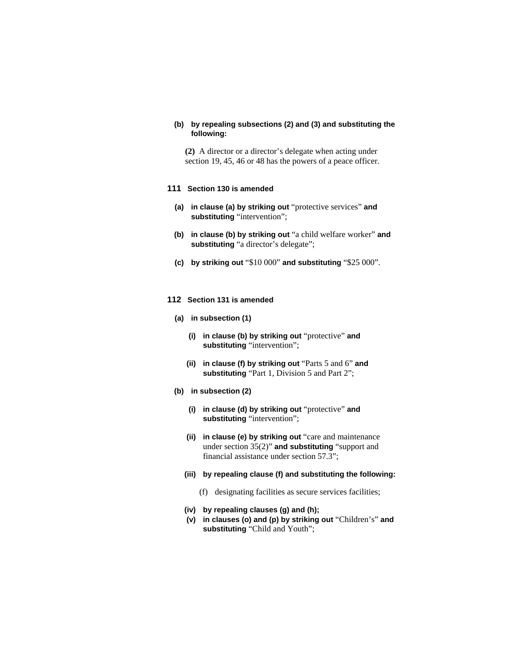# **(b) by repealing subsections (2) and (3) and substituting the following:**

**(2)** A director or a director's delegate when acting under section 19, 45, 46 or 48 has the powers of a peace officer.

#### **111 Section 130 is amended**

- **(a) in clause (a) by striking out** "protective services" **and substituting** "intervention";
- **(b) in clause (b) by striking out** "a child welfare worker" **and substituting** "a director's delegate";
- **(c) by striking out** "\$10 000" **and substituting** "\$25 000".
- **112 Section 131 is amended** 
	- **(a) in subsection (1)**
		- **(i) in clause (b) by striking out** "protective" **and substituting** "intervention";
		- **(ii) in clause (f) by striking out** "Parts 5 and 6" **and substituting** "Part 1, Division 5 and Part 2";
	- **(b) in subsection (2)**
		- **(i) in clause (d) by striking out** "protective" **and substituting** "intervention";
		- **(ii) in clause (e) by striking out** "care and maintenance under section 35(2)" **and substituting** "support and financial assistance under section 57.3";
		- **(iii) by repealing clause (f) and substituting the following:** 
			- (f) designating facilities as secure services facilities;
		- **(iv) by repealing clauses (g) and (h);**
		- **(v) in clauses (o) and (p) by striking out** "Children's" **and substituting** "Child and Youth";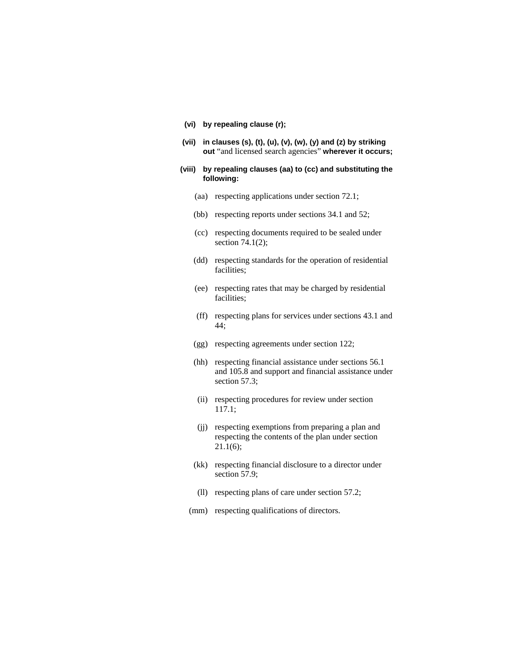- **(vi) by repealing clause (r);**
- **(vii) in clauses (s), (t), (u), (v), (w), (y) and (z) by striking out** "and licensed search agencies" **wherever it occurs;**

#### **(viii) by repealing clauses (aa) to (cc) and substituting the following:**

- (aa) respecting applications under section 72.1;
- (bb) respecting reports under sections 34.1 and 52;
- (cc) respecting documents required to be sealed under section 74.1(2);
- (dd) respecting standards for the operation of residential facilities;
- (ee) respecting rates that may be charged by residential facilities;
- (ff) respecting plans for services under sections 43.1 and 44;
- (gg) respecting agreements under section 122;
- (hh) respecting financial assistance under sections 56.1 and 105.8 and support and financial assistance under section 57.3;
- (ii) respecting procedures for review under section 117.1;
- (jj) respecting exemptions from preparing a plan and respecting the contents of the plan under section  $21.1(6)$ ;
- (kk) respecting financial disclosure to a director under section 57.9:
- (ll) respecting plans of care under section 57.2;
- (mm) respecting qualifications of directors.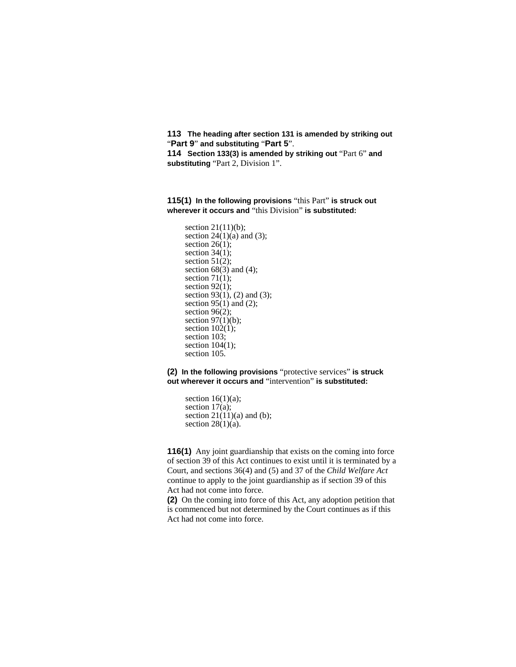**113 The heading after section 131 is amended by striking out**  "**Part 9**" **and substituting** "**Part 5**".

**114 Section 133(3) is amended by striking out** "Part 6" **and substituting** "Part 2, Division 1".

**115(1) In the following provisions** "this Part" **is struck out wherever it occurs and** "this Division" **is substituted:** 

section  $21(11)(b)$ ; section  $24(1)(a)$  and (3); section  $26(1)$ ; section  $34(1)$ ; section  $51(2)$ ; section  $68(3)$  and (4); section  $71(1)$ ; section  $92(1)$ ; section 93 $(1)$ , (2) and (3); section 95 $(1)$  and (2); section 96(2); section  $97(1)(b)$ ; section  $102(1)$ ; section 103; section  $104(1)$ ; section 105.

**(2) In the following provisions** "protective services" **is struck out wherever it occurs and** "intervention" **is substituted:**

section  $16(1)(a)$ ; section  $17(a)$ ; section  $21(11)(a)$  and (b); section  $28(1)(a)$ .

**116(1)** Any joint guardianship that exists on the coming into force of section 39 of this Act continues to exist until it is terminated by a Court, and sections 36(4) and (5) and 37 of the *Child Welfare Act* continue to apply to the joint guardianship as if section 39 of this Act had not come into force.

**(2)** On the coming into force of this Act, any adoption petition that is commenced but not determined by the Court continues as if this Act had not come into force.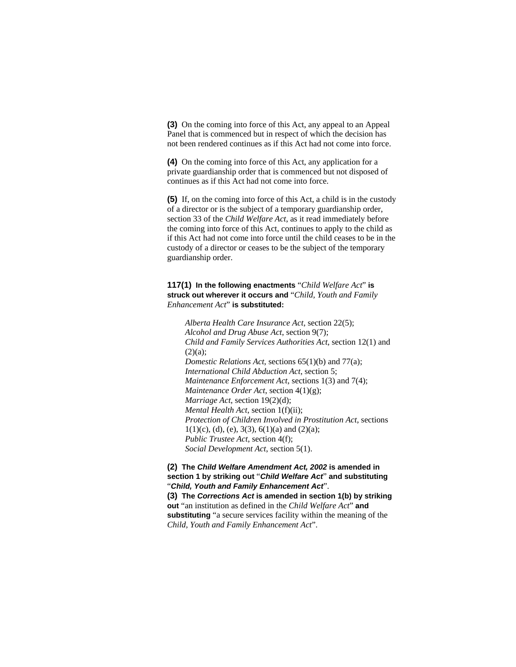**(3)** On the coming into force of this Act, any appeal to an Appeal Panel that is commenced but in respect of which the decision has not been rendered continues as if this Act had not come into force.

**(4)** On the coming into force of this Act, any application for a private guardianship order that is commenced but not disposed of continues as if this Act had not come into force.

**(5)** If, on the coming into force of this Act, a child is in the custody of a director or is the subject of a temporary guardianship order, section 33 of the *Child Welfare Act*, as it read immediately before the coming into force of this Act, continues to apply to the child as if this Act had not come into force until the child ceases to be in the custody of a director or ceases to be the subject of the temporary guardianship order.

# **117(1) In the following enactments** "*Child Welfare Act*" **is struck out wherever it occurs and** "*Child, Youth and Family Enhancement Act*" **is substituted:**

*Alberta Health Care Insurance Act*, section 22(5); *Alcohol and Drug Abuse Act*, section 9(7); *Child and Family Services Authorities Act*, section 12(1) and  $(2)(a)$ ; *Domestic Relations Act*, sections 65(1)(b) and 77(a); *International Child Abduction Act*, section 5; *Maintenance Enforcement Act*, sections 1(3) and 7(4); *Maintenance Order Act*, section 4(1)(g); *Marriage Act*, section 19(2)(d); *Mental Health Act*, section 1(f)(ii); *Protection of Children Involved in Prostitution Act*, sections  $1(1)(c)$ , (d), (e), 3(3), 6(1)(a) and (2)(a); *Public Trustee Act*, section 4(f); *Social Development Act*, section 5(1).

# **(2) The** *Child Welfare Amendment Act, 2002* **is amended in section 1 by striking out** "*Child Welfare Act*" **and substituting**  "*Child, Youth and Family Enhancement Act*".

**(3) The** *Corrections Act* **is amended in section 1(b) by striking out** "an institution as defined in the *Child Welfare Act*" **and substituting** "a secure services facility within the meaning of the *Child, Youth and Family Enhancement Act*".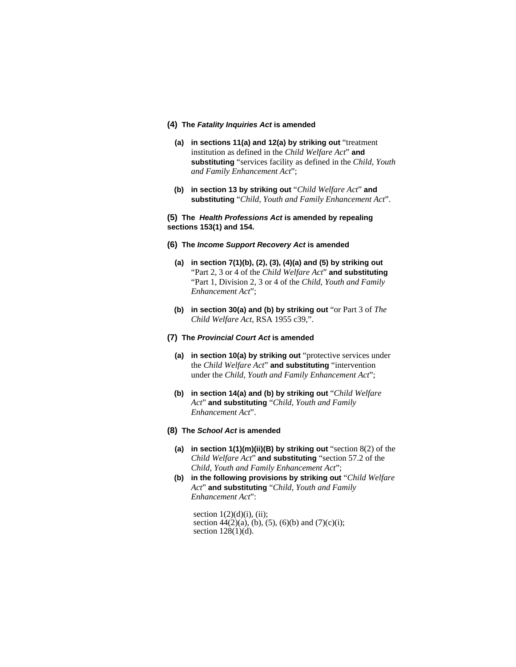#### **(4) The** *Fatality Inquiries Act* **is amended**

- **(a) in sections 11(a) and 12(a) by striking out** "treatment institution as defined in the *Child Welfare Act*" **and substituting** "services facility as defined in the *Child, Youth and Family Enhancement Act*";
- **(b) in section 13 by striking out** "*Child Welfare Act*" **and substituting** "*Child, Youth and Family Enhancement Act*".

### **(5) The** *Health Professions Act* **is amended by repealing sections 153(1) and 154.**

- **(6) The** *Income Support Recovery Act* **is amended** 
	- **(a) in section 7(1)(b), (2), (3), (4)(a) and (5) by striking out**  "Part 2, 3 or 4 of the *Child Welfare Act*" **and substituting**  "Part 1, Division 2, 3 or 4 of the *Child, Youth and Family Enhancement Act*";
	- **(b) in section 30(a) and (b) by striking out** "or Part 3 of *The Child Welfare Act*, RSA 1955 c39,".

#### **(7) The** *Provincial Court Act* **is amended**

- **(a) in section 10(a) by striking out** "protective services under the *Child Welfare Act*" **and substituting** "intervention under the *Child, Youth and Family Enhancement Act*";
- **(b) in section 14(a) and (b) by striking out** "*Child Welfare Act*" **and substituting** "*Child, Youth and Family Enhancement Act*".
- **(8) The** *School Act* **is amended**
	- **(a) in section 1(1)(m)(ii)(B) by striking out** "section 8(2) of the *Child Welfare Act*" **and substituting** "section 57.2 of the *Child, Youth and Family Enhancement Act*";
	- **(b) in the following provisions by striking out** "*Child Welfare Act*" **and substituting** "*Child, Youth and Family Enhancement Act*":

section  $1(2)(d)(i)$ , (ii); section 44(2)(a), (b), (5), (6)(b) and (7)(c)(i); section  $128(1)(d)$ .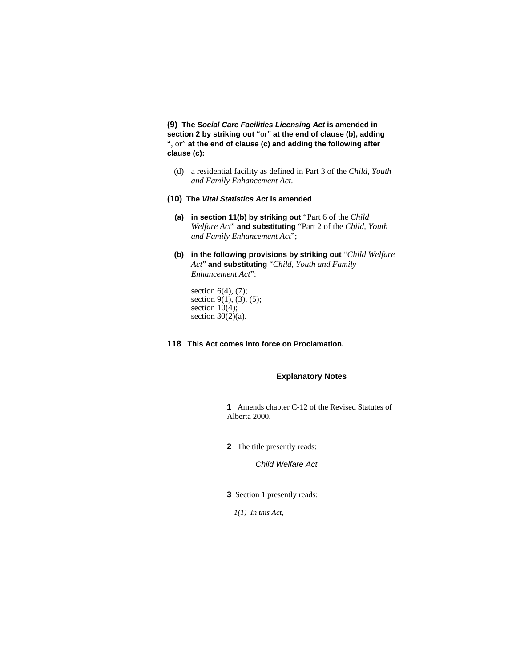**(9) The** *Social Care Facilities Licensing Act* **is amended in section 2 by striking out** "or" **at the end of clause (b), adding**  ", or" **at the end of clause (c) and adding the following after clause (c):** 

- (d) a residential facility as defined in Part 3 of the *Child, Youth and Family Enhancement Act*.
- **(10) The** *Vital Statistics Act* **is amended** 
	- **(a) in section 11(b) by striking out** "Part 6 of the *Child Welfare Act*" **and substituting** "Part 2 of the *Child, Youth and Family Enhancement Act*";
	- **(b) in the following provisions by striking out** "*Child Welfare Act*" **and substituting** "*Child, Youth and Family Enhancement Act*":

section  $6(4)$ ,  $(7)$ ; section  $9(1)$ ,  $(3)$ ,  $(5)$ ; section  $10(4)$ ; section 30(2)(a).

**118 This Act comes into force on Proclamation.** 

# **Explanatory Notes**

**1** Amends chapter C-12 of the Revised Statutes of Alberta 2000.

**2** The title presently reads:

*Child Welfare Act*

**3** Section 1 presently reads:

*1(1) In this Act,*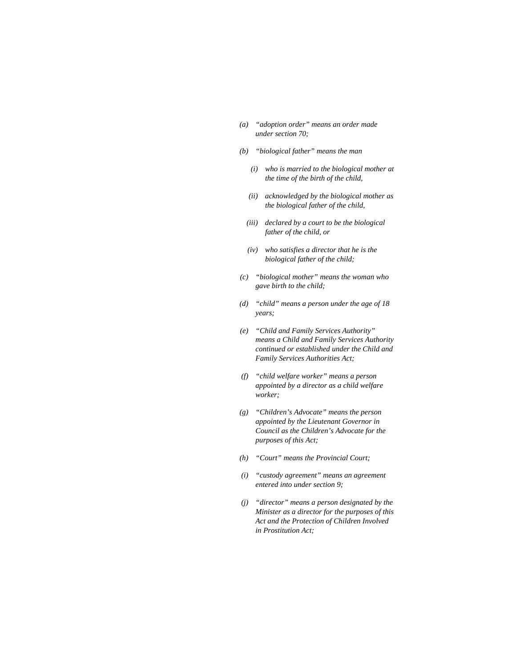- *(a) "adoption order" means an order made under section 70;*
- *(b) "biological father" means the man* 
	- *(i) who is married to the biological mother at the time of the birth of the child,*
	- *(ii) acknowledged by the biological mother as the biological father of the child,*
	- *(iii) declared by a court to be the biological father of the child, or*
	- *(iv) who satisfies a director that he is the biological father of the child;*
- *(c) "biological mother" means the woman who gave birth to the child;*
- *(d) "child" means a person under the age of 18 years;*
- *(e) "Child and Family Services Authority" means a Child and Family Services Authority continued or established under the Child and Family Services Authorities Act;*
- *(f) "child welfare worker" means a person appointed by a director as a child welfare worker;*
- *(g) "Children's Advocate" means the person appointed by the Lieutenant Governor in Council as the Children's Advocate for the purposes of this Act;*
- *(h) "Court" means the Provincial Court;*
- *(i) "custody agreement" means an agreement entered into under section 9;*
- *(j) "director" means a person designated by the Minister as a director for the purposes of this Act and the Protection of Children Involved in Prostitution Act;*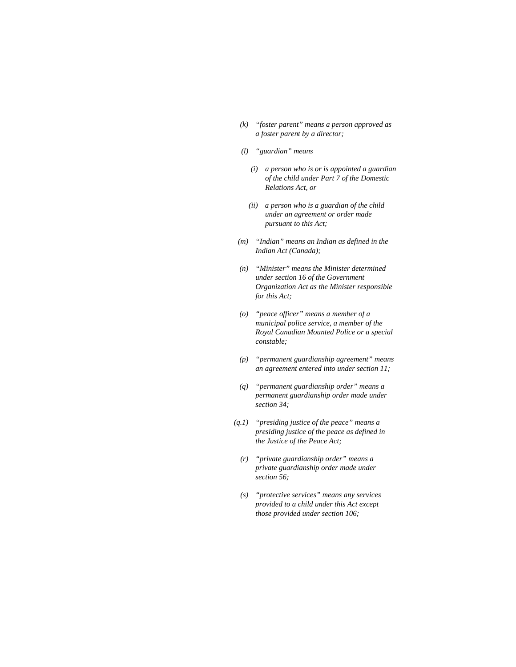- *(k) "foster parent" means a person approved as a foster parent by a director;*
- *(l) "guardian" means* 
	- *(i) a person who is or is appointed a guardian of the child under Part 7 of the Domestic Relations Act, or*
	- *(ii) a person who is a guardian of the child under an agreement or order made pursuant to this Act;*
- *(m) "Indian" means an Indian as defined in the Indian Act (Canada);*
- *(n) "Minister" means the Minister determined under section 16 of the Government Organization Act as the Minister responsible for this Act;*
- *(o) "peace officer" means a member of a municipal police service, a member of the Royal Canadian Mounted Police or a special constable;*
- *(p) "permanent guardianship agreement" means an agreement entered into under section 11;*
- *(q) "permanent guardianship order" means a permanent guardianship order made under section 34;*
- *(q.1) "presiding justice of the peace" means a presiding justice of the peace as defined in the Justice of the Peace Act;* 
	- *(r) "private guardianship order" means a private guardianship order made under section 56;*
	- *(s) "protective services" means any services provided to a child under this Act except those provided under section 106;*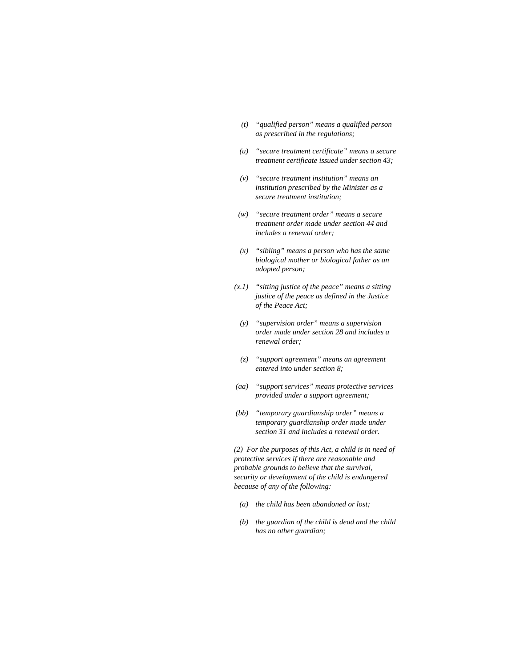- *(t) "qualified person" means a qualified person as prescribed in the regulations;*
- *(u) "secure treatment certificate" means a secure treatment certificate issued under section 43;*
- *(v) "secure treatment institution" means an institution prescribed by the Minister as a secure treatment institution;*
- *(w) "secure treatment order" means a secure treatment order made under section 44 and includes a renewal order;*
- *(x) "sibling" means a person who has the same biological mother or biological father as an adopted person;*
- *(x.1) "sitting justice of the peace" means a sitting justice of the peace as defined in the Justice of the Peace Act;*
- *(y) "supervision order" means a supervision order made under section 28 and includes a renewal order;*
- *(z) "support agreement" means an agreement entered into under section 8;*
- *(aa) "support services" means protective services provided under a support agreement;*
- *(bb) "temporary guardianship order" means a temporary guardianship order made under section 31 and includes a renewal order.*

*(2) For the purposes of this Act, a child is in need of protective services if there are reasonable and probable grounds to believe that the survival, security or development of the child is endangered because of any of the following:* 

- *(a) the child has been abandoned or lost;*
- *(b) the guardian of the child is dead and the child has no other guardian;*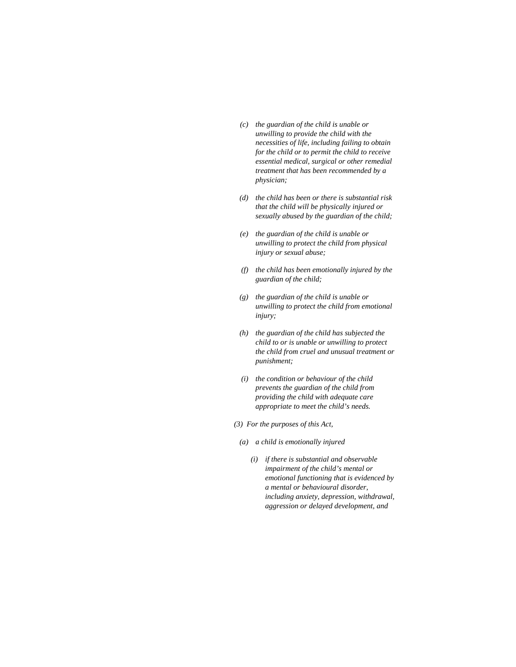- *(c) the guardian of the child is unable or unwilling to provide the child with the necessities of life, including failing to obtain for the child or to permit the child to receive essential medical, surgical or other remedial treatment that has been recommended by a physician;*
- *(d) the child has been or there is substantial risk that the child will be physically injured or sexually abused by the guardian of the child;*
- *(e) the guardian of the child is unable or unwilling to protect the child from physical injury or sexual abuse;*
- *(f) the child has been emotionally injured by the guardian of the child;*
- *(g) the guardian of the child is unable or unwilling to protect the child from emotional injury;*
- *(h) the guardian of the child has subjected the child to or is unable or unwilling to protect the child from cruel and unusual treatment or punishment;*
- *(i) the condition or behaviour of the child prevents the guardian of the child from providing the child with adequate care appropriate to meet the child's needs.*
- *(3) For the purposes of this Act,*
- *(a) a child is emotionally injured* 
	- *(i) if there is substantial and observable impairment of the child's mental or emotional functioning that is evidenced by a mental or behavioural disorder, including anxiety, depression, withdrawal, aggression or delayed development, and*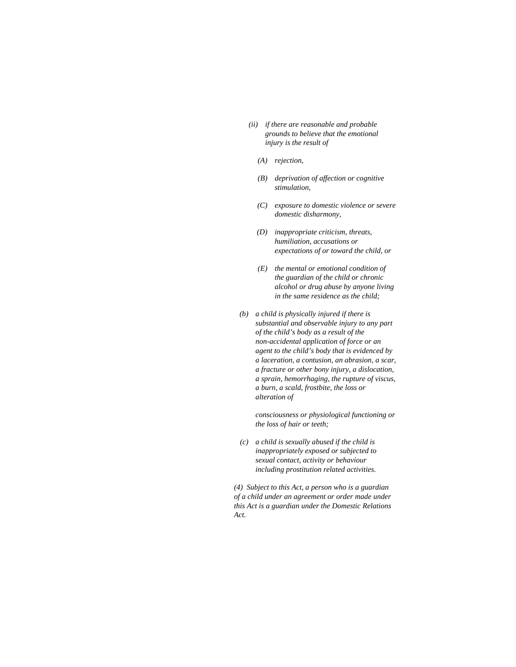- *(ii) if there are reasonable and probable grounds to believe that the emotional injury is the result of* 
	- *(A) rejection,*
	- *(B) deprivation of affection or cognitive stimulation,*
	- *(C) exposure to domestic violence or severe domestic disharmony,*
	- *(D) inappropriate criticism, threats, humiliation, accusations or expectations of or toward the child, or*
	- *(E) the mental or emotional condition of the guardian of the child or chronic alcohol or drug abuse by anyone living in the same residence as the child;*
- *(b) a child is physically injured if there is substantial and observable injury to any part of the child's body as a result of the non-accidental application of force or an agent to the child's body that is evidenced by a laceration, a contusion, an abrasion, a scar, a fracture or other bony injury, a dislocation, a sprain, hemorrhaging, the rupture of viscus, a burn, a scald, frostbite, the loss or alteration of*

 *consciousness or physiological functioning or the loss of hair or teeth;* 

 *(c) a child is sexually abused if the child is inappropriately exposed or subjected to sexual contact, activity or behaviour including prostitution related activities.* 

*(4) Subject to this Act, a person who is a guardian of a child under an agreement or order made under this Act is a guardian under the Domestic Relations Act.*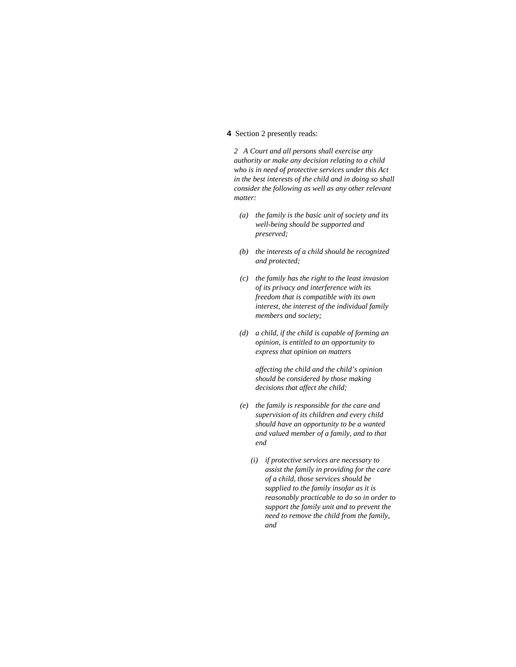## **4** Section 2 presently reads:

*2 A Court and all persons shall exercise any authority or make any decision relating to a child who is in need of protective services under this Act in the best interests of the child and in doing so shall consider the following as well as any other relevant matter:* 

- *(a) the family is the basic unit of society and its well-being should be supported and preserved;*
- *(b) the interests of a child should be recognized and protected;*
- *(c) the family has the right to the least invasion of its privacy and interference with its freedom that is compatible with its own interest, the interest of the individual family members and society;*
- *(d) a child, if the child is capable of forming an opinion, is entitled to an opportunity to express that opinion on matters*

 *affecting the child and the child's opinion should be considered by those making decisions that affect the child;* 

- *(e) the family is responsible for the care and supervision of its children and every child should have an opportunity to be a wanted and valued member of a family, and to that end* 
	- *(i) if protective services are necessary to assist the family in providing for the care of a child, those services should be supplied to the family insofar as it is reasonably practicable to do so in order to support the family unit and to prevent the need to remove the child from the family, and*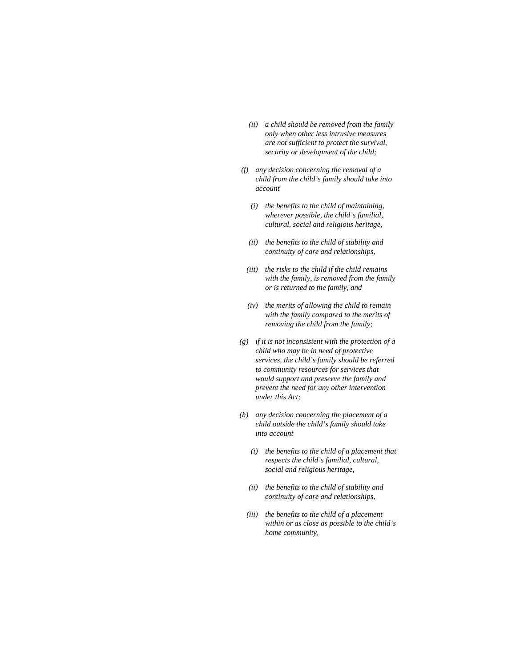- *(ii) a child should be removed from the family only when other less intrusive measures are not sufficient to protect the survival, security or development of the child;*
- *(f) any decision concerning the removal of a child from the child's family should take into account* 
	- *(i) the benefits to the child of maintaining, wherever possible, the child's familial, cultural, social and religious heritage,*
	- *(ii) the benefits to the child of stability and continuity of care and relationships,*
	- *(iii) the risks to the child if the child remains with the family, is removed from the family or is returned to the family, and*
	- *(iv) the merits of allowing the child to remain with the family compared to the merits of removing the child from the family;*
- *(g) if it is not inconsistent with the protection of a child who may be in need of protective services, the child's family should be referred to community resources for services that would support and preserve the family and prevent the need for any other intervention under this Act;*
- *(h) any decision concerning the placement of a child outside the child's family should take into account* 
	- *(i) the benefits to the child of a placement that respects the child's familial, cultural, social and religious heritage,*
	- *(ii) the benefits to the child of stability and continuity of care and relationships,*
	- *(iii) the benefits to the child of a placement within or as close as possible to the child's home community,*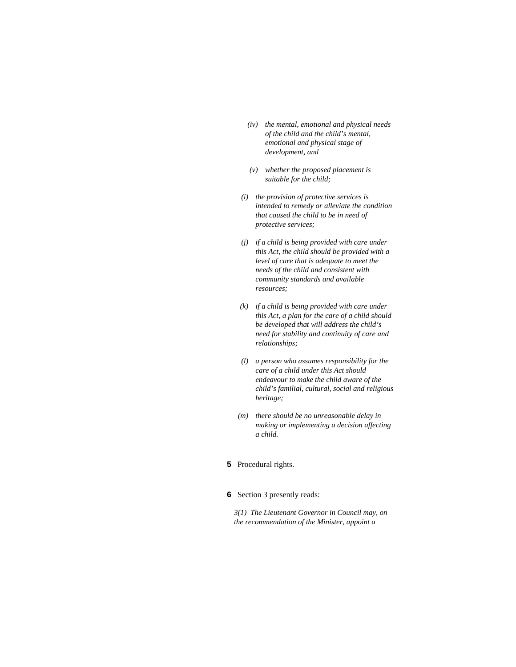- *(iv) the mental, emotional and physical needs of the child and the child's mental, emotional and physical stage of development, and*
- *(v) whether the proposed placement is suitable for the child;*
- *(i) the provision of protective services is intended to remedy or alleviate the condition that caused the child to be in need of protective services;*
- *(j) if a child is being provided with care under this Act, the child should be provided with a level of care that is adequate to meet the needs of the child and consistent with community standards and available resources;*
- *(k) if a child is being provided with care under this Act, a plan for the care of a child should be developed that will address the child's need for stability and continuity of care and relationships;*
- *(l) a person who assumes responsibility for the care of a child under this Act should endeavour to make the child aware of the child's familial, cultural, social and religious heritage;*
- *(m) there should be no unreasonable delay in making or implementing a decision affecting a child.*

## **5** Procedural rights.

### **6** Section 3 presently reads:

*3(1) The Lieutenant Governor in Council may, on the recommendation of the Minister, appoint a*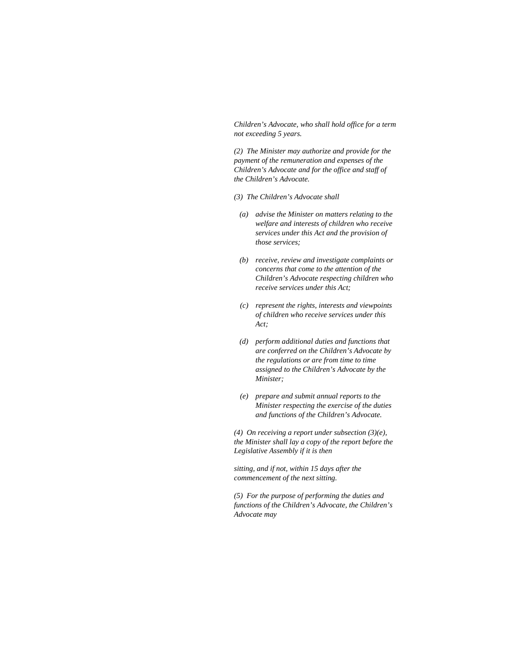*Children's Advocate, who shall hold office for a term not exceeding 5 years.* 

*(2) The Minister may authorize and provide for the payment of the remuneration and expenses of the Children's Advocate and for the office and staff of the Children's Advocate.* 

- *(3) The Children's Advocate shall*
- *(a) advise the Minister on matters relating to the welfare and interests of children who receive services under this Act and the provision of those services;*
- *(b) receive, review and investigate complaints or concerns that come to the attention of the Children's Advocate respecting children who receive services under this Act;*
- *(c) represent the rights, interests and viewpoints of children who receive services under this Act;*
- *(d) perform additional duties and functions that are conferred on the Children's Advocate by the regulations or are from time to time assigned to the Children's Advocate by the Minister;*
- *(e) prepare and submit annual reports to the Minister respecting the exercise of the duties and functions of the Children's Advocate.*

*(4) On receiving a report under subsection (3)(e), the Minister shall lay a copy of the report before the Legislative Assembly if it is then* 

*sitting, and if not, within 15 days after the commencement of the next sitting.* 

*(5) For the purpose of performing the duties and functions of the Children's Advocate, the Children's Advocate may*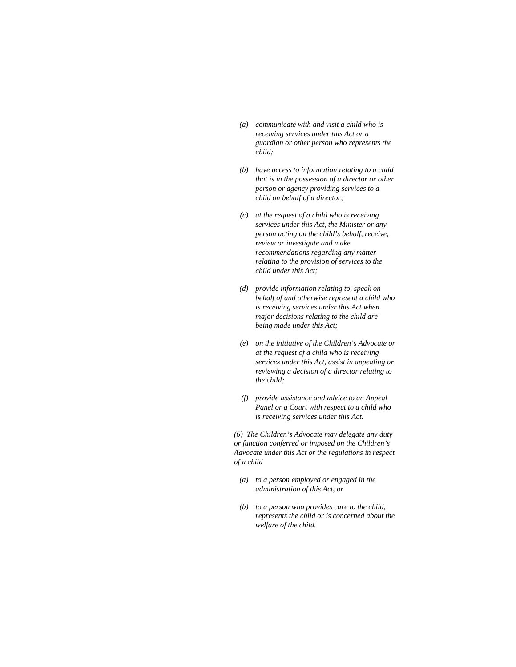- *(a) communicate with and visit a child who is receiving services under this Act or a guardian or other person who represents the child;*
- *(b) have access to information relating to a child that is in the possession of a director or other person or agency providing services to a child on behalf of a director;*
- *(c) at the request of a child who is receiving services under this Act, the Minister or any person acting on the child's behalf, receive, review or investigate and make recommendations regarding any matter relating to the provision of services to the child under this Act;*
- *(d) provide information relating to, speak on behalf of and otherwise represent a child who is receiving services under this Act when major decisions relating to the child are being made under this Act;*
- *(e) on the initiative of the Children's Advocate or at the request of a child who is receiving services under this Act, assist in appealing or reviewing a decision of a director relating to the child;*
- *(f) provide assistance and advice to an Appeal Panel or a Court with respect to a child who is receiving services under this Act.*

*(6) The Children's Advocate may delegate any duty or function conferred or imposed on the Children's Advocate under this Act or the regulations in respect of a child* 

- *(a) to a person employed or engaged in the administration of this Act, or*
- *(b) to a person who provides care to the child, represents the child or is concerned about the welfare of the child.*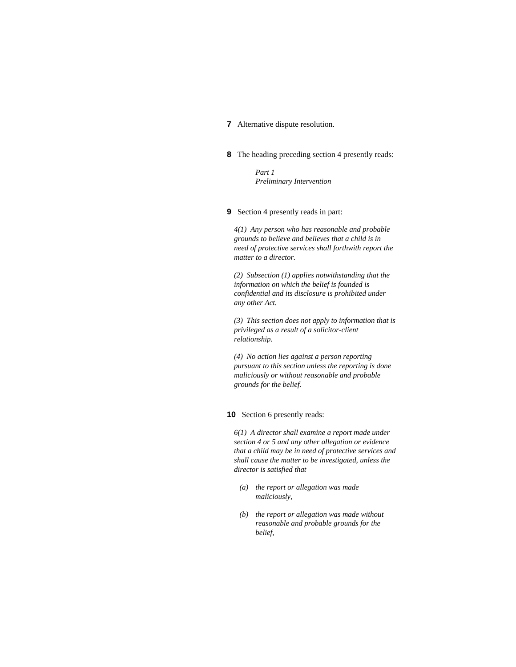## **7** Alternative dispute resolution.

**8** The heading preceding section 4 presently reads:

 *Part 1 Preliminary Intervention* 

**9** Section 4 presently reads in part:

*4(1) Any person who has reasonable and probable grounds to believe and believes that a child is in need of protective services shall forthwith report the matter to a director.* 

*(2) Subsection (1) applies notwithstanding that the information on which the belief is founded is confidential and its disclosure is prohibited under any other Act.* 

*(3) This section does not apply to information that is privileged as a result of a solicitor-client relationship.* 

*(4) No action lies against a person reporting pursuant to this section unless the reporting is done maliciously or without reasonable and probable grounds for the belief.* 

### **10** Section 6 presently reads:

*6(1) A director shall examine a report made under section 4 or 5 and any other allegation or evidence that a child may be in need of protective services and shall cause the matter to be investigated, unless the director is satisfied that* 

- *(a) the report or allegation was made maliciously,*
- *(b) the report or allegation was made without reasonable and probable grounds for the belief,*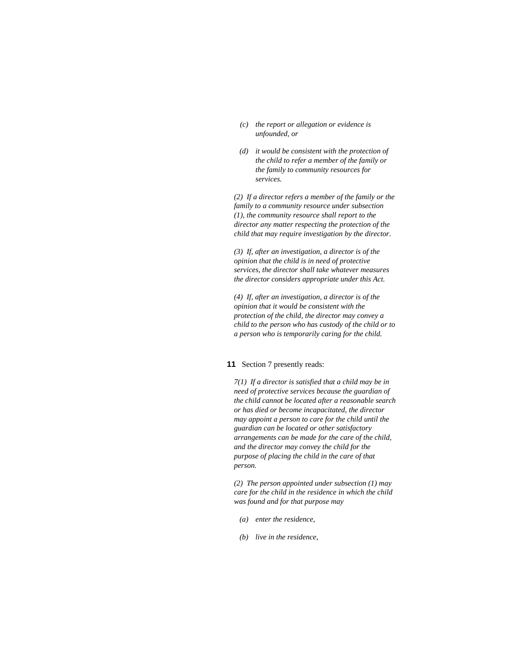- *(c) the report or allegation or evidence is unfounded, or*
- *(d) it would be consistent with the protection of the child to refer a member of the family or the family to community resources for services.*

*(2) If a director refers a member of the family or the family to a community resource under subsection (1), the community resource shall report to the director any matter respecting the protection of the child that may require investigation by the director.* 

*(3) If, after an investigation, a director is of the opinion that the child is in need of protective services, the director shall take whatever measures the director considers appropriate under this Act.* 

*(4) If, after an investigation, a director is of the opinion that it would be consistent with the protection of the child, the director may convey a child to the person who has custody of the child or to a person who is temporarily caring for the child.* 

### **11** Section 7 presently reads:

*7(1) If a director is satisfied that a child may be in need of protective services because the guardian of the child cannot be located after a reasonable search or has died or become incapacitated, the director may appoint a person to care for the child until the guardian can be located or other satisfactory arrangements can be made for the care of the child, and the director may convey the child for the purpose of placing the child in the care of that person.* 

*(2) The person appointed under subsection (1) may care for the child in the residence in which the child was found and for that purpose may* 

- *(a) enter the residence,*
- *(b) live in the residence,*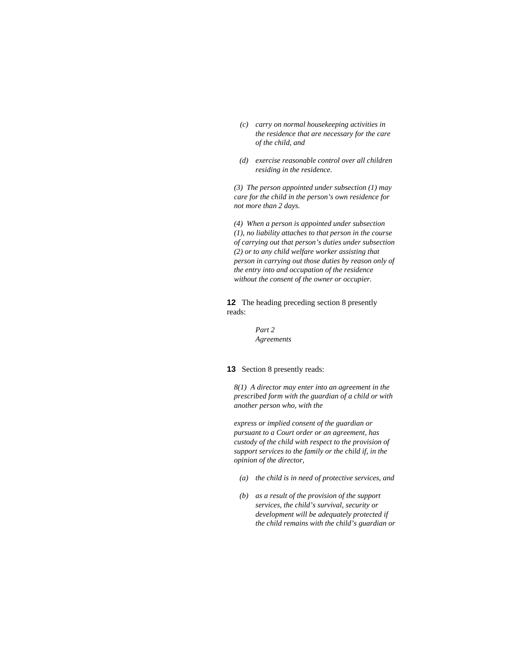- *(c) carry on normal housekeeping activities in the residence that are necessary for the care of the child, and*
- *(d) exercise reasonable control over all children residing in the residence.*

*(3) The person appointed under subsection (1) may care for the child in the person's own residence for not more than 2 days.* 

*(4) When a person is appointed under subsection (1), no liability attaches to that person in the course of carrying out that person's duties under subsection (2) or to any child welfare worker assisting that person in carrying out those duties by reason only of the entry into and occupation of the residence without the consent of the owner or occupier.* 

**12** The heading preceding section 8 presently reads:

> *Part 2 Agreements*

#### **13** Section 8 presently reads:

*8(1) A director may enter into an agreement in the prescribed form with the guardian of a child or with another person who, with the* 

*express or implied consent of the guardian or pursuant to a Court order or an agreement, has custody of the child with respect to the provision of support services to the family or the child if, in the opinion of the director,* 

- *(a) the child is in need of protective services, and*
- *(b) as a result of the provision of the support services, the child's survival, security or development will be adequately protected if the child remains with the child's guardian or*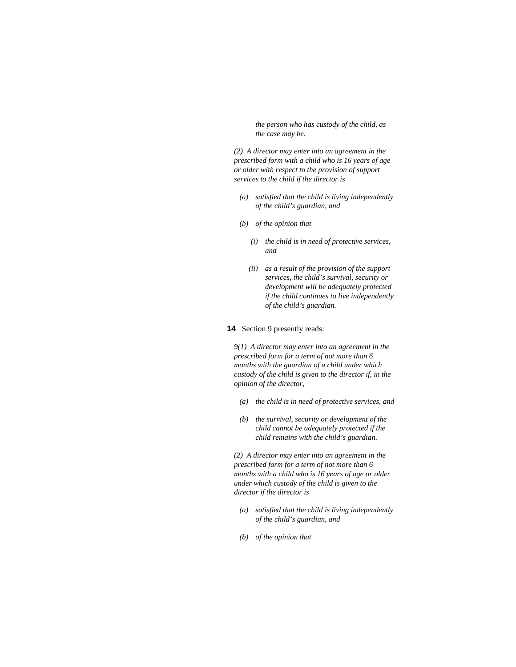*the person who has custody of the child, as the case may be.* 

*(2) A director may enter into an agreement in the prescribed form with a child who is 16 years of age or older with respect to the provision of support services to the child if the director is* 

- *(a) satisfied that the child is living independently of the child's guardian, and*
- *(b) of the opinion that* 
	- *(i) the child is in need of protective services, and*
	- *(ii) as a result of the provision of the support services, the child's survival, security or development will be adequately protected if the child continues to live independently of the child's guardian.*

## **14** Section 9 presently reads:

*9(1) A director may enter into an agreement in the prescribed form for a term of not more than 6 months with the guardian of a child under which custody of the child is given to the director if, in the opinion of the director,* 

- *(a) the child is in need of protective services, and*
- *(b) the survival, security or development of the child cannot be adequately protected if the child remains with the child's guardian.*

*(2) A director may enter into an agreement in the prescribed form for a term of not more than 6 months with a child who is 16 years of age or older under which custody of the child is given to the director if the director is* 

- *(a) satisfied that the child is living independently of the child's guardian, and*
- *(b) of the opinion that*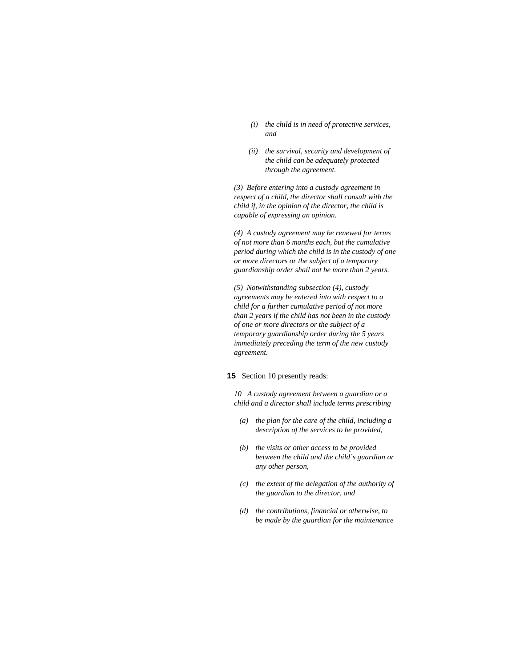- *(i) the child is in need of protective services, and*
- *(ii) the survival, security and development of the child can be adequately protected through the agreement.*

*(3) Before entering into a custody agreement in respect of a child, the director shall consult with the child if, in the opinion of the director, the child is capable of expressing an opinion.* 

*(4) A custody agreement may be renewed for terms of not more than 6 months each, but the cumulative period during which the child is in the custody of one or more directors or the subject of a temporary guardianship order shall not be more than 2 years.* 

*(5) Notwithstanding subsection (4), custody agreements may be entered into with respect to a child for a further cumulative period of not more than 2 years if the child has not been in the custody of one or more directors or the subject of a temporary guardianship order during the 5 years immediately preceding the term of the new custody agreement.* 

### **15** Section 10 presently reads:

*10 A custody agreement between a guardian or a child and a director shall include terms prescribing* 

- *(a) the plan for the care of the child, including a description of the services to be provided,*
- *(b) the visits or other access to be provided between the child and the child's guardian or any other person,*
- *(c) the extent of the delegation of the authority of the guardian to the director, and*
- *(d) the contributions, financial or otherwise, to be made by the guardian for the maintenance*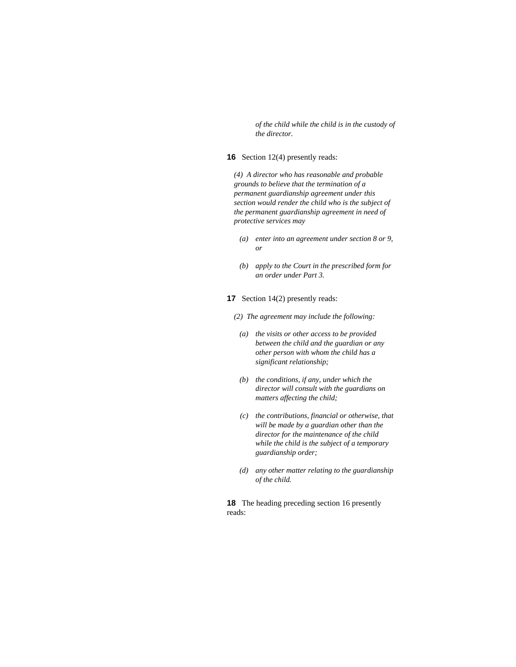*of the child while the child is in the custody of the director.* 

## **16** Section 12(4) presently reads:

*(4) A director who has reasonable and probable grounds to believe that the termination of a permanent guardianship agreement under this section would render the child who is the subject of the permanent guardianship agreement in need of protective services may* 

- *(a) enter into an agreement under section 8 or 9, or*
- *(b) apply to the Court in the prescribed form for an order under Part 3.*

**17** Section 14(2) presently reads:

*(2) The agreement may include the following:* 

- *(a) the visits or other access to be provided between the child and the guardian or any other person with whom the child has a significant relationship;*
- *(b) the conditions, if any, under which the director will consult with the guardians on matters affecting the child;*
- *(c) the contributions, financial or otherwise, that will be made by a guardian other than the director for the maintenance of the child while the child is the subject of a temporary guardianship order;*
- *(d) any other matter relating to the guardianship of the child.*

**18** The heading preceding section 16 presently reads: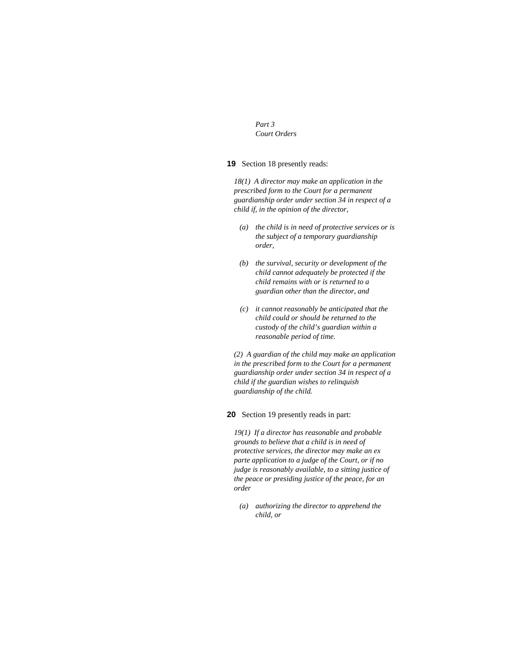*Part 3 Court Orders* 

## **19** Section 18 presently reads:

*18(1) A director may make an application in the prescribed form to the Court for a permanent guardianship order under section 34 in respect of a child if, in the opinion of the director,* 

- *(a) the child is in need of protective services or is the subject of a temporary guardianship order,*
- *(b) the survival, security or development of the child cannot adequately be protected if the child remains with or is returned to a guardian other than the director, and*
- *(c) it cannot reasonably be anticipated that the child could or should be returned to the custody of the child's guardian within a reasonable period of time.*

*(2) A guardian of the child may make an application in the prescribed form to the Court for a permanent guardianship order under section 34 in respect of a child if the guardian wishes to relinquish guardianship of the child.* 

**20** Section 19 presently reads in part:

*19(1) If a director has reasonable and probable grounds to believe that a child is in need of protective services, the director may make an ex parte application to a judge of the Court, or if no judge is reasonably available, to a sitting justice of the peace or presiding justice of the peace, for an order* 

 *(a) authorizing the director to apprehend the child, or*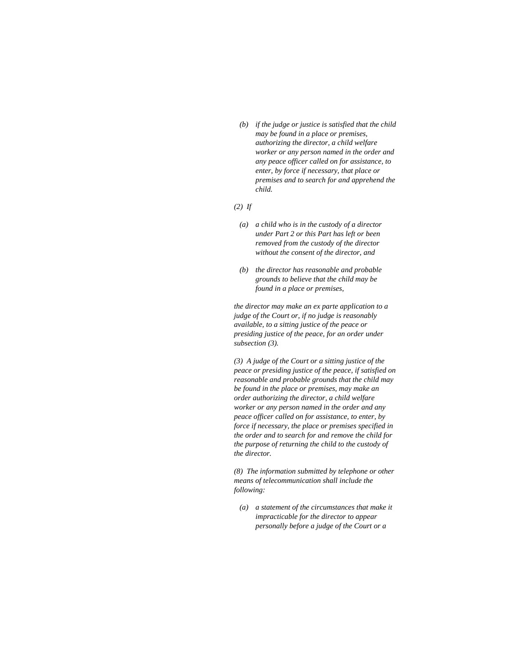*(b) if the judge or justice is satisfied that the child may be found in a place or premises, authorizing the director, a child welfare worker or any person named in the order and any peace officer called on for assistance, to enter, by force if necessary, that place or premises and to search for and apprehend the child.* 

#### *(2) If*

- *(a) a child who is in the custody of a director under Part 2 or this Part has left or been removed from the custody of the director without the consent of the director, and*
- *(b) the director has reasonable and probable grounds to believe that the child may be found in a place or premises,*

*the director may make an ex parte application to a judge of the Court or, if no judge is reasonably available, to a sitting justice of the peace or presiding justice of the peace, for an order under subsection (3).* 

*(3) A judge of the Court or a sitting justice of the peace or presiding justice of the peace, if satisfied on reasonable and probable grounds that the child may be found in the place or premises, may make an order authorizing the director, a child welfare worker or any person named in the order and any peace officer called on for assistance, to enter, by force if necessary, the place or premises specified in the order and to search for and remove the child for the purpose of returning the child to the custody of the director.* 

*(8) The information submitted by telephone or other means of telecommunication shall include the following:* 

 *(a) a statement of the circumstances that make it impracticable for the director to appear personally before a judge of the Court or a*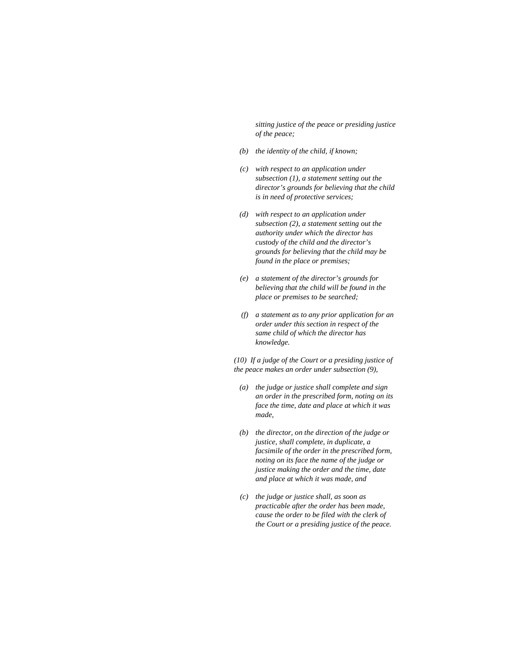*sitting justice of the peace or presiding justice of the peace;* 

- *(b) the identity of the child, if known;*
- *(c) with respect to an application under subsection (1), a statement setting out the director's grounds for believing that the child is in need of protective services;*
- *(d) with respect to an application under subsection (2), a statement setting out the authority under which the director has custody of the child and the director's grounds for believing that the child may be found in the place or premises;*
- *(e) a statement of the director's grounds for believing that the child will be found in the place or premises to be searched;*
- *(f) a statement as to any prior application for an order under this section in respect of the same child of which the director has knowledge.*

*(10) If a judge of the Court or a presiding justice of the peace makes an order under subsection (9),* 

- *(a) the judge or justice shall complete and sign an order in the prescribed form, noting on its face the time, date and place at which it was made,*
- *(b) the director, on the direction of the judge or justice, shall complete, in duplicate, a facsimile of the order in the prescribed form, noting on its face the name of the judge or justice making the order and the time, date and place at which it was made, and*
- *(c) the judge or justice shall, as soon as practicable after the order has been made, cause the order to be filed with the clerk of the Court or a presiding justice of the peace.*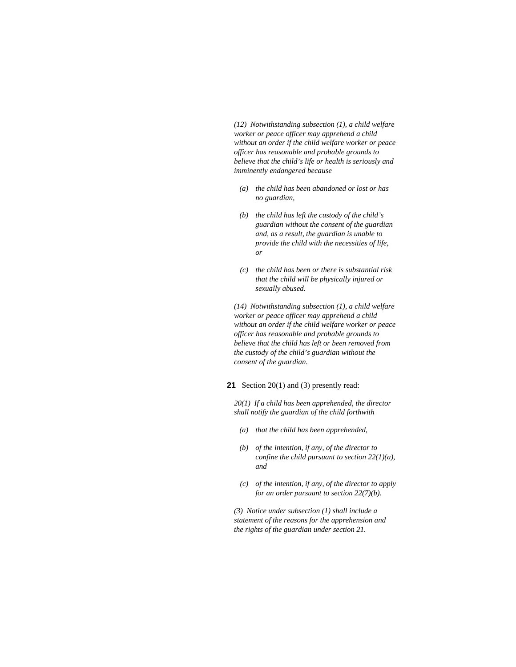*(12) Notwithstanding subsection (1), a child welfare worker or peace officer may apprehend a child without an order if the child welfare worker or peace officer has reasonable and probable grounds to believe that the child's life or health is seriously and imminently endangered because* 

- *(a) the child has been abandoned or lost or has no guardian,*
- *(b) the child has left the custody of the child's guardian without the consent of the guardian and, as a result, the guardian is unable to provide the child with the necessities of life, or*
- *(c) the child has been or there is substantial risk that the child will be physically injured or sexually abused.*

*(14) Notwithstanding subsection (1), a child welfare worker or peace officer may apprehend a child without an order if the child welfare worker or peace officer has reasonable and probable grounds to believe that the child has left or been removed from the custody of the child's guardian without the consent of the guardian.* 

# **21** Section 20(1) and (3) presently read:

*20(1) If a child has been apprehended, the director shall notify the guardian of the child forthwith* 

- *(a) that the child has been apprehended,*
- *(b) of the intention, if any, of the director to confine the child pursuant to section 22(1)(a), and*
- *(c) of the intention, if any, of the director to apply for an order pursuant to section 22(7)(b).*

*(3) Notice under subsection (1) shall include a statement of the reasons for the apprehension and the rights of the guardian under section 21.*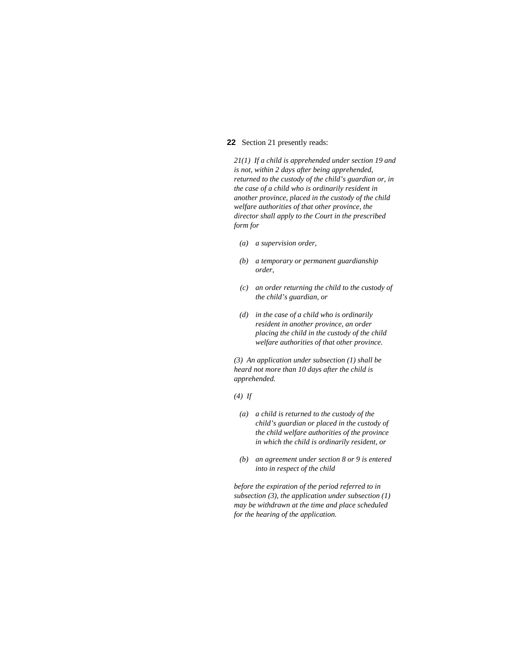### **22** Section 21 presently reads:

*21(1) If a child is apprehended under section 19 and is not, within 2 days after being apprehended, returned to the custody of the child's guardian or, in the case of a child who is ordinarily resident in another province, placed in the custody of the child welfare authorities of that other province, the director shall apply to the Court in the prescribed form for* 

- *(a) a supervision order,*
- *(b) a temporary or permanent guardianship order,*
- *(c) an order returning the child to the custody of the child's guardian, or*
- *(d) in the case of a child who is ordinarily resident in another province, an order placing the child in the custody of the child welfare authorities of that other province.*

*(3) An application under subsection (1) shall be heard not more than 10 days after the child is apprehended.* 

*(4) If* 

- *(a) a child is returned to the custody of the child's guardian or placed in the custody of the child welfare authorities of the province in which the child is ordinarily resident, or*
- *(b) an agreement under section 8 or 9 is entered into in respect of the child*

*before the expiration of the period referred to in subsection (3), the application under subsection (1) may be withdrawn at the time and place scheduled for the hearing of the application.*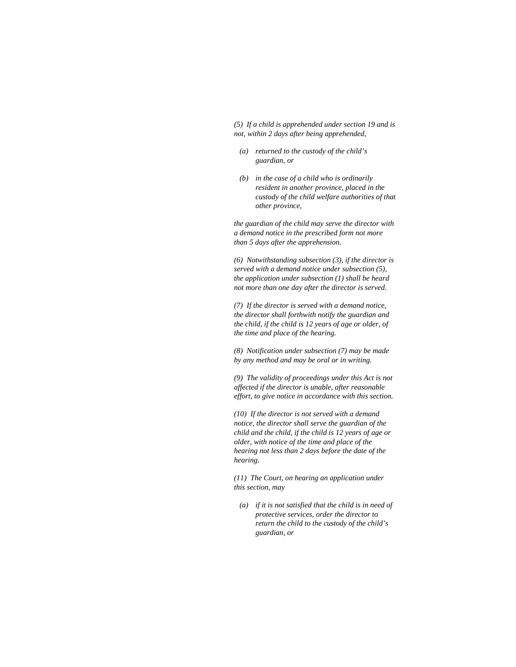*(5) If a child is apprehended under section 19 and is not, within 2 days after being apprehended,* 

- *(a) returned to the custody of the child's guardian, or*
- *(b) in the case of a child who is ordinarily resident in another province, placed in the custody of the child welfare authorities of that other province,*

*the guardian of the child may serve the director with a demand notice in the prescribed form not more than 5 days after the apprehension.* 

*(6) Notwithstanding subsection (3), if the director is served with a demand notice under subsection (5), the application under subsection (1) shall be heard not more than one day after the director is served.* 

*(7) If the director is served with a demand notice, the director shall forthwith notify the guardian and the child, if the child is 12 years of age or older, of the time and place of the hearing.* 

*(8) Notification under subsection (7) may be made by any method and may be oral or in writing.* 

*(9) The validity of proceedings under this Act is not affected if the director is unable, after reasonable effort, to give notice in accordance with this section.* 

*(10) If the director is not served with a demand notice, the director shall serve the guardian of the child and the child, if the child is 12 years of age or older, with notice of the time and place of the hearing not less than 2 days before the date of the hearing.* 

*(11) The Court, on hearing an application under this section, may* 

 *(a) if it is not satisfied that the child is in need of protective services, order the director to return the child to the custody of the child's guardian, or*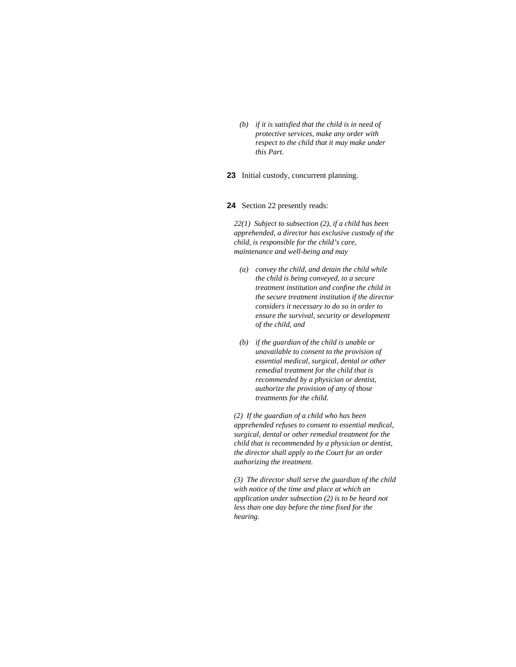*(b) if it is satisfied that the child is in need of protective services, make any order with respect to the child that it may make under this Part.* 

**23** Initial custody, concurrent planning.

#### **24** Section 22 presently reads:

*22(1) Subject to subsection (2), if a child has been apprehended, a director has exclusive custody of the child, is responsible for the child's care, maintenance and well-being and may* 

- *(a) convey the child, and detain the child while the child is being conveyed, to a secure treatment institution and confine the child in the secure treatment institution if the director considers it necessary to do so in order to ensure the survival, security or development of the child, and*
- *(b) if the guardian of the child is unable or unavailable to consent to the provision of essential medical, surgical, dental or other remedial treatment for the child that is recommended by a physician or dentist, authorize the provision of any of those treatments for the child.*

*(2) If the guardian of a child who has been apprehended refuses to consent to essential medical, surgical, dental or other remedial treatment for the child that is recommended by a physician or dentist, the director shall apply to the Court for an order authorizing the treatment.* 

*(3) The director shall serve the guardian of the child with notice of the time and place at which an application under subsection (2) is to be heard not less than one day before the time fixed for the hearing.*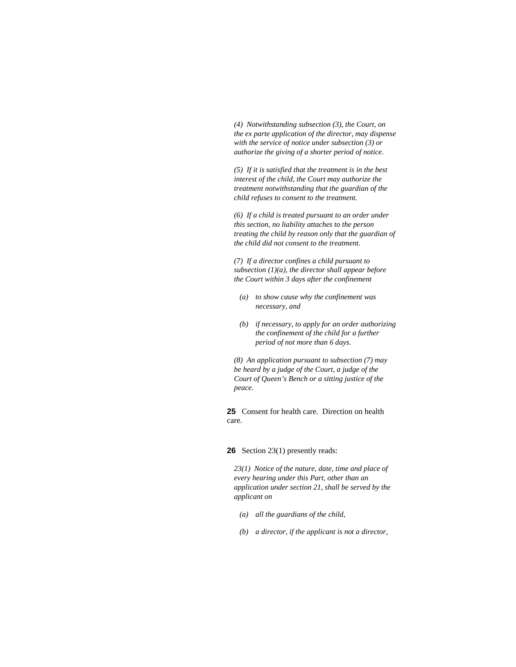*(4) Notwithstanding subsection (3), the Court, on the ex parte application of the director, may dispense with the service of notice under subsection (3) or authorize the giving of a shorter period of notice.* 

*(5) If it is satisfied that the treatment is in the best interest of the child, the Court may authorize the treatment notwithstanding that the guardian of the child refuses to consent to the treatment.* 

*(6) If a child is treated pursuant to an order under this section, no liability attaches to the person treating the child by reason only that the guardian of the child did not consent to the treatment.* 

*(7) If a director confines a child pursuant to subsection (1)(a), the director shall appear before the Court within 3 days after the confinement* 

- *(a) to show cause why the confinement was necessary, and*
- *(b) if necessary, to apply for an order authorizing the confinement of the child for a further period of not more than 6 days.*

*(8) An application pursuant to subsection (7) may be heard by a judge of the Court, a judge of the Court of Queen's Bench or a sitting justice of the peace.* 

**25** Consent for health care. Direction on health care.

**26** Section 23(1) presently reads:

*23(1) Notice of the nature, date, time and place of every hearing under this Part, other than an application under section 21, shall be served by the applicant on* 

- *(a) all the guardians of the child,*
- *(b) a director, if the applicant is not a director,*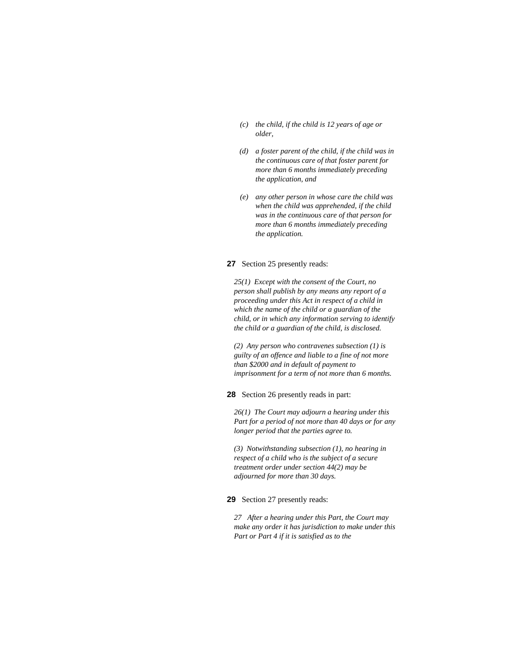- *(c) the child, if the child is 12 years of age or older,*
- *(d) a foster parent of the child, if the child was in the continuous care of that foster parent for more than 6 months immediately preceding the application, and*
- *(e) any other person in whose care the child was when the child was apprehended, if the child was in the continuous care of that person for more than 6 months immediately preceding the application.*

## **27** Section 25 presently reads:

*25(1) Except with the consent of the Court, no person shall publish by any means any report of a proceeding under this Act in respect of a child in which the name of the child or a guardian of the child, or in which any information serving to identify the child or a guardian of the child, is disclosed.* 

*(2) Any person who contravenes subsection (1) is guilty of an offence and liable to a fine of not more than \$2000 and in default of payment to imprisonment for a term of not more than 6 months.* 

**28** Section 26 presently reads in part:

*26(1) The Court may adjourn a hearing under this Part for a period of not more than 40 days or for any longer period that the parties agree to.* 

*(3) Notwithstanding subsection (1), no hearing in respect of a child who is the subject of a secure treatment order under section 44(2) may be adjourned for more than 30 days.* 

## **29** Section 27 presently reads:

*27 After a hearing under this Part, the Court may make any order it has jurisdiction to make under this Part or Part 4 if it is satisfied as to the*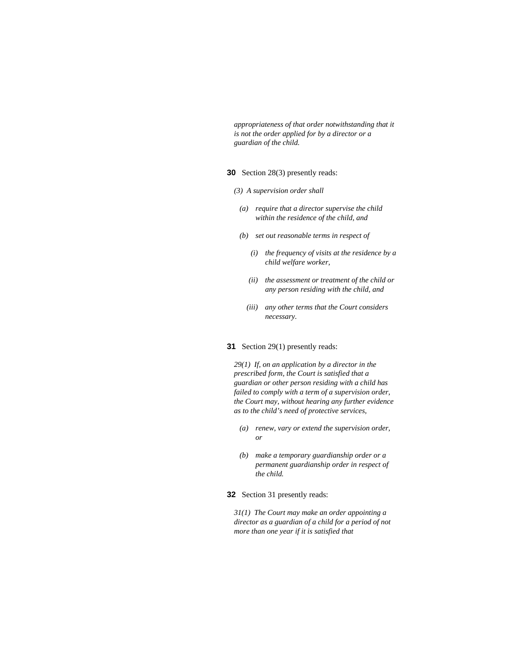*appropriateness of that order notwithstanding that it is not the order applied for by a director or a guardian of the child.* 

### **30** Section 28(3) presently reads:

- *(3) A supervision order shall* 
	- *(a) require that a director supervise the child within the residence of the child, and*
- *(b) set out reasonable terms in respect of* 
	- *(i) the frequency of visits at the residence by a child welfare worker,*
	- *(ii) the assessment or treatment of the child or any person residing with the child, and*
	- *(iii) any other terms that the Court considers necessary.*

## **31** Section 29(1) presently reads:

*29(1) If, on an application by a director in the prescribed form, the Court is satisfied that a guardian or other person residing with a child has failed to comply with a term of a supervision order, the Court may, without hearing any further evidence as to the child's need of protective services,* 

- *(a) renew, vary or extend the supervision order, or*
- *(b) make a temporary guardianship order or a permanent guardianship order in respect of the child.*

## **32** Section 31 presently reads:

*31(1) The Court may make an order appointing a director as a guardian of a child for a period of not more than one year if it is satisfied that*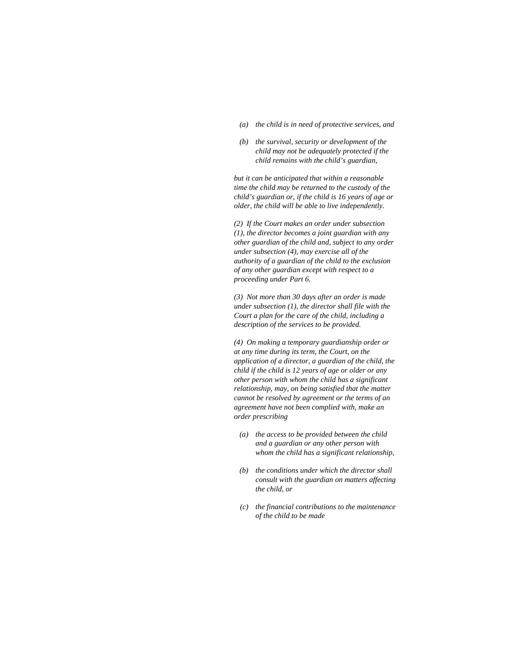- *(a) the child is in need of protective services, and*
- *(b) the survival, security or development of the child may not be adequately protected if the child remains with the child's guardian,*

*but it can be anticipated that within a reasonable time the child may be returned to the custody of the child's guardian or, if the child is 16 years of age or older, the child will be able to live independently.* 

*(2) If the Court makes an order under subsection (1), the director becomes a joint guardian with any other guardian of the child and, subject to any order under subsection (4), may exercise all of the authority of a guardian of the child to the exclusion of any other guardian except with respect to a proceeding under Part 6.* 

*(3) Not more than 30 days after an order is made under subsection (1), the director shall file with the Court a plan for the care of the child, including a description of the services to be provided.* 

*(4) On making a temporary guardianship order or at any time during its term, the Court, on the application of a director, a guardian of the child, the child if the child is 12 years of age or older or any other person with whom the child has a significant relationship, may, on being satisfied that the matter cannot be resolved by agreement or the terms of an agreement have not been complied with, make an order prescribing* 

- *(a) the access to be provided between the child and a guardian or any other person with whom the child has a significant relationship,*
- *(b) the conditions under which the director shall consult with the guardian on matters affecting the child, or*
- *(c) the financial contributions to the maintenance of the child to be made*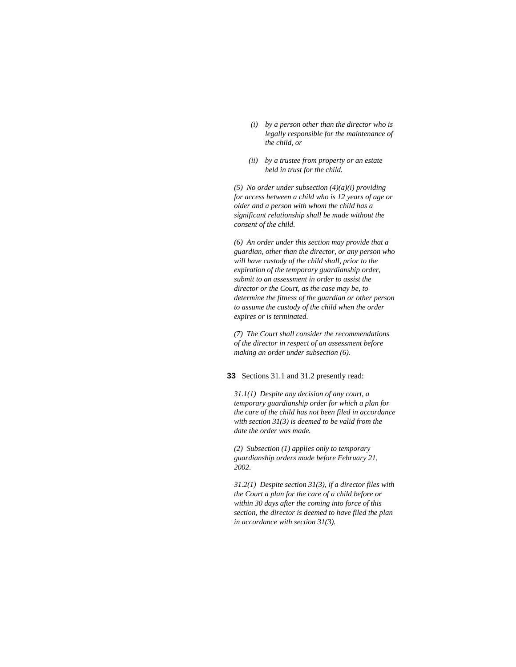- *(i) by a person other than the director who is legally responsible for the maintenance of the child, or*
- *(ii) by a trustee from property or an estate held in trust for the child.*

*(5) No order under subsection (4)(a)(i) providing for access between a child who is 12 years of age or older and a person with whom the child has a significant relationship shall be made without the consent of the child.* 

*(6) An order under this section may provide that a guardian, other than the director, or any person who will have custody of the child shall, prior to the expiration of the temporary guardianship order, submit to an assessment in order to assist the director or the Court, as the case may be, to determine the fitness of the guardian or other person to assume the custody of the child when the order expires or is terminated.* 

*(7) The Court shall consider the recommendations of the director in respect of an assessment before making an order under subsection (6).* 

**33** Sections 31.1 and 31.2 presently read:

*31.1(1) Despite any decision of any court, a temporary guardianship order for which a plan for the care of the child has not been filed in accordance with section 31(3) is deemed to be valid from the date the order was made.* 

*(2) Subsection (1) applies only to temporary guardianship orders made before February 21, 2002.* 

*31.2(1) Despite section 31(3), if a director files with the Court a plan for the care of a child before or within 30 days after the coming into force of this section, the director is deemed to have filed the plan in accordance with section 31(3).*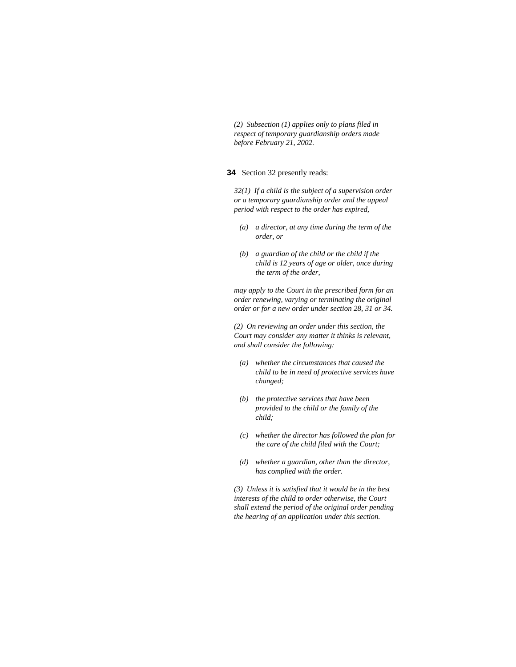*(2) Subsection (1) applies only to plans filed in respect of temporary guardianship orders made before February 21, 2002.* 

### **34** Section 32 presently reads:

*32(1) If a child is the subject of a supervision order or a temporary guardianship order and the appeal period with respect to the order has expired,* 

- *(a) a director, at any time during the term of the order, or*
- *(b) a guardian of the child or the child if the child is 12 years of age or older, once during the term of the order,*

*may apply to the Court in the prescribed form for an order renewing, varying or terminating the original order or for a new order under section 28, 31 or 34.* 

*(2) On reviewing an order under this section, the Court may consider any matter it thinks is relevant, and shall consider the following:* 

- *(a) whether the circumstances that caused the child to be in need of protective services have changed;*
- *(b) the protective services that have been provided to the child or the family of the child;*
- *(c) whether the director has followed the plan for the care of the child filed with the Court;*
- *(d) whether a guardian, other than the director, has complied with the order.*

*(3) Unless it is satisfied that it would be in the best interests of the child to order otherwise, the Court shall extend the period of the original order pending the hearing of an application under this section.*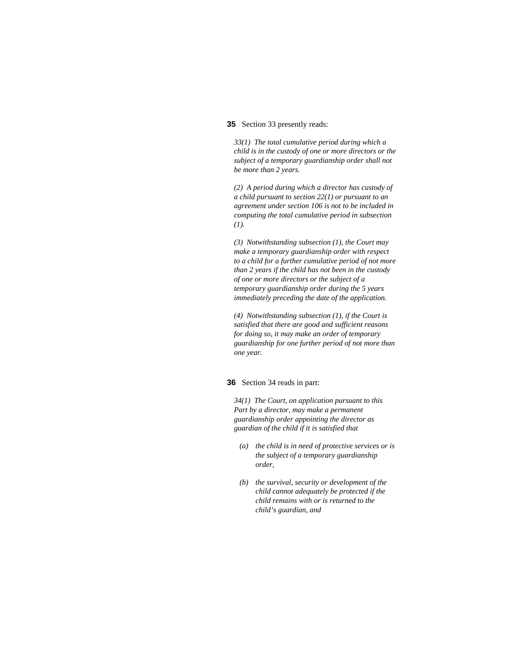## **35** Section 33 presently reads:

*33(1) The total cumulative period during which a child is in the custody of one or more directors or the subject of a temporary guardianship order shall not be more than 2 years.* 

*(2) A period during which a director has custody of a child pursuant to section 22(1) or pursuant to an agreement under section 106 is not to be included in computing the total cumulative period in subsection (1).* 

*(3) Notwithstanding subsection (1), the Court may make a temporary guardianship order with respect to a child for a further cumulative period of not more than 2 years if the child has not been in the custody of one or more directors or the subject of a temporary guardianship order during the 5 years immediately preceding the date of the application.* 

*(4) Notwithstanding subsection (1), if the Court is satisfied that there are good and sufficient reasons for doing so, it may make an order of temporary guardianship for one further period of not more than one year.* 

## **36** Section 34 reads in part:

*34(1) The Court, on application pursuant to this Part by a director, may make a permanent guardianship order appointing the director as guardian of the child if it is satisfied that* 

- *(a) the child is in need of protective services or is the subject of a temporary guardianship order,*
- *(b) the survival, security or development of the child cannot adequately be protected if the child remains with or is returned to the child's guardian, and*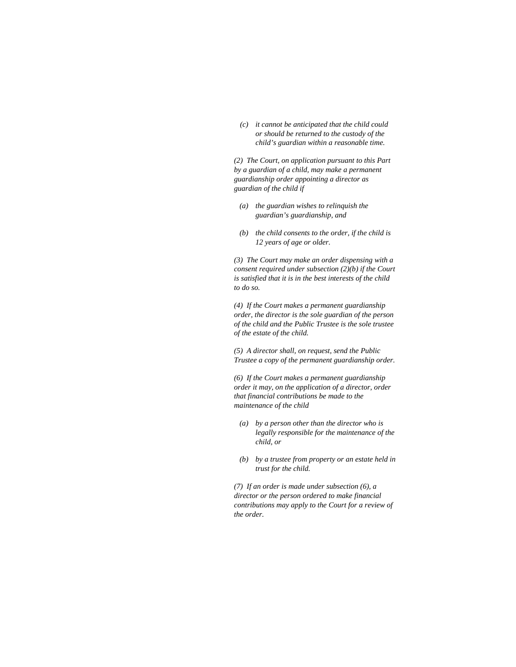*(c) it cannot be anticipated that the child could or should be returned to the custody of the child's guardian within a reasonable time.* 

*(2) The Court, on application pursuant to this Part by a guardian of a child, may make a permanent guardianship order appointing a director as guardian of the child if* 

- *(a) the guardian wishes to relinquish the guardian's guardianship, and*
- *(b) the child consents to the order, if the child is 12 years of age or older.*

*(3) The Court may make an order dispensing with a consent required under subsection (2)(b) if the Court is satisfied that it is in the best interests of the child to do so.* 

*(4) If the Court makes a permanent guardianship order, the director is the sole guardian of the person of the child and the Public Trustee is the sole trustee of the estate of the child.* 

*(5) A director shall, on request, send the Public Trustee a copy of the permanent guardianship order.* 

*(6) If the Court makes a permanent guardianship order it may, on the application of a director, order that financial contributions be made to the maintenance of the child* 

- *(a) by a person other than the director who is legally responsible for the maintenance of the child, or*
- *(b) by a trustee from property or an estate held in trust for the child.*

*(7) If an order is made under subsection (6), a director or the person ordered to make financial contributions may apply to the Court for a review of the order.*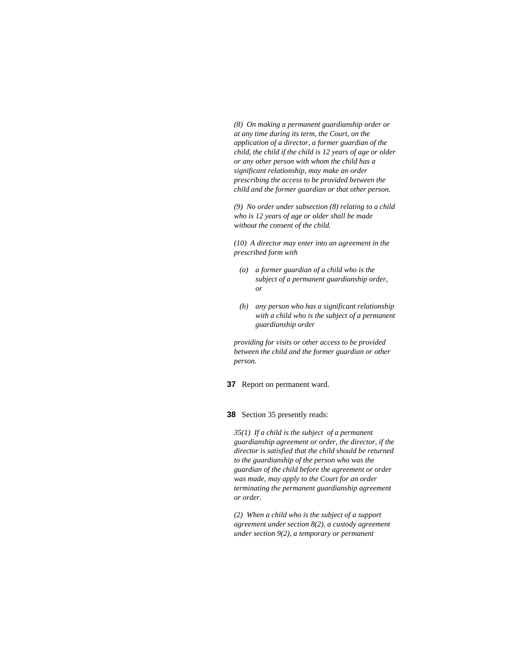*(8) On making a permanent guardianship order or at any time during its term, the Court, on the application of a director, a former guardian of the child, the child if the child is 12 years of age or older or any other person with whom the child has a significant relationship, may make an order prescribing the access to be provided between the child and the former guardian or that other person.* 

*(9) No order under subsection (8) relating to a child who is 12 years of age or older shall be made without the consent of the child.* 

*(10) A director may enter into an agreement in the prescribed form with* 

- *(a) a former guardian of a child who is the subject of a permanent guardianship order, or*
- *(b) any person who has a significant relationship with a child who is the subject of a permanent guardianship order*

*providing for visits or other access to be provided between the child and the former guardian or other person.* 

**37** Report on permanent ward.

## **38** Section 35 presently reads:

*35(1) If a child is the subject of a permanent guardianship agreement or order, the director, if the director is satisfied that the child should be returned to the guardianship of the person who was the guardian of the child before the agreement or order was made, may apply to the Court for an order terminating the permanent guardianship agreement or order.* 

*(2) When a child who is the subject of a support agreement under section 8(2), a custody agreement under section 9(2), a temporary or permanent*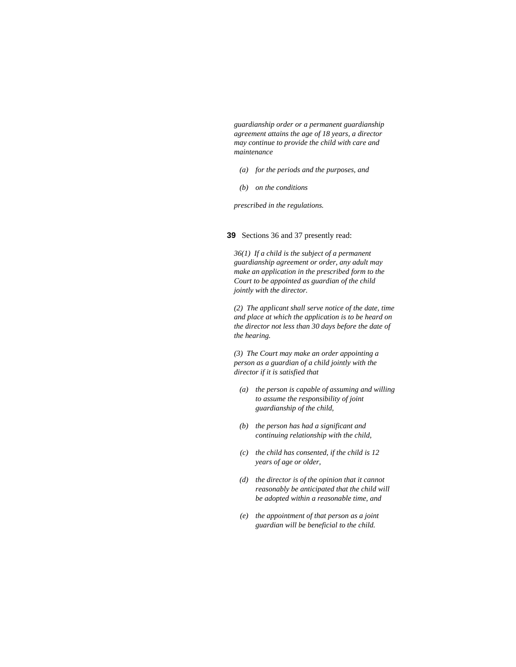*guardianship order or a permanent guardianship agreement attains the age of 18 years, a director may continue to provide the child with care and maintenance* 

- *(a) for the periods and the purposes, and*
- *(b) on the conditions*

*prescribed in the regulations.* 

## **39** Sections 36 and 37 presently read:

*36(1) If a child is the subject of a permanent guardianship agreement or order, any adult may make an application in the prescribed form to the Court to be appointed as guardian of the child jointly with the director.* 

*(2) The applicant shall serve notice of the date, time and place at which the application is to be heard on the director not less than 30 days before the date of the hearing.* 

*(3) The Court may make an order appointing a person as a guardian of a child jointly with the director if it is satisfied that* 

- *(a) the person is capable of assuming and willing to assume the responsibility of joint guardianship of the child,*
- *(b) the person has had a significant and continuing relationship with the child,*
- *(c) the child has consented, if the child is 12 years of age or older,*
- *(d) the director is of the opinion that it cannot reasonably be anticipated that the child will be adopted within a reasonable time, and*
- *(e) the appointment of that person as a joint guardian will be beneficial to the child.*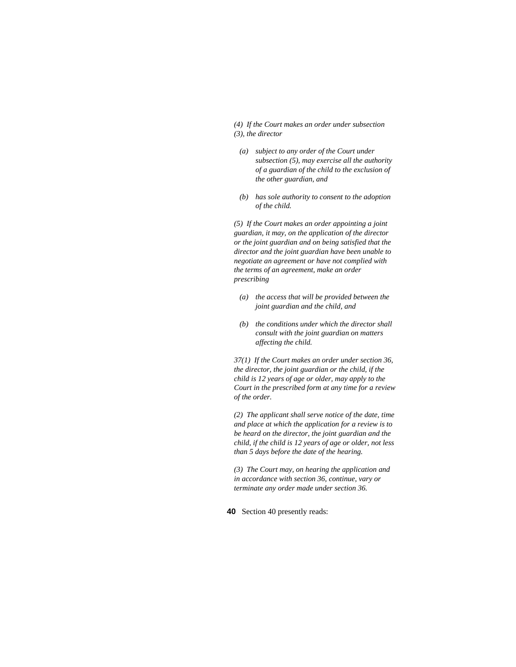*(4) If the Court makes an order under subsection (3), the director* 

- *(a) subject to any order of the Court under subsection (5), may exercise all the authority of a guardian of the child to the exclusion of the other guardian, and*
- *(b) has sole authority to consent to the adoption of the child.*

*(5) If the Court makes an order appointing a joint guardian, it may, on the application of the director or the joint guardian and on being satisfied that the director and the joint guardian have been unable to negotiate an agreement or have not complied with the terms of an agreement, make an order prescribing* 

- *(a) the access that will be provided between the joint guardian and the child, and*
- *(b) the conditions under which the director shall consult with the joint guardian on matters affecting the child.*

*37(1) If the Court makes an order under section 36, the director, the joint guardian or the child, if the child is 12 years of age or older, may apply to the Court in the prescribed form at any time for a review of the order.* 

*(2) The applicant shall serve notice of the date, time and place at which the application for a review is to be heard on the director, the joint guardian and the child, if the child is 12 years of age or older, not less than 5 days before the date of the hearing.* 

*(3) The Court may, on hearing the application and in accordance with section 36, continue, vary or terminate any order made under section 36.* 

**40** Section 40 presently reads: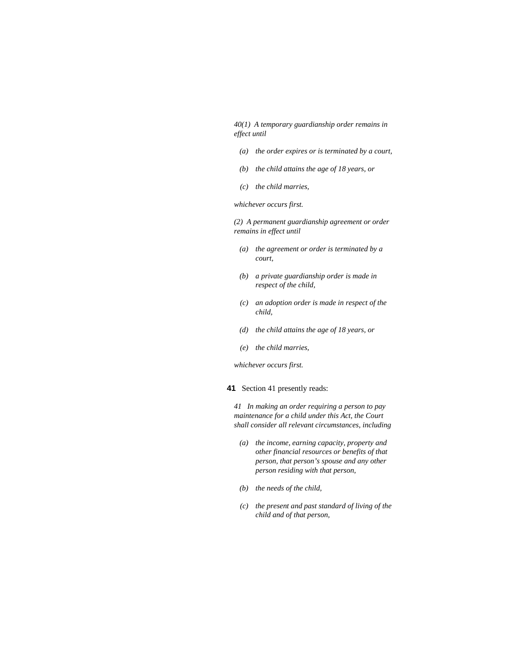*40(1) A temporary guardianship order remains in effect until* 

- *(a) the order expires or is terminated by a court,*
- *(b) the child attains the age of 18 years, or*
- *(c) the child marries,*

*whichever occurs first.* 

*(2) A permanent guardianship agreement or order remains in effect until* 

- *(a) the agreement or order is terminated by a court,*
- *(b) a private guardianship order is made in respect of the child,*
- *(c) an adoption order is made in respect of the child,*
- *(d) the child attains the age of 18 years, or*
- *(e) the child marries,*

*whichever occurs first.* 

## **41** Section 41 presently reads:

*41 In making an order requiring a person to pay maintenance for a child under this Act, the Court shall consider all relevant circumstances, including* 

- *(a) the income, earning capacity, property and other financial resources or benefits of that person, that person's spouse and any other person residing with that person,*
- *(b) the needs of the child,*
- *(c) the present and past standard of living of the child and of that person,*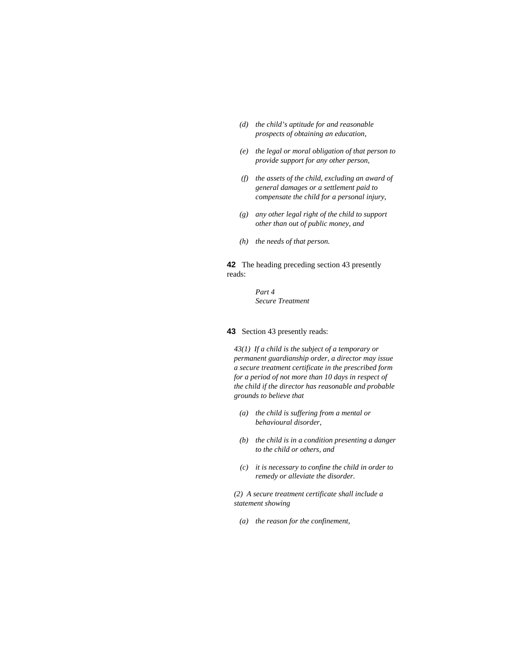- *(d) the child's aptitude for and reasonable prospects of obtaining an education,*
- *(e) the legal or moral obligation of that person to provide support for any other person,*
- *(f) the assets of the child, excluding an award of general damages or a settlement paid to compensate the child for a personal injury,*
- *(g) any other legal right of the child to support other than out of public money, and*
- *(h) the needs of that person.*

**42** The heading preceding section 43 presently reads:

> *Part 4 Secure Treatment*

**43** Section 43 presently reads:

*43(1) If a child is the subject of a temporary or permanent guardianship order, a director may issue a secure treatment certificate in the prescribed form for a period of not more than 10 days in respect of the child if the director has reasonable and probable grounds to believe that* 

- *(a) the child is suffering from a mental or behavioural disorder,*
- *(b) the child is in a condition presenting a danger to the child or others, and*
- *(c) it is necessary to confine the child in order to remedy or alleviate the disorder.*

*(2) A secure treatment certificate shall include a statement showing* 

 *(a) the reason for the confinement,*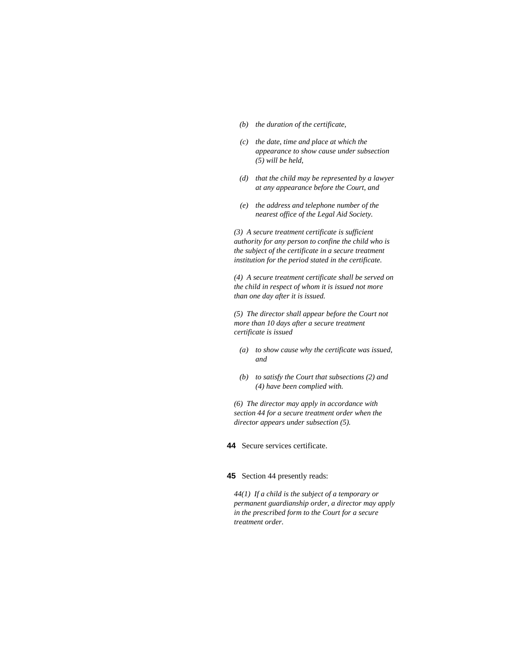- *(b) the duration of the certificate,*
- *(c) the date, time and place at which the appearance to show cause under subsection (5) will be held,*
- *(d) that the child may be represented by a lawyer at any appearance before the Court, and*
- *(e) the address and telephone number of the nearest office of the Legal Aid Society.*

*(3) A secure treatment certificate is sufficient authority for any person to confine the child who is the subject of the certificate in a secure treatment institution for the period stated in the certificate.* 

*(4) A secure treatment certificate shall be served on the child in respect of whom it is issued not more than one day after it is issued.* 

*(5) The director shall appear before the Court not more than 10 days after a secure treatment certificate is issued* 

- *(a) to show cause why the certificate was issued, and*
- *(b) to satisfy the Court that subsections (2) and (4) have been complied with.*

*(6) The director may apply in accordance with section 44 for a secure treatment order when the director appears under subsection (5).* 

**44** Secure services certificate.

## **45** Section 44 presently reads:

*44(1) If a child is the subject of a temporary or permanent guardianship order, a director may apply in the prescribed form to the Court for a secure treatment order.*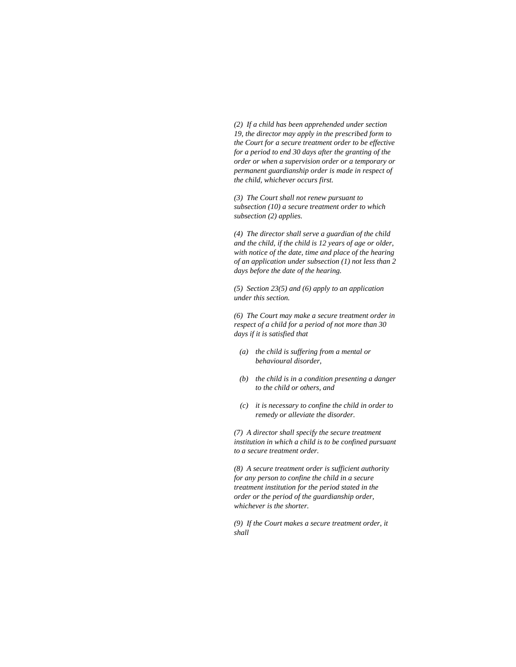*(2) If a child has been apprehended under section 19, the director may apply in the prescribed form to the Court for a secure treatment order to be effective for a period to end 30 days after the granting of the order or when a supervision order or a temporary or permanent guardianship order is made in respect of the child, whichever occurs first.* 

*(3) The Court shall not renew pursuant to subsection (10) a secure treatment order to which subsection (2) applies.* 

*(4) The director shall serve a guardian of the child and the child, if the child is 12 years of age or older, with notice of the date, time and place of the hearing of an application under subsection (1) not less than 2 days before the date of the hearing.* 

*(5) Section 23(5) and (6) apply to an application under this section.* 

*(6) The Court may make a secure treatment order in respect of a child for a period of not more than 30 days if it is satisfied that* 

- *(a) the child is suffering from a mental or behavioural disorder,*
- *(b) the child is in a condition presenting a danger to the child or others, and*
- *(c) it is necessary to confine the child in order to remedy or alleviate the disorder.*

*(7) A director shall specify the secure treatment institution in which a child is to be confined pursuant to a secure treatment order.* 

*(8) A secure treatment order is sufficient authority for any person to confine the child in a secure treatment institution for the period stated in the order or the period of the guardianship order, whichever is the shorter.* 

*(9) If the Court makes a secure treatment order, it shall*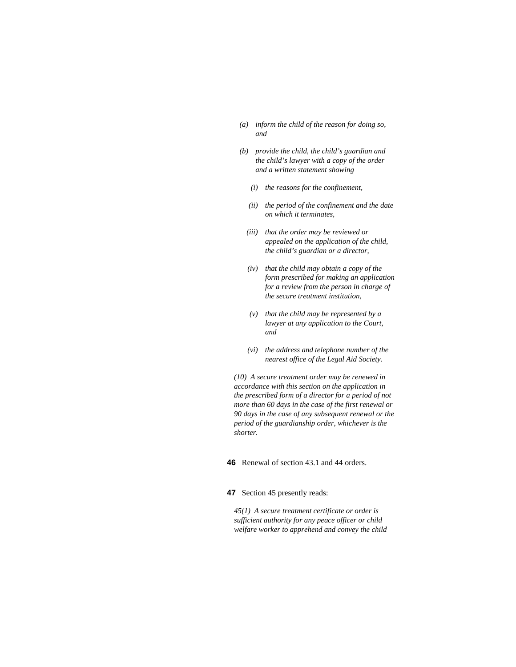- *(a) inform the child of the reason for doing so, and*
- *(b) provide the child, the child's guardian and the child's lawyer with a copy of the order and a written statement showing* 
	- *(i) the reasons for the confinement,*
	- *(ii) the period of the confinement and the date on which it terminates,*
	- *(iii) that the order may be reviewed or appealed on the application of the child, the child's guardian or a director,*
	- *(iv) that the child may obtain a copy of the form prescribed for making an application for a review from the person in charge of the secure treatment institution,*
	- *(v) that the child may be represented by a lawyer at any application to the Court, and*
	- *(vi) the address and telephone number of the nearest office of the Legal Aid Society.*

*(10) A secure treatment order may be renewed in accordance with this section on the application in the prescribed form of a director for a period of not more than 60 days in the case of the first renewal or 90 days in the case of any subsequent renewal or the period of the guardianship order, whichever is the shorter.* 

## **46** Renewal of section 43.1 and 44 orders.

### **47** Section 45 presently reads:

*45(1) A secure treatment certificate or order is sufficient authority for any peace officer or child welfare worker to apprehend and convey the child*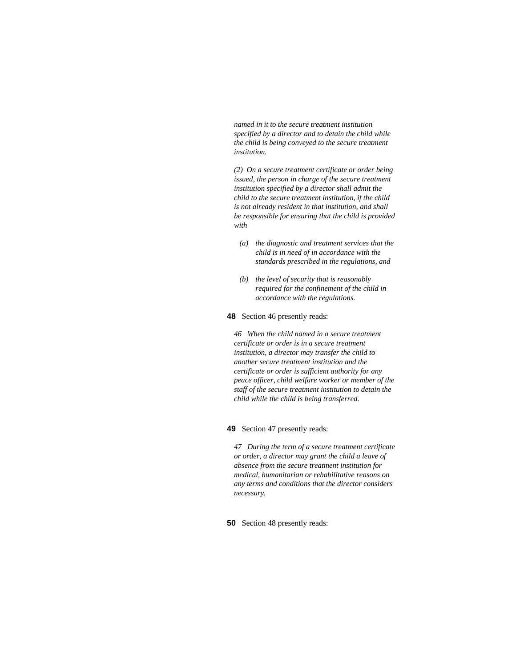*named in it to the secure treatment institution specified by a director and to detain the child while the child is being conveyed to the secure treatment institution.* 

*(2) On a secure treatment certificate or order being issued, the person in charge of the secure treatment institution specified by a director shall admit the child to the secure treatment institution, if the child is not already resident in that institution, and shall be responsible for ensuring that the child is provided with* 

- *(a) the diagnostic and treatment services that the child is in need of in accordance with the standards prescribed in the regulations, and*
- *(b) the level of security that is reasonably required for the confinement of the child in accordance with the regulations.*
- **48** Section 46 presently reads:

*46 When the child named in a secure treatment certificate or order is in a secure treatment institution, a director may transfer the child to another secure treatment institution and the certificate or order is sufficient authority for any peace officer, child welfare worker or member of the staff of the secure treatment institution to detain the child while the child is being transferred.* 

### **49** Section 47 presently reads:

*47 During the term of a secure treatment certificate or order, a director may grant the child a leave of absence from the secure treatment institution for medical, humanitarian or rehabilitative reasons on any terms and conditions that the director considers necessary.* 

**50** Section 48 presently reads: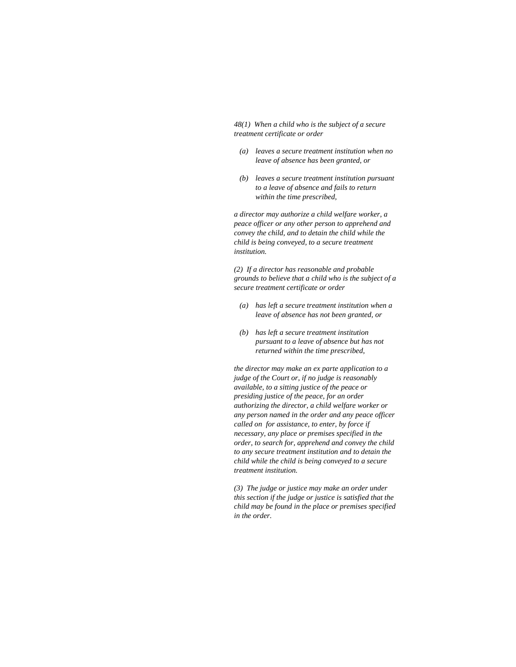*48(1) When a child who is the subject of a secure treatment certificate or order* 

- *(a) leaves a secure treatment institution when no leave of absence has been granted, or*
- *(b) leaves a secure treatment institution pursuant to a leave of absence and fails to return within the time prescribed,*

*a director may authorize a child welfare worker, a peace officer or any other person to apprehend and convey the child, and to detain the child while the child is being conveyed, to a secure treatment institution.* 

*(2) If a director has reasonable and probable grounds to believe that a child who is the subject of a secure treatment certificate or order* 

- *(a) has left a secure treatment institution when a leave of absence has not been granted, or*
- *(b) has left a secure treatment institution pursuant to a leave of absence but has not returned within the time prescribed,*

*the director may make an ex parte application to a judge of the Court or, if no judge is reasonably available, to a sitting justice of the peace or presiding justice of the peace, for an order authorizing the director, a child welfare worker or any person named in the order and any peace officer called on for assistance, to enter, by force if necessary, any place or premises specified in the order, to search for, apprehend and convey the child to any secure treatment institution and to detain the child while the child is being conveyed to a secure treatment institution.* 

*(3) The judge or justice may make an order under this section if the judge or justice is satisfied that the child may be found in the place or premises specified in the order.*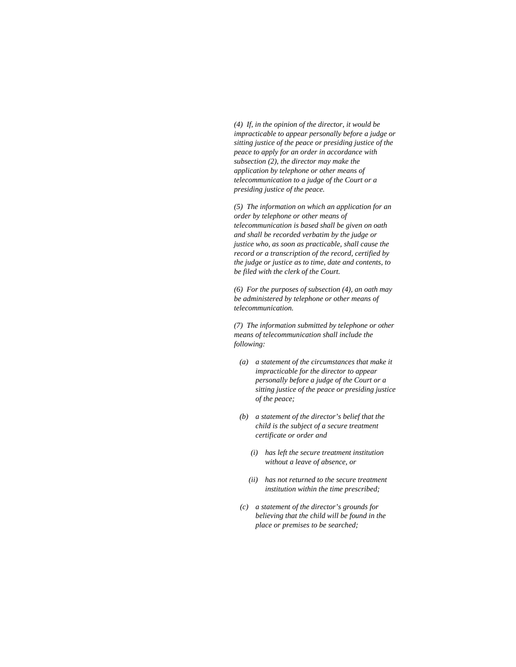*(4) If, in the opinion of the director, it would be impracticable to appear personally before a judge or sitting justice of the peace or presiding justice of the peace to apply for an order in accordance with subsection (2), the director may make the application by telephone or other means of telecommunication to a judge of the Court or a presiding justice of the peace.* 

*(5) The information on which an application for an order by telephone or other means of telecommunication is based shall be given on oath and shall be recorded verbatim by the judge or justice who, as soon as practicable, shall cause the record or a transcription of the record, certified by the judge or justice as to time, date and contents, to be filed with the clerk of the Court.* 

*(6) For the purposes of subsection (4), an oath may be administered by telephone or other means of telecommunication.* 

*(7) The information submitted by telephone or other means of telecommunication shall include the following:* 

- *(a) a statement of the circumstances that make it impracticable for the director to appear personally before a judge of the Court or a sitting justice of the peace or presiding justice of the peace;*
- *(b) a statement of the director's belief that the child is the subject of a secure treatment certificate or order and* 
	- *(i) has left the secure treatment institution without a leave of absence, or*
	- *(ii) has not returned to the secure treatment institution within the time prescribed;*
- *(c) a statement of the director's grounds for believing that the child will be found in the place or premises to be searched;*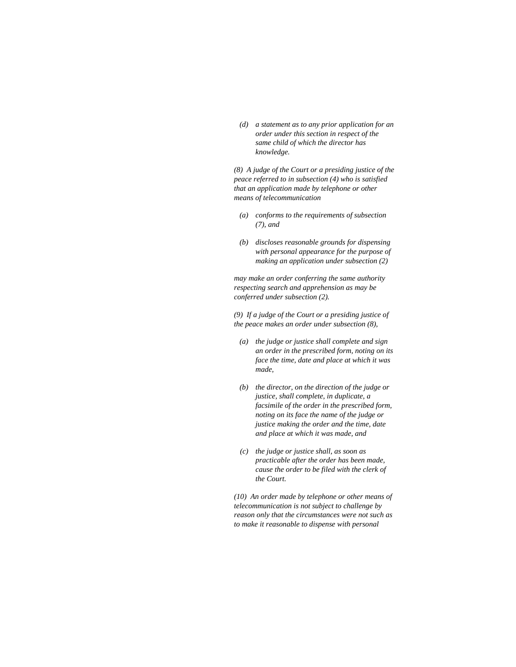*(d) a statement as to any prior application for an order under this section in respect of the same child of which the director has knowledge.* 

*(8) A judge of the Court or a presiding justice of the peace referred to in subsection (4) who is satisfied that an application made by telephone or other means of telecommunication* 

- *(a) conforms to the requirements of subsection (7), and*
- *(b) discloses reasonable grounds for dispensing with personal appearance for the purpose of making an application under subsection (2)*

*may make an order conferring the same authority respecting search and apprehension as may be conferred under subsection (2).* 

*(9) If a judge of the Court or a presiding justice of the peace makes an order under subsection (8),* 

- *(a) the judge or justice shall complete and sign an order in the prescribed form, noting on its face the time, date and place at which it was made,*
- *(b) the director, on the direction of the judge or justice, shall complete, in duplicate, a facsimile of the order in the prescribed form, noting on its face the name of the judge or justice making the order and the time, date and place at which it was made, and*
- *(c) the judge or justice shall, as soon as practicable after the order has been made, cause the order to be filed with the clerk of the Court.*

*(10) An order made by telephone or other means of telecommunication is not subject to challenge by reason only that the circumstances were not such as to make it reasonable to dispense with personal*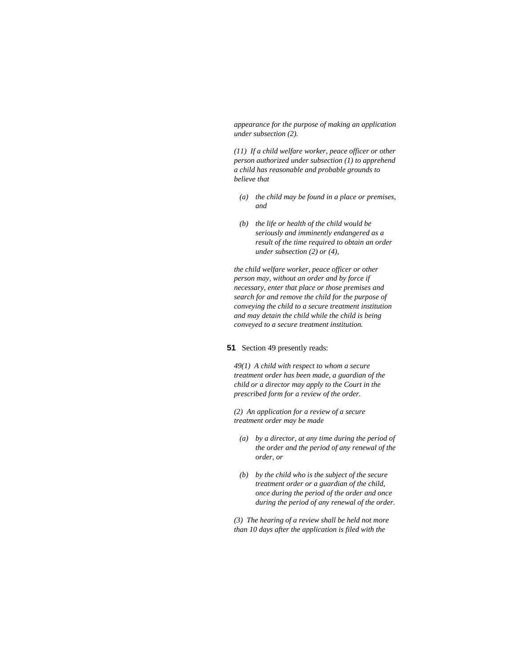*appearance for the purpose of making an application under subsection (2).* 

*(11) If a child welfare worker, peace officer or other person authorized under subsection (1) to apprehend a child has reasonable and probable grounds to believe that* 

- *(a) the child may be found in a place or premises, and*
- *(b) the life or health of the child would be seriously and imminently endangered as a result of the time required to obtain an order under subsection (2) or (4),*

*the child welfare worker, peace officer or other person may, without an order and by force if necessary, enter that place or those premises and search for and remove the child for the purpose of conveying the child to a secure treatment institution and may detain the child while the child is being conveyed to a secure treatment institution.* 

## **51** Section 49 presently reads:

*49(1) A child with respect to whom a secure treatment order has been made, a guardian of the child or a director may apply to the Court in the prescribed form for a review of the order.* 

*(2) An application for a review of a secure treatment order may be made* 

- *(a) by a director, at any time during the period of the order and the period of any renewal of the order, or*
- *(b) by the child who is the subject of the secure treatment order or a guardian of the child, once during the period of the order and once during the period of any renewal of the order.*

*(3) The hearing of a review shall be held not more than 10 days after the application is filed with the*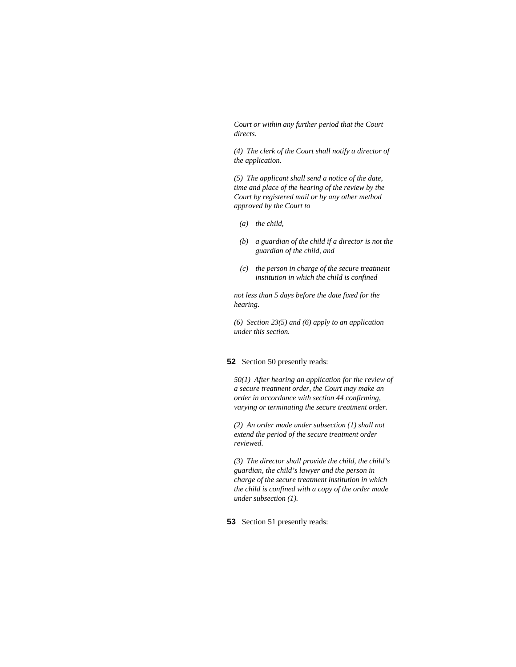*Court or within any further period that the Court directs.* 

*(4) The clerk of the Court shall notify a director of the application.* 

*(5) The applicant shall send a notice of the date, time and place of the hearing of the review by the Court by registered mail or by any other method approved by the Court to* 

- *(a) the child,*
- *(b) a guardian of the child if a director is not the guardian of the child, and*
- *(c) the person in charge of the secure treatment institution in which the child is confined*

*not less than 5 days before the date fixed for the hearing.* 

*(6) Section 23(5) and (6) apply to an application under this section.* 

## **52** Section 50 presently reads:

*50(1) After hearing an application for the review of a secure treatment order, the Court may make an order in accordance with section 44 confirming, varying or terminating the secure treatment order.* 

*(2) An order made under subsection (1) shall not extend the period of the secure treatment order reviewed.* 

*(3) The director shall provide the child, the child's guardian, the child's lawyer and the person in charge of the secure treatment institution in which the child is confined with a copy of the order made under subsection (1).* 

**53** Section 51 presently reads: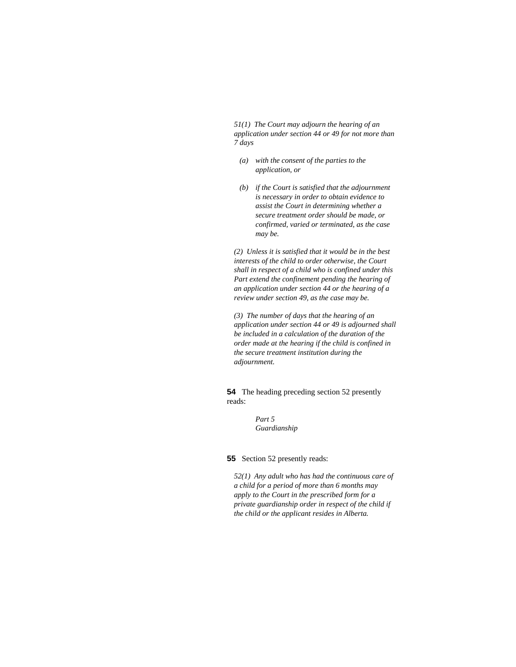*51(1) The Court may adjourn the hearing of an application under section 44 or 49 for not more than 7 days* 

- *(a) with the consent of the parties to the application, or*
- *(b) if the Court is satisfied that the adjournment is necessary in order to obtain evidence to assist the Court in determining whether a secure treatment order should be made, or confirmed, varied or terminated, as the case may be.*

*(2) Unless it is satisfied that it would be in the best interests of the child to order otherwise, the Court shall in respect of a child who is confined under this Part extend the confinement pending the hearing of an application under section 44 or the hearing of a review under section 49, as the case may be.* 

*(3) The number of days that the hearing of an application under section 44 or 49 is adjourned shall be included in a calculation of the duration of the order made at the hearing if the child is confined in the secure treatment institution during the adjournment.* 

**54** The heading preceding section 52 presently reads:

> *Part 5 Guardianship*

**55** Section 52 presently reads:

*52(1) Any adult who has had the continuous care of a child for a period of more than 6 months may apply to the Court in the prescribed form for a private guardianship order in respect of the child if the child or the applicant resides in Alberta.*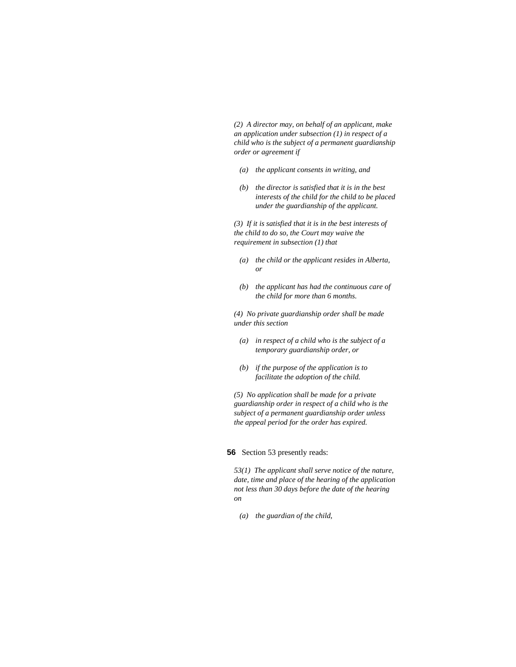*(2) A director may, on behalf of an applicant, make an application under subsection (1) in respect of a child who is the subject of a permanent guardianship order or agreement if* 

- *(a) the applicant consents in writing, and*
- *(b) the director is satisfied that it is in the best interests of the child for the child to be placed under the guardianship of the applicant.*

*(3) If it is satisfied that it is in the best interests of the child to do so, the Court may waive the requirement in subsection (1) that* 

- *(a) the child or the applicant resides in Alberta, or*
- *(b) the applicant has had the continuous care of the child for more than 6 months.*

*(4) No private guardianship order shall be made under this section* 

- *(a) in respect of a child who is the subject of a temporary guardianship order, or*
- *(b) if the purpose of the application is to facilitate the adoption of the child.*

*(5) No application shall be made for a private guardianship order in respect of a child who is the subject of a permanent guardianship order unless the appeal period for the order has expired.* 

### **56** Section 53 presently reads:

*53(1) The applicant shall serve notice of the nature, date, time and place of the hearing of the application not less than 30 days before the date of the hearing on* 

 *(a) the guardian of the child,*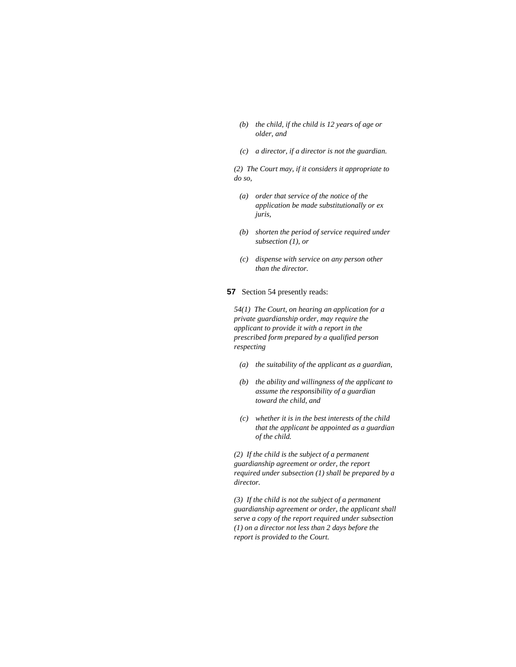- *(b) the child, if the child is 12 years of age or older, and*
- *(c) a director, if a director is not the guardian.*

*(2) The Court may, if it considers it appropriate to do so,* 

- *(a) order that service of the notice of the application be made substitutionally or ex juris,*
- *(b) shorten the period of service required under subsection (1), or*
- *(c) dispense with service on any person other than the director.*

# **57** Section 54 presently reads:

*54(1) The Court, on hearing an application for a private guardianship order, may require the applicant to provide it with a report in the prescribed form prepared by a qualified person respecting* 

- *(a) the suitability of the applicant as a guardian,*
- *(b) the ability and willingness of the applicant to assume the responsibility of a guardian toward the child, and*
- *(c) whether it is in the best interests of the child that the applicant be appointed as a guardian of the child.*

*(2) If the child is the subject of a permanent guardianship agreement or order, the report required under subsection (1) shall be prepared by a director.* 

*(3) If the child is not the subject of a permanent guardianship agreement or order, the applicant shall serve a copy of the report required under subsection (1) on a director not less than 2 days before the report is provided to the Court.*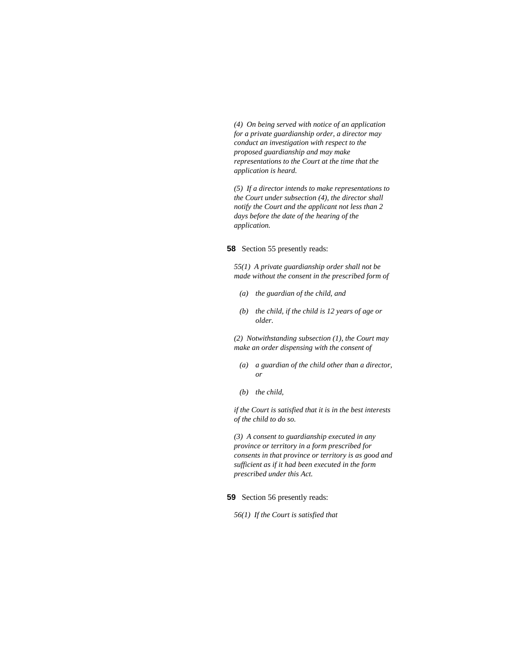*(4) On being served with notice of an application for a private guardianship order, a director may conduct an investigation with respect to the proposed guardianship and may make representations to the Court at the time that the application is heard.* 

*(5) If a director intends to make representations to the Court under subsection (4), the director shall notify the Court and the applicant not less than 2 days before the date of the hearing of the application.* 

#### **58** Section 55 presently reads:

*55(1) A private guardianship order shall not be made without the consent in the prescribed form of* 

- *(a) the guardian of the child, and*
- *(b) the child, if the child is 12 years of age or older.*

*(2) Notwithstanding subsection (1), the Court may make an order dispensing with the consent of* 

- *(a) a guardian of the child other than a director, or*
- *(b) the child,*

*if the Court is satisfied that it is in the best interests of the child to do so.* 

*(3) A consent to guardianship executed in any province or territory in a form prescribed for consents in that province or territory is as good and sufficient as if it had been executed in the form prescribed under this Act.* 

## **59** Section 56 presently reads:

*56(1) If the Court is satisfied that*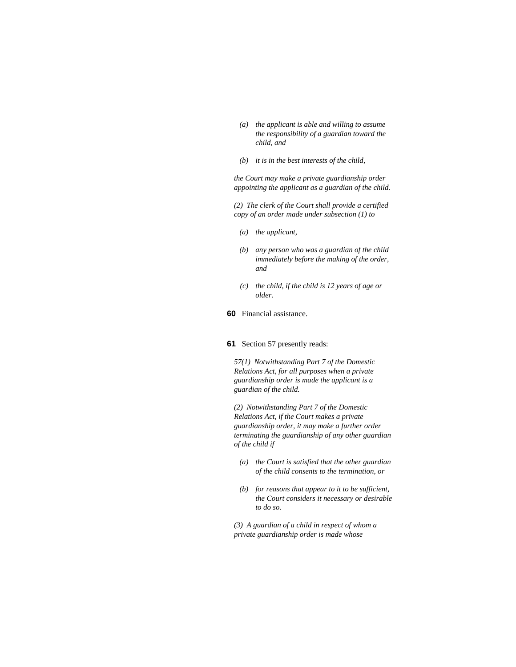- *(a) the applicant is able and willing to assume the responsibility of a guardian toward the child, and*
- *(b) it is in the best interests of the child,*

*the Court may make a private guardianship order appointing the applicant as a guardian of the child.* 

*(2) The clerk of the Court shall provide a certified copy of an order made under subsection (1) to* 

- *(a) the applicant,*
- *(b) any person who was a guardian of the child immediately before the making of the order, and*
- *(c) the child, if the child is 12 years of age or older.*
- **60** Financial assistance.

## **61** Section 57 presently reads:

*57(1) Notwithstanding Part 7 of the Domestic Relations Act, for all purposes when a private guardianship order is made the applicant is a guardian of the child.* 

*(2) Notwithstanding Part 7 of the Domestic Relations Act, if the Court makes a private guardianship order, it may make a further order terminating the guardianship of any other guardian of the child if* 

- *(a) the Court is satisfied that the other guardian of the child consents to the termination, or*
- *(b) for reasons that appear to it to be sufficient, the Court considers it necessary or desirable to do so.*

*(3) A guardian of a child in respect of whom a private guardianship order is made whose*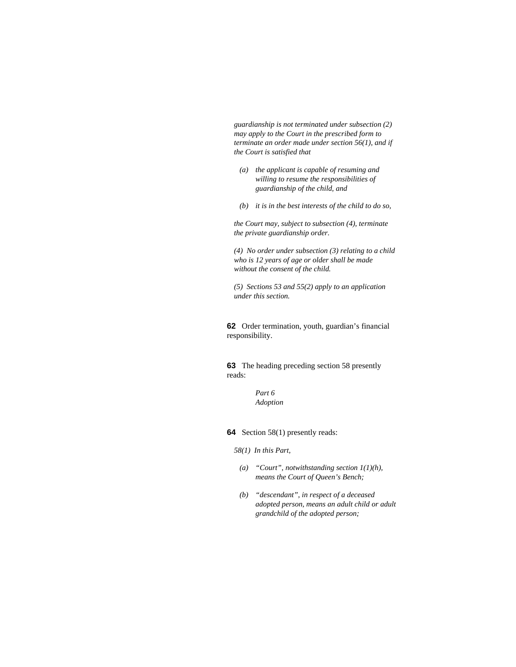*guardianship is not terminated under subsection (2) may apply to the Court in the prescribed form to terminate an order made under section 56(1), and if the Court is satisfied that* 

- *(a) the applicant is capable of resuming and willing to resume the responsibilities of guardianship of the child, and*
- *(b) it is in the best interests of the child to do so,*

*the Court may, subject to subsection (4), terminate the private guardianship order.* 

*(4) No order under subsection (3) relating to a child who is 12 years of age or older shall be made without the consent of the child.* 

*(5) Sections 53 and 55(2) apply to an application under this section.* 

**62** Order termination, youth, guardian's financial responsibility.

**63** The heading preceding section 58 presently reads:

> *Part 6 Adoption*

**64** Section 58(1) presently reads:

*58(1) In this Part,* 

- *(a) "Court", notwithstanding section 1(1)(h), means the Court of Queen's Bench;*
- *(b) "descendant", in respect of a deceased adopted person, means an adult child or adult grandchild of the adopted person;*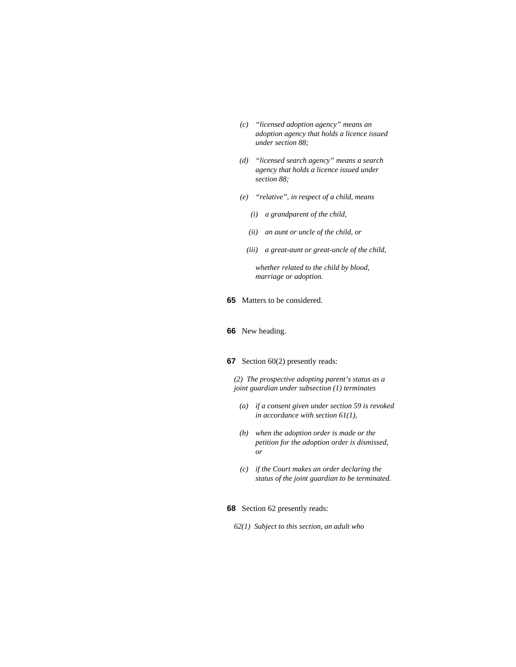- *(c) "licensed adoption agency" means an adoption agency that holds a licence issued under section 88;*
- *(d) "licensed search agency" means a search agency that holds a licence issued under section 88;*
- *(e) "relative", in respect of a child, means* 
	- *(i) a grandparent of the child,*
	- *(ii) an aunt or uncle of the child, or*
	- *(iii) a great-aunt or great-uncle of the child,*

 *whether related to the child by blood, marriage or adoption.* 

**65** Matters to be considered.

### **66** New heading.

# **67** Section 60(2) presently reads:

*(2) The prospective adopting parent's status as a joint guardian under subsection (1) terminates* 

- *(a) if a consent given under section 59 is revoked in accordance with section 61(1),*
- *(b) when the adoption order is made or the petition for the adoption order is dismissed, or*
- *(c) if the Court makes an order declaring the status of the joint guardian to be terminated.*

### **68** Section 62 presently reads:

*62(1) Subject to this section, an adult who*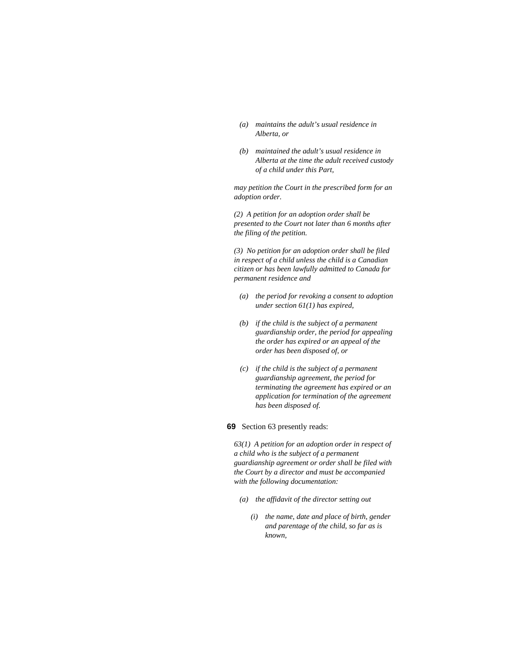- *(a) maintains the adult's usual residence in Alberta, or*
- *(b) maintained the adult's usual residence in Alberta at the time the adult received custody of a child under this Part,*

*may petition the Court in the prescribed form for an adoption order.* 

*(2) A petition for an adoption order shall be presented to the Court not later than 6 months after the filing of the petition.* 

*(3) No petition for an adoption order shall be filed in respect of a child unless the child is a Canadian citizen or has been lawfully admitted to Canada for permanent residence and* 

- *(a) the period for revoking a consent to adoption under section 61(1) has expired,*
- *(b) if the child is the subject of a permanent guardianship order, the period for appealing the order has expired or an appeal of the order has been disposed of, or*
- *(c) if the child is the subject of a permanent guardianship agreement, the period for terminating the agreement has expired or an application for termination of the agreement has been disposed of.*

### **69** Section 63 presently reads:

*63(1) A petition for an adoption order in respect of a child who is the subject of a permanent guardianship agreement or order shall be filed with the Court by a director and must be accompanied with the following documentation:* 

- *(a) the affidavit of the director setting out* 
	- *(i) the name, date and place of birth, gender and parentage of the child, so far as is known,*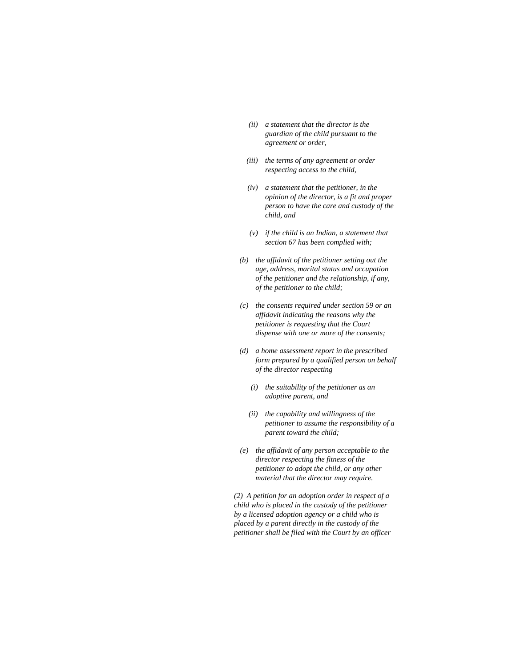- *(ii) a statement that the director is the guardian of the child pursuant to the agreement or order,*
- *(iii) the terms of any agreement or order respecting access to the child,*
- *(iv) a statement that the petitioner, in the opinion of the director, is a fit and proper person to have the care and custody of the child, and*
- *(v) if the child is an Indian, a statement that section 67 has been complied with;*
- *(b) the affidavit of the petitioner setting out the age, address, marital status and occupation of the petitioner and the relationship, if any, of the petitioner to the child;*
- *(c) the consents required under section 59 or an affidavit indicating the reasons why the petitioner is requesting that the Court dispense with one or more of the consents;*
- *(d) a home assessment report in the prescribed form prepared by a qualified person on behalf of the director respecting* 
	- *(i) the suitability of the petitioner as an adoptive parent, and*
	- *(ii) the capability and willingness of the petitioner to assume the responsibility of a parent toward the child;*
- *(e) the affidavit of any person acceptable to the director respecting the fitness of the petitioner to adopt the child, or any other material that the director may require.*

*(2) A petition for an adoption order in respect of a child who is placed in the custody of the petitioner by a licensed adoption agency or a child who is placed by a parent directly in the custody of the petitioner shall be filed with the Court by an officer*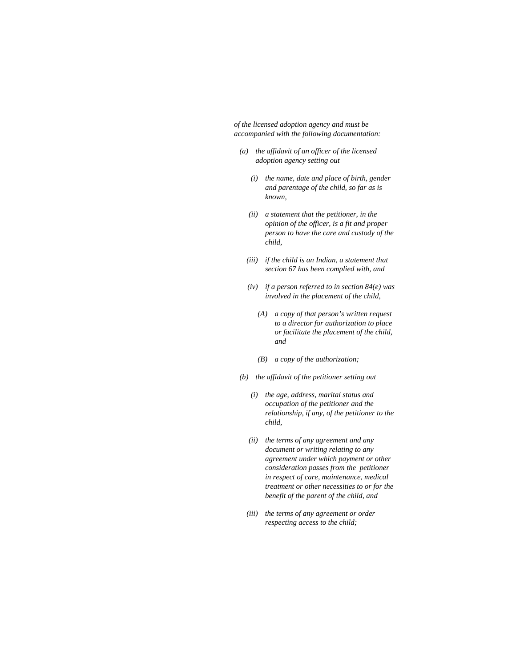*of the licensed adoption agency and must be accompanied with the following documentation:* 

- *(a) the affidavit of an officer of the licensed adoption agency setting out* 
	- *(i) the name, date and place of birth, gender and parentage of the child, so far as is known,*
	- *(ii) a statement that the petitioner, in the opinion of the officer, is a fit and proper person to have the care and custody of the child,*
	- *(iii) if the child is an Indian, a statement that section 67 has been complied with, and*
	- *(iv) if a person referred to in section 84(e) was involved in the placement of the child,* 
		- *(A) a copy of that person's written request to a director for authorization to place or facilitate the placement of the child, and*
		- *(B) a copy of the authorization;*
- *(b) the affidavit of the petitioner setting out* 
	- *(i) the age, address, marital status and occupation of the petitioner and the relationship, if any, of the petitioner to the child,*
	- *(ii) the terms of any agreement and any document or writing relating to any agreement under which payment or other consideration passes from the petitioner in respect of care, maintenance, medical treatment or other necessities to or for the benefit of the parent of the child, and*
	- *(iii) the terms of any agreement or order respecting access to the child;*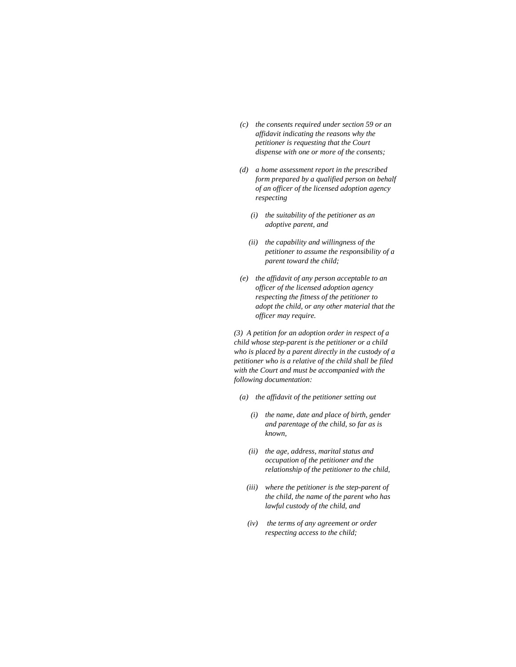- *(c) the consents required under section 59 or an affidavit indicating the reasons why the petitioner is requesting that the Court dispense with one or more of the consents;*
- *(d) a home assessment report in the prescribed form prepared by a qualified person on behalf of an officer of the licensed adoption agency respecting* 
	- *(i) the suitability of the petitioner as an adoptive parent, and*
	- *(ii) the capability and willingness of the petitioner to assume the responsibility of a parent toward the child;*
- *(e) the affidavit of any person acceptable to an officer of the licensed adoption agency respecting the fitness of the petitioner to adopt the child, or any other material that the officer may require.*

*(3) A petition for an adoption order in respect of a child whose step-parent is the petitioner or a child who is placed by a parent directly in the custody of a petitioner who is a relative of the child shall be filed with the Court and must be accompanied with the following documentation:* 

- *(a) the affidavit of the petitioner setting out* 
	- *(i) the name, date and place of birth, gender and parentage of the child, so far as is known,*
	- *(ii) the age, address, marital status and occupation of the petitioner and the relationship of the petitioner to the child,*
	- *(iii) where the petitioner is the step-parent of the child, the name of the parent who has lawful custody of the child, and*
	- *(iv) the terms of any agreement or order respecting access to the child;*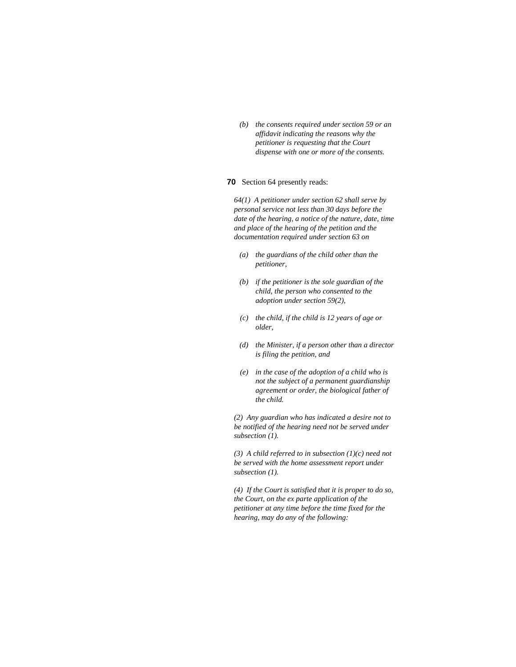*(b) the consents required under section 59 or an affidavit indicating the reasons why the petitioner is requesting that the Court dispense with one or more of the consents.* 

# **70** Section 64 presently reads:

*64(1) A petitioner under section 62 shall serve by personal service not less than 30 days before the date of the hearing, a notice of the nature, date, time and place of the hearing of the petition and the documentation required under section 63 on* 

- *(a) the guardians of the child other than the petitioner,*
- *(b) if the petitioner is the sole guardian of the child, the person who consented to the adoption under section 59(2),*
- *(c) the child, if the child is 12 years of age or older,*
- *(d) the Minister, if a person other than a director is filing the petition, and*
- *(e) in the case of the adoption of a child who is not the subject of a permanent guardianship agreement or order, the biological father of the child.*

*(2) Any guardian who has indicated a desire not to be notified of the hearing need not be served under subsection (1).* 

*(3) A child referred to in subsection (1)(c) need not be served with the home assessment report under subsection (1).* 

*(4) If the Court is satisfied that it is proper to do so, the Court, on the ex parte application of the petitioner at any time before the time fixed for the hearing, may do any of the following:*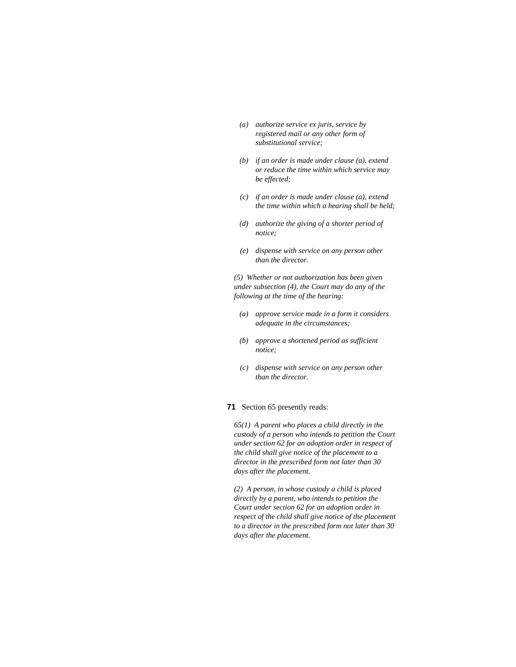- *(a) authorize service ex juris, service by registered mail or any other form of substitutional service;*
- *(b) if an order is made under clause (a), extend or reduce the time within which service may be effected;*
- *(c) if an order is made under clause (a), extend the time within which a hearing shall be held;*
- *(d) authorize the giving of a shorter period of notice;*
- *(e) dispense with service on any person other than the director.*

*(5) Whether or not authorization has been given under subsection (4), the Court may do any of the following at the time of the hearing:* 

- *(a) approve service made in a form it considers adequate in the circumstances;*
- *(b) approve a shortened period as sufficient notice;*
- *(c) dispense with service on any person other than the director.*

# **71** Section 65 presently reads:

*65(1) A parent who places a child directly in the custody of a person who intends to petition the Court under section 62 for an adoption order in respect of the child shall give notice of the placement to a director in the prescribed form not later than 30 days after the placement.* 

*(2) A person, in whose custody a child is placed directly by a parent, who intends to petition the Court under section 62 for an adoption order in respect of the child shall give notice of the placement to a director in the prescribed form not later than 30 days after the placement.*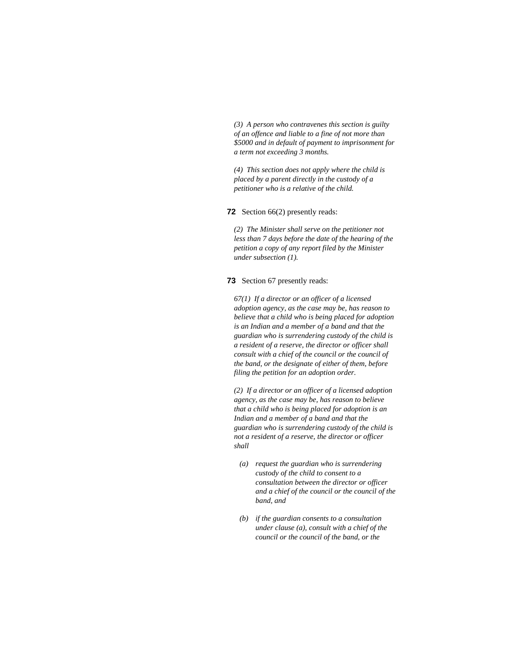*(3) A person who contravenes this section is guilty of an offence and liable to a fine of not more than \$5000 and in default of payment to imprisonment for a term not exceeding 3 months.* 

*(4) This section does not apply where the child is placed by a parent directly in the custody of a petitioner who is a relative of the child.* 

**72** Section 66(2) presently reads:

*(2) The Minister shall serve on the petitioner not less than 7 days before the date of the hearing of the petition a copy of any report filed by the Minister under subsection (1).* 

**73** Section 67 presently reads:

*67(1) If a director or an officer of a licensed adoption agency, as the case may be, has reason to believe that a child who is being placed for adoption is an Indian and a member of a band and that the guardian who is surrendering custody of the child is a resident of a reserve, the director or officer shall consult with a chief of the council or the council of the band, or the designate of either of them, before filing the petition for an adoption order.* 

*(2) If a director or an officer of a licensed adoption agency, as the case may be, has reason to believe that a child who is being placed for adoption is an Indian and a member of a band and that the guardian who is surrendering custody of the child is not a resident of a reserve, the director or officer shall* 

- *(a) request the guardian who is surrendering custody of the child to consent to a consultation between the director or officer and a chief of the council or the council of the band, and*
- *(b) if the guardian consents to a consultation under clause (a), consult with a chief of the council or the council of the band, or the*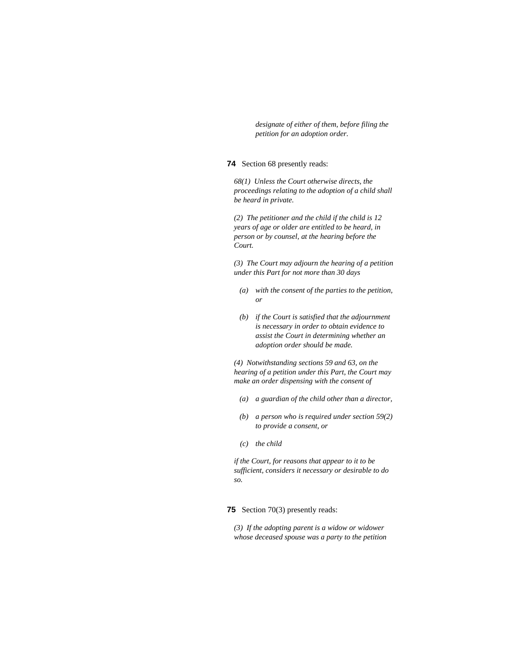*designate of either of them, before filing the petition for an adoption order.* 

# **74** Section 68 presently reads:

*68(1) Unless the Court otherwise directs, the proceedings relating to the adoption of a child shall be heard in private.* 

*(2) The petitioner and the child if the child is 12 years of age or older are entitled to be heard, in person or by counsel, at the hearing before the Court.* 

*(3) The Court may adjourn the hearing of a petition under this Part for not more than 30 days* 

- *(a) with the consent of the parties to the petition, or*
- *(b) if the Court is satisfied that the adjournment is necessary in order to obtain evidence to assist the Court in determining whether an adoption order should be made.*

*(4) Notwithstanding sections 59 and 63, on the hearing of a petition under this Part, the Court may make an order dispensing with the consent of* 

- *(a) a guardian of the child other than a director,*
- *(b) a person who is required under section 59(2) to provide a consent, or*
- *(c) the child*

*if the Court, for reasons that appear to it to be sufficient, considers it necessary or desirable to do so.* 

# **75** Section 70(3) presently reads:

*(3) If the adopting parent is a widow or widower whose deceased spouse was a party to the petition*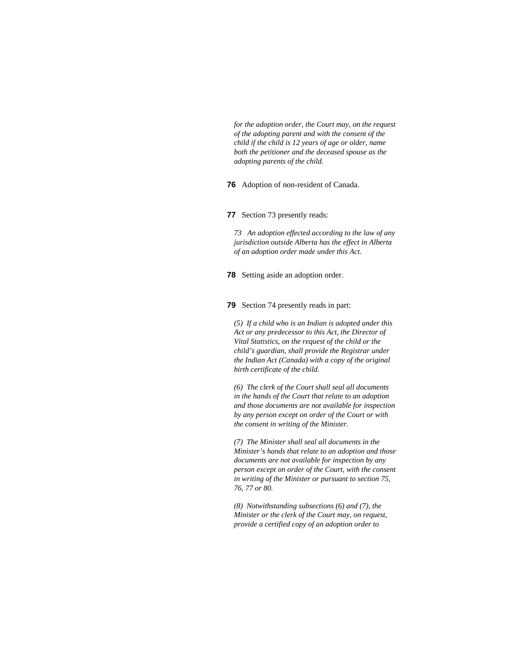*for the adoption order, the Court may, on the request of the adopting parent and with the consent of the child if the child is 12 years of age or older, name both the petitioner and the deceased spouse as the adopting parents of the child.* 

### **76** Adoption of non-resident of Canada.

#### **77** Section 73 presently reads:

*73 An adoption effected according to the law of any jurisdiction outside Alberta has the effect in Alberta of an adoption order made under this Act.* 

**78** Setting aside an adoption order.

# **79** Section 74 presently reads in part:

*(5) If a child who is an Indian is adopted under this Act or any predecessor to this Act, the Director of Vital Statistics, on the request of the child or the child's guardian, shall provide the Registrar under the Indian Act (Canada) with a copy of the original birth certificate of the child.* 

*(6) The clerk of the Court shall seal all documents in the hands of the Court that relate to an adoption and those documents are not available for inspection by any person except on order of the Court or with the consent in writing of the Minister.* 

*(7) The Minister shall seal all documents in the Minister's hands that relate to an adoption and those documents are not available for inspection by any person except on order of the Court, with the consent in writing of the Minister or pursuant to section 75, 76, 77 or 80.* 

*(8) Notwithstanding subsections (6) and (7), the Minister or the clerk of the Court may, on request, provide a certified copy of an adoption order to*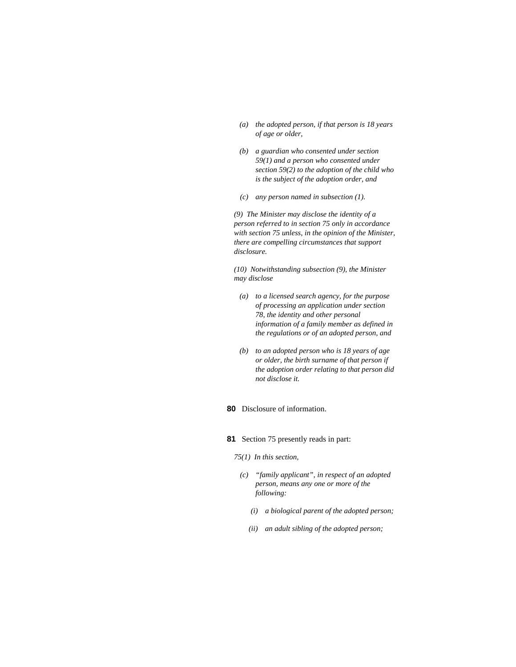- *(a) the adopted person, if that person is 18 years of age or older,*
- *(b) a guardian who consented under section 59(1) and a person who consented under section 59(2) to the adoption of the child who is the subject of the adoption order, and*
- *(c) any person named in subsection (1).*

*(9) The Minister may disclose the identity of a person referred to in section 75 only in accordance with section 75 unless, in the opinion of the Minister, there are compelling circumstances that support disclosure.* 

*(10) Notwithstanding subsection (9), the Minister may disclose* 

- *(a) to a licensed search agency, for the purpose of processing an application under section 78, the identity and other personal information of a family member as defined in the regulations or of an adopted person, and*
- *(b) to an adopted person who is 18 years of age or older, the birth surname of that person if the adoption order relating to that person did not disclose it.*

# **80** Disclosure of information.

- **81** Section 75 presently reads in part:
	- *75(1) In this section,* 
		- *(c) "family applicant", in respect of an adopted person, means any one or more of the following:* 
			- *(i) a biological parent of the adopted person;*
			- *(ii) an adult sibling of the adopted person;*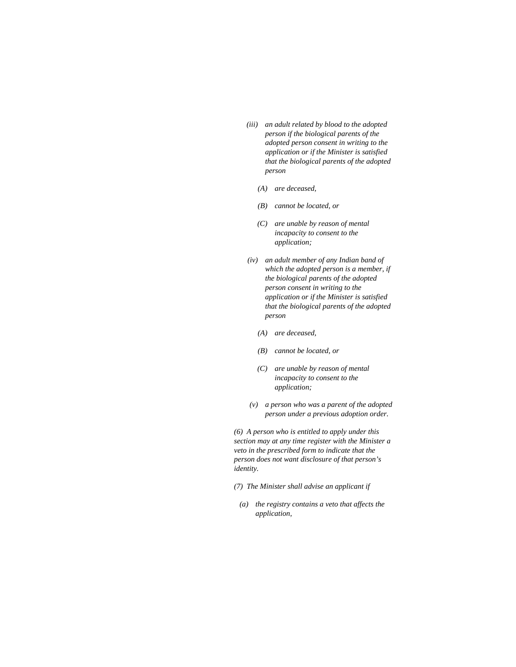- *(iii) an adult related by blood to the adopted person if the biological parents of the adopted person consent in writing to the application or if the Minister is satisfied that the biological parents of the adopted person* 
	- *(A) are deceased,*
	- *(B) cannot be located, or*
	- *(C) are unable by reason of mental incapacity to consent to the application;*
- *(iv) an adult member of any Indian band of which the adopted person is a member, if the biological parents of the adopted person consent in writing to the application or if the Minister is satisfied that the biological parents of the adopted person* 
	- *(A) are deceased,*
	- *(B) cannot be located, or*
	- *(C) are unable by reason of mental incapacity to consent to the application;*
- *(v) a person who was a parent of the adopted person under a previous adoption order.*

*(6) A person who is entitled to apply under this section may at any time register with the Minister a veto in the prescribed form to indicate that the person does not want disclosure of that person's identity.* 

- *(7) The Minister shall advise an applicant if*
- *(a) the registry contains a veto that affects the application,*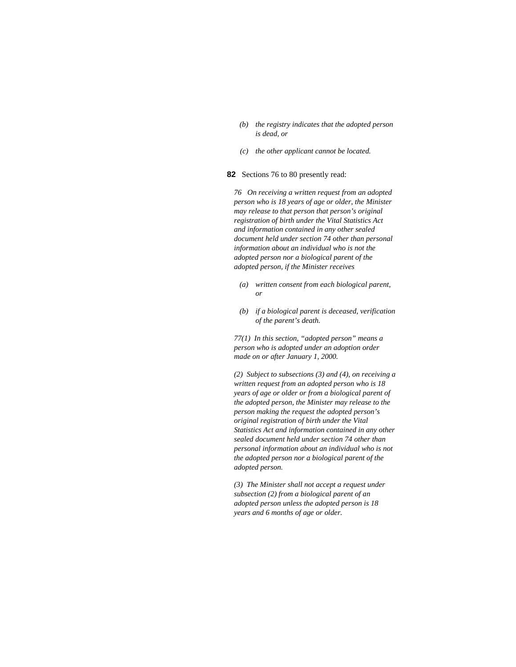- *(b) the registry indicates that the adopted person is dead, or*
- *(c) the other applicant cannot be located.*

**82** Sections 76 to 80 presently read:

*76 On receiving a written request from an adopted person who is 18 years of age or older, the Minister may release to that person that person's original registration of birth under the Vital Statistics Act and information contained in any other sealed document held under section 74 other than personal information about an individual who is not the adopted person nor a biological parent of the adopted person, if the Minister receives* 

- *(a) written consent from each biological parent, or*
- *(b) if a biological parent is deceased, verification of the parent's death.*

*77(1) In this section, "adopted person" means a person who is adopted under an adoption order made on or after January 1, 2000.* 

*(2) Subject to subsections (3) and (4), on receiving a written request from an adopted person who is 18 years of age or older or from a biological parent of the adopted person, the Minister may release to the person making the request the adopted person's original registration of birth under the Vital Statistics Act and information contained in any other sealed document held under section 74 other than personal information about an individual who is not the adopted person nor a biological parent of the adopted person.* 

*(3) The Minister shall not accept a request under subsection (2) from a biological parent of an adopted person unless the adopted person is 18 years and 6 months of age or older.*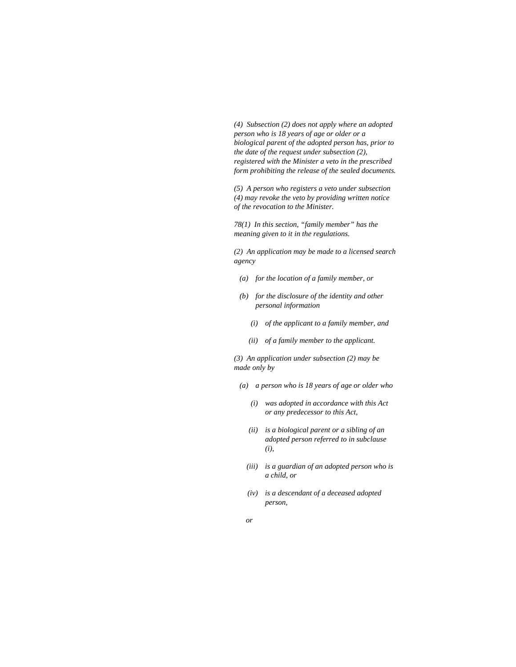*(4) Subsection (2) does not apply where an adopted person who is 18 years of age or older or a biological parent of the adopted person has, prior to the date of the request under subsection (2), registered with the Minister a veto in the prescribed form prohibiting the release of the sealed documents.* 

*(5) A person who registers a veto under subsection (4) may revoke the veto by providing written notice of the revocation to the Minister.* 

*78(1) In this section, "family member" has the meaning given to it in the regulations.* 

*(2) An application may be made to a licensed search agency* 

- *(a) for the location of a family member, or*
- *(b) for the disclosure of the identity and other personal information* 
	- *(i) of the applicant to a family member, and*
	- *(ii) of a family member to the applicant.*

*(3) An application under subsection (2) may be made only by* 

- *(a) a person who is 18 years of age or older who* 
	- *(i) was adopted in accordance with this Act or any predecessor to this Act,*
	- *(ii) is a biological parent or a sibling of an adopted person referred to in subclause (i),*
	- *(iii) is a guardian of an adopted person who is a child, or*
	- *(iv) is a descendant of a deceased adopted person,*
- *or*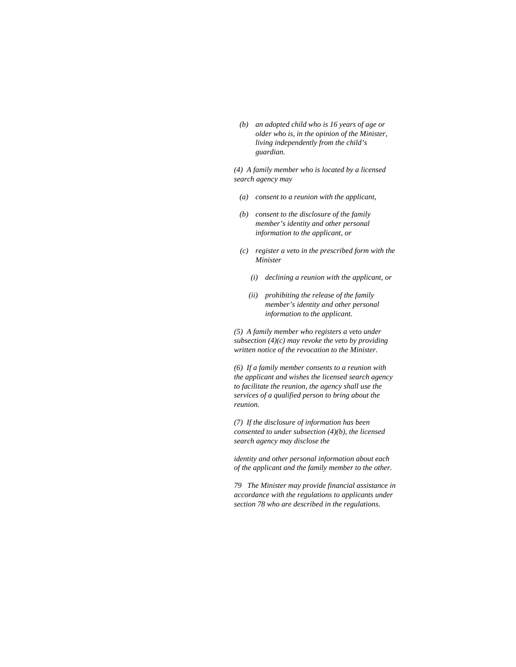*(b) an adopted child who is 16 years of age or older who is, in the opinion of the Minister, living independently from the child's guardian.* 

*(4) A family member who is located by a licensed search agency may* 

- *(a) consent to a reunion with the applicant,*
- *(b) consent to the disclosure of the family member's identity and other personal information to the applicant, or*
- *(c) register a veto in the prescribed form with the Minister* 
	- *(i) declining a reunion with the applicant, or*
	- *(ii) prohibiting the release of the family member's identity and other personal information to the applicant.*

*(5) A family member who registers a veto under subsection (4)(c) may revoke the veto by providing written notice of the revocation to the Minister.* 

*(6) If a family member consents to a reunion with the applicant and wishes the licensed search agency to facilitate the reunion, the agency shall use the services of a qualified person to bring about the reunion.* 

*(7) If the disclosure of information has been consented to under subsection (4)(b), the licensed search agency may disclose the* 

*identity and other personal information about each of the applicant and the family member to the other.* 

*79 The Minister may provide financial assistance in accordance with the regulations to applicants under section 78 who are described in the regulations.*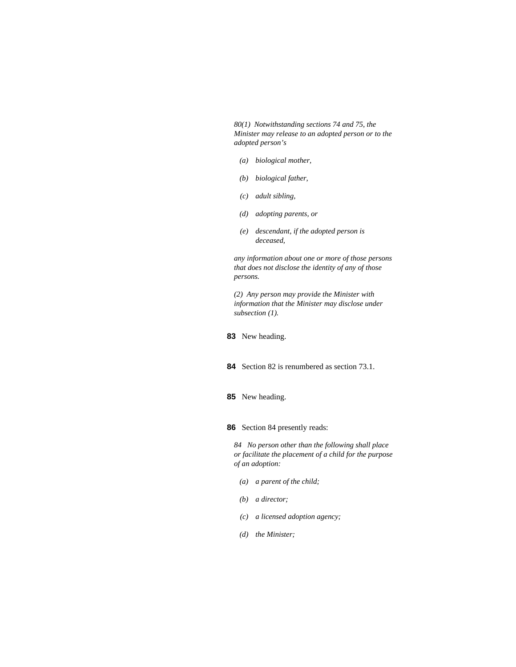*80(1) Notwithstanding sections 74 and 75, the Minister may release to an adopted person or to the adopted person's* 

- *(a) biological mother,*
- *(b) biological father,*
- *(c) adult sibling,*
- *(d) adopting parents, or*
- *(e) descendant, if the adopted person is deceased,*

*any information about one or more of those persons that does not disclose the identity of any of those persons.* 

*(2) Any person may provide the Minister with information that the Minister may disclose under subsection (1).* 

- **83** New heading.
- **84** Section 82 is renumbered as section 73.1.
- **85** New heading.
- **86** Section 84 presently reads:

*84 No person other than the following shall place or facilitate the placement of a child for the purpose of an adoption:* 

- *(a) a parent of the child;*
- *(b) a director;*
- *(c) a licensed adoption agency;*
- *(d) the Minister;*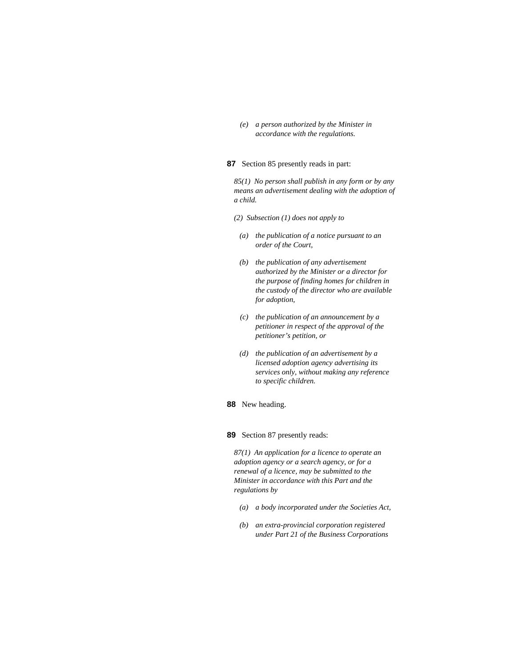*(e) a person authorized by the Minister in accordance with the regulations.* 

## **87** Section 85 presently reads in part:

*85(1) No person shall publish in any form or by any means an advertisement dealing with the adoption of a child.* 

*(2) Subsection (1) does not apply to* 

- *(a) the publication of a notice pursuant to an order of the Court,*
- *(b) the publication of any advertisement authorized by the Minister or a director for the purpose of finding homes for children in the custody of the director who are available for adoption,*
- *(c) the publication of an announcement by a petitioner in respect of the approval of the petitioner's petition, or*
- *(d) the publication of an advertisement by a licensed adoption agency advertising its services only, without making any reference to specific children.*

### **88** New heading.

## **89** Section 87 presently reads:

*87(1) An application for a licence to operate an adoption agency or a search agency, or for a renewal of a licence, may be submitted to the Minister in accordance with this Part and the regulations by* 

- *(a) a body incorporated under the Societies Act,*
- *(b) an extra-provincial corporation registered under Part 21 of the Business Corporations*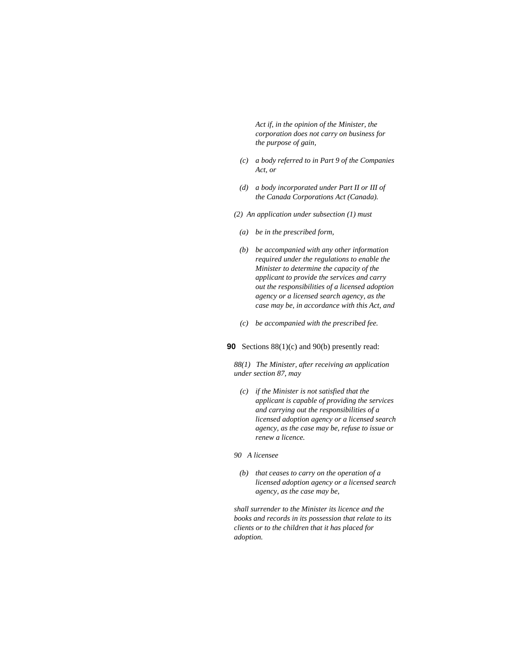*Act if, in the opinion of the Minister, the corporation does not carry on business for the purpose of gain,* 

- *(c) a body referred to in Part 9 of the Companies Act, or*
- *(d) a body incorporated under Part II or III of the Canada Corporations Act (Canada).*
- *(2) An application under subsection (1) must*
- *(a) be in the prescribed form,*
- *(b) be accompanied with any other information required under the regulations to enable the Minister to determine the capacity of the applicant to provide the services and carry out the responsibilities of a licensed adoption agency or a licensed search agency, as the case may be, in accordance with this Act, and*
- *(c) be accompanied with the prescribed fee.*

## **90** Sections 88(1)(c) and 90(b) presently read:

*88(1) The Minister, after receiving an application under section 87, may* 

 *(c) if the Minister is not satisfied that the applicant is capable of providing the services and carrying out the responsibilities of a licensed adoption agency or a licensed search agency, as the case may be, refuse to issue or renew a licence.* 

### *90 A licensee*

 *(b) that ceases to carry on the operation of a licensed adoption agency or a licensed search agency, as the case may be,* 

*shall surrender to the Minister its licence and the books and records in its possession that relate to its clients or to the children that it has placed for adoption.*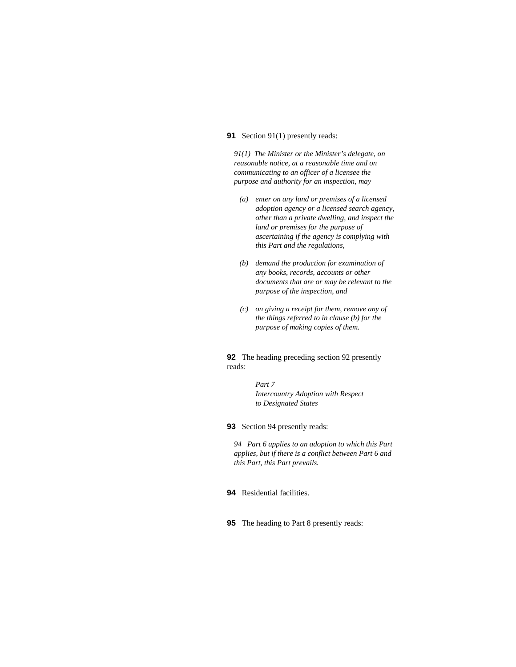## **91** Section 91(1) presently reads:

*91(1) The Minister or the Minister's delegate, on reasonable notice, at a reasonable time and on communicating to an officer of a licensee the purpose and authority for an inspection, may* 

- *(a) enter on any land or premises of a licensed adoption agency or a licensed search agency, other than a private dwelling, and inspect the land or premises for the purpose of ascertaining if the agency is complying with this Part and the regulations,*
- *(b) demand the production for examination of any books, records, accounts or other documents that are or may be relevant to the purpose of the inspection, and*
- *(c) on giving a receipt for them, remove any of the things referred to in clause (b) for the purpose of making copies of them.*

**92** The heading preceding section 92 presently reads:

> *Part 7 Intercountry Adoption with Respect to Designated States*

**93** Section 94 presently reads:

*94 Part 6 applies to an adoption to which this Part applies, but if there is a conflict between Part 6 and this Part, this Part prevails.* 

**94** Residential facilities.

**95** The heading to Part 8 presently reads: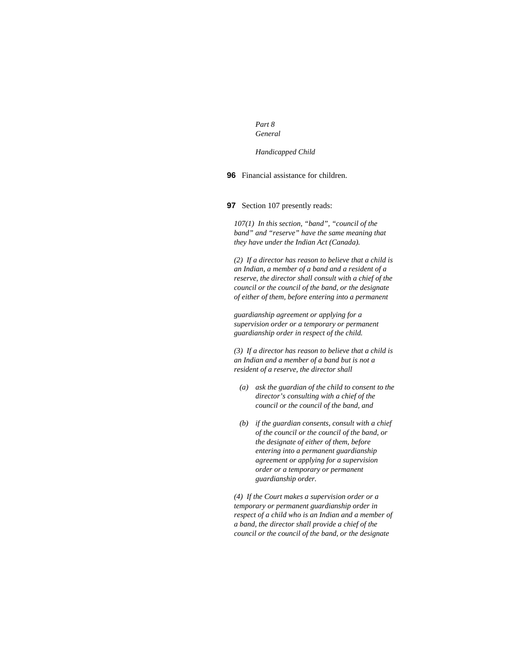*Part 8 General* 

*Handicapped Child* 

**96** Financial assistance for children.

**97** Section 107 presently reads:

*107(1) In this section, "band", "council of the band" and "reserve" have the same meaning that they have under the Indian Act (Canada).* 

*(2) If a director has reason to believe that a child is an Indian, a member of a band and a resident of a reserve, the director shall consult with a chief of the council or the council of the band, or the designate of either of them, before entering into a permanent* 

*guardianship agreement or applying for a supervision order or a temporary or permanent guardianship order in respect of the child.* 

*(3) If a director has reason to believe that a child is an Indian and a member of a band but is not a resident of a reserve, the director shall* 

- *(a) ask the guardian of the child to consent to the director's consulting with a chief of the council or the council of the band, and*
- *(b) if the guardian consents, consult with a chief of the council or the council of the band, or the designate of either of them, before entering into a permanent guardianship agreement or applying for a supervision order or a temporary or permanent guardianship order.*

*(4) If the Court makes a supervision order or a temporary or permanent guardianship order in respect of a child who is an Indian and a member of a band, the director shall provide a chief of the council or the council of the band, or the designate*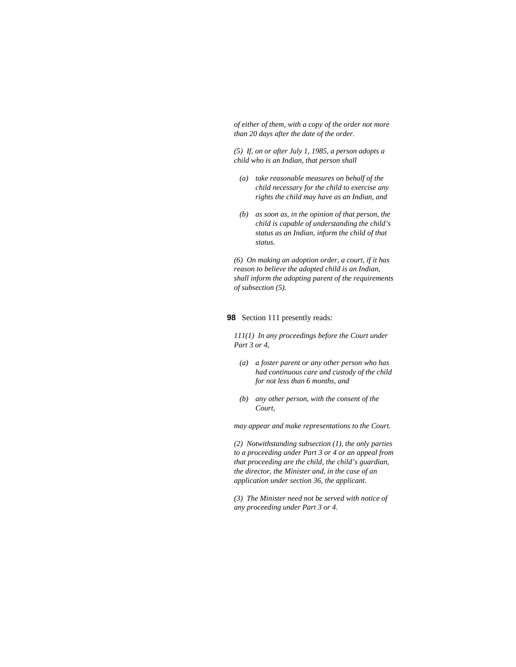*of either of them, with a copy of the order not more than 20 days after the date of the order.* 

*(5) If, on or after July 1, 1985, a person adopts a child who is an Indian, that person shall* 

- *(a) take reasonable measures on behalf of the child necessary for the child to exercise any rights the child may have as an Indian, and*
- *(b) as soon as, in the opinion of that person, the child is capable of understanding the child's status as an Indian, inform the child of that status.*

*(6) On making an adoption order, a court, if it has reason to believe the adopted child is an Indian, shall inform the adopting parent of the requirements of subsection (5).* 

### **98** Section 111 presently reads:

*111(1) In any proceedings before the Court under Part 3 or 4,* 

- *(a) a foster parent or any other person who has had continuous care and custody of the child for not less than 6 months, and*
- *(b) any other person, with the consent of the Court,*

*may appear and make representations to the Court.* 

*(2) Notwithstanding subsection (1), the only parties to a proceeding under Part 3 or 4 or an appeal from that proceeding are the child, the child's guardian, the director, the Minister and, in the case of an application under section 36, the applicant.* 

*(3) The Minister need not be served with notice of any proceeding under Part 3 or 4.*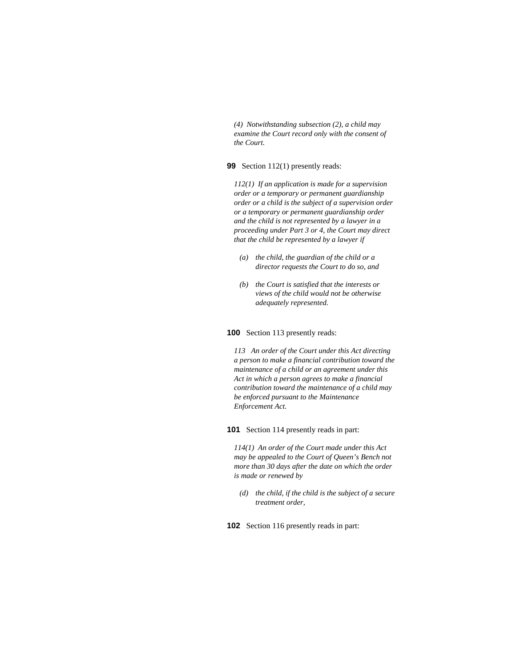*(4) Notwithstanding subsection (2), a child may examine the Court record only with the consent of the Court.* 

## **99** Section 112(1) presently reads:

*112(1) If an application is made for a supervision order or a temporary or permanent guardianship order or a child is the subject of a supervision order or a temporary or permanent guardianship order and the child is not represented by a lawyer in a proceeding under Part 3 or 4, the Court may direct that the child be represented by a lawyer if* 

- *(a) the child, the guardian of the child or a director requests the Court to do so, and*
- *(b) the Court is satisfied that the interests or views of the child would not be otherwise adequately represented.*

### **100** Section 113 presently reads:

*113 An order of the Court under this Act directing a person to make a financial contribution toward the maintenance of a child or an agreement under this Act in which a person agrees to make a financial contribution toward the maintenance of a child may be enforced pursuant to the Maintenance Enforcement Act.* 

# **101** Section 114 presently reads in part:

*114(1) An order of the Court made under this Act may be appealed to the Court of Queen's Bench not more than 30 days after the date on which the order is made or renewed by* 

 *(d) the child, if the child is the subject of a secure treatment order,* 

**102** Section 116 presently reads in part: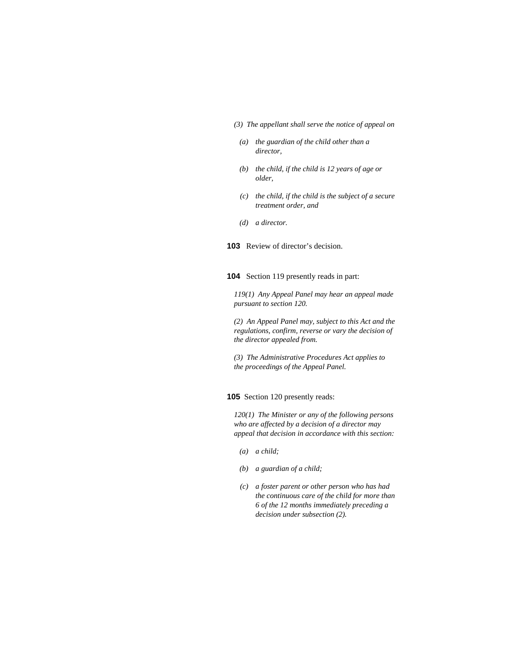- *(3) The appellant shall serve the notice of appeal on*
- *(a) the guardian of the child other than a director,*
- *(b) the child, if the child is 12 years of age or older,*
- *(c) the child, if the child is the subject of a secure treatment order, and*
- *(d) a director.*
- **103** Review of director's decision.
- **104** Section 119 presently reads in part:

*119(1) Any Appeal Panel may hear an appeal made pursuant to section 120.* 

*(2) An Appeal Panel may, subject to this Act and the regulations, confirm, reverse or vary the decision of the director appealed from.* 

*(3) The Administrative Procedures Act applies to the proceedings of the Appeal Panel.* 

**105** Section 120 presently reads:

*120(1) The Minister or any of the following persons who are affected by a decision of a director may appeal that decision in accordance with this section:* 

- *(a) a child;*
- *(b) a guardian of a child;*
- *(c) a foster parent or other person who has had the continuous care of the child for more than 6 of the 12 months immediately preceding a decision under subsection (2).*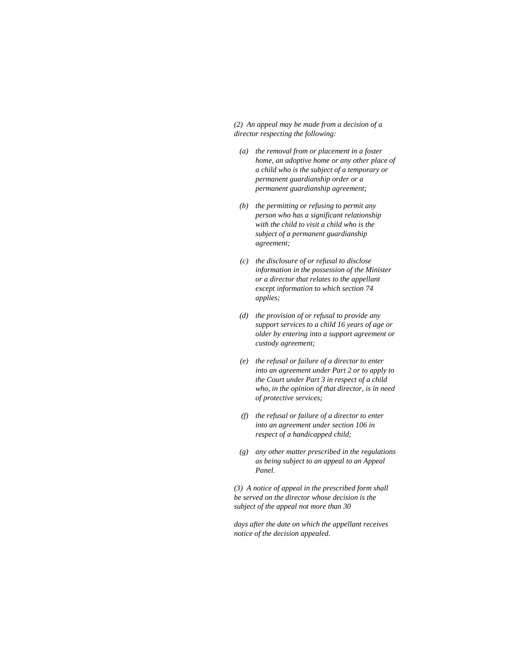*(2) An appeal may be made from a decision of a director respecting the following:* 

- *(a) the removal from or placement in a foster home, an adoptive home or any other place of a child who is the subject of a temporary or permanent guardianship order or a permanent guardianship agreement;*
- *(b) the permitting or refusing to permit any person who has a significant relationship with the child to visit a child who is the subject of a permanent guardianship agreement;*
- *(c) the disclosure of or refusal to disclose information in the possession of the Minister or a director that relates to the appellant except information to which section 74 applies;*
- *(d) the provision of or refusal to provide any support services to a child 16 years of age or older by entering into a support agreement or custody agreement;*
- *(e) the refusal or failure of a director to enter into an agreement under Part 2 or to apply to the Court under Part 3 in respect of a child who, in the opinion of that director, is in need of protective services;*
- *(f) the refusal or failure of a director to enter into an agreement under section 106 in respect of a handicapped child;*
- *(g) any other matter prescribed in the regulations as being subject to an appeal to an Appeal Panel.*

*(3) A notice of appeal in the prescribed form shall be served on the director whose decision is the subject of the appeal not more than 30* 

*days after the date on which the appellant receives notice of the decision appealed.*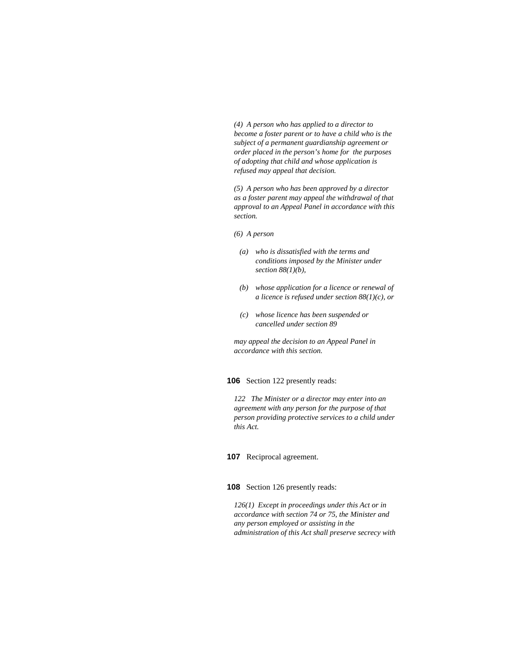*(4) A person who has applied to a director to become a foster parent or to have a child who is the subject of a permanent guardianship agreement or order placed in the person's home for the purposes of adopting that child and whose application is refused may appeal that decision.* 

*(5) A person who has been approved by a director as a foster parent may appeal the withdrawal of that approval to an Appeal Panel in accordance with this section.* 

### *(6) A person*

- *(a) who is dissatisfied with the terms and conditions imposed by the Minister under section 88(1)(b),*
- *(b) whose application for a licence or renewal of a licence is refused under section 88(1)(c), or*
- *(c) whose licence has been suspended or cancelled under section 89*

*may appeal the decision to an Appeal Panel in accordance with this section.* 

# **106** Section 122 presently reads:

*122 The Minister or a director may enter into an agreement with any person for the purpose of that person providing protective services to a child under this Act.* 

## **107** Reciprocal agreement.

### **108** Section 126 presently reads:

*126(1) Except in proceedings under this Act or in accordance with section 74 or 75, the Minister and any person employed or assisting in the administration of this Act shall preserve secrecy with*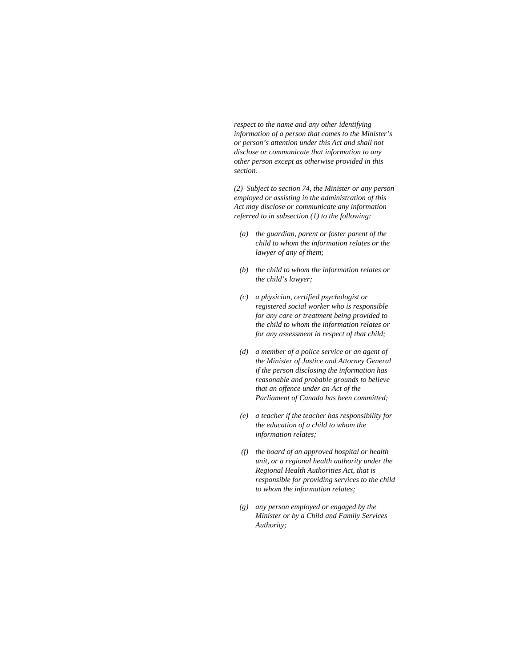*respect to the name and any other identifying information of a person that comes to the Minister's or person's attention under this Act and shall not disclose or communicate that information to any other person except as otherwise provided in this section.* 

*(2) Subject to section 74, the Minister or any person employed or assisting in the administration of this Act may disclose or communicate any information referred to in subsection (1) to the following:* 

- *(a) the guardian, parent or foster parent of the child to whom the information relates or the lawyer of any of them;*
- *(b) the child to whom the information relates or the child's lawyer;*
- *(c) a physician, certified psychologist or registered social worker who is responsible for any care or treatment being provided to the child to whom the information relates or for any assessment in respect of that child;*
- *(d) a member of a police service or an agent of the Minister of Justice and Attorney General if the person disclosing the information has reasonable and probable grounds to believe that an offence under an Act of the Parliament of Canada has been committed;*
- *(e) a teacher if the teacher has responsibility for the education of a child to whom the information relates;*
- *(f) the board of an approved hospital or health unit, or a regional health authority under the Regional Health Authorities Act, that is responsible for providing services to the child to whom the information relates;*
- *(g) any person employed or engaged by the Minister or by a Child and Family Services Authority;*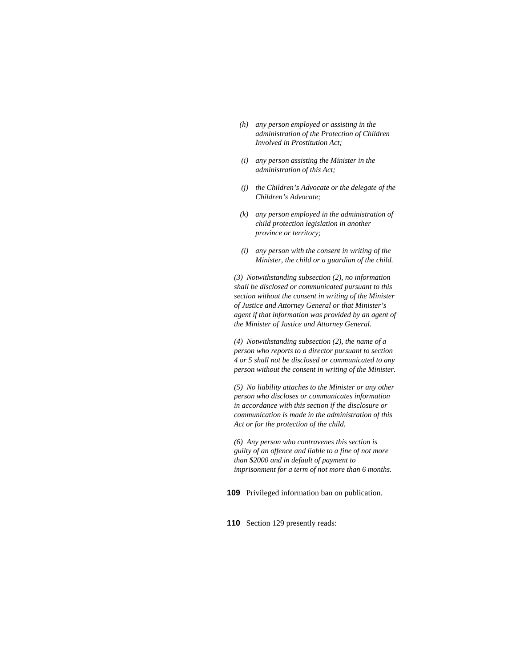- *(h) any person employed or assisting in the administration of the Protection of Children Involved in Prostitution Act;*
- *(i) any person assisting the Minister in the administration of this Act;*
- *(j) the Children's Advocate or the delegate of the Children's Advocate;*
- *(k) any person employed in the administration of child protection legislation in another province or territory;*
- *(l) any person with the consent in writing of the Minister, the child or a guardian of the child.*

*(3) Notwithstanding subsection (2), no information shall be disclosed or communicated pursuant to this section without the consent in writing of the Minister of Justice and Attorney General or that Minister's agent if that information was provided by an agent of the Minister of Justice and Attorney General.* 

*(4) Notwithstanding subsection (2), the name of a person who reports to a director pursuant to section 4 or 5 shall not be disclosed or communicated to any person without the consent in writing of the Minister.* 

*(5) No liability attaches to the Minister or any other person who discloses or communicates information in accordance with this section if the disclosure or communication is made in the administration of this Act or for the protection of the child.* 

*(6) Any person who contravenes this section is guilty of an offence and liable to a fine of not more than \$2000 and in default of payment to imprisonment for a term of not more than 6 months.* 

**109** Privileged information ban on publication.

**110** Section 129 presently reads: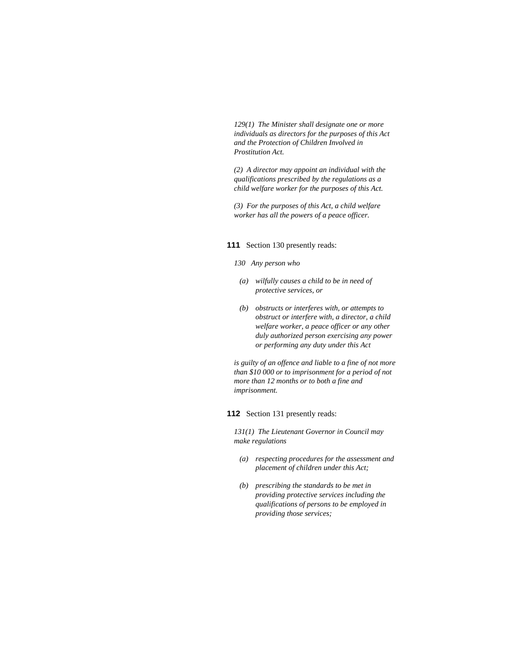*129(1) The Minister shall designate one or more individuals as directors for the purposes of this Act and the Protection of Children Involved in Prostitution Act.* 

*(2) A director may appoint an individual with the qualifications prescribed by the regulations as a child welfare worker for the purposes of this Act.* 

*(3) For the purposes of this Act, a child welfare worker has all the powers of a peace officer.* 

# **111** Section 130 presently reads:

## *130 Any person who*

- *(a) wilfully causes a child to be in need of protective services, or*
- *(b) obstructs or interferes with, or attempts to obstruct or interfere with, a director, a child welfare worker, a peace officer or any other duly authorized person exercising any power or performing any duty under this Act*

*is guilty of an offence and liable to a fine of not more than \$10 000 or to imprisonment for a period of not more than 12 months or to both a fine and imprisonment.* 

## **112** Section 131 presently reads:

*131(1) The Lieutenant Governor in Council may make regulations* 

- *(a) respecting procedures for the assessment and placement of children under this Act;*
- *(b) prescribing the standards to be met in providing protective services including the qualifications of persons to be employed in providing those services;*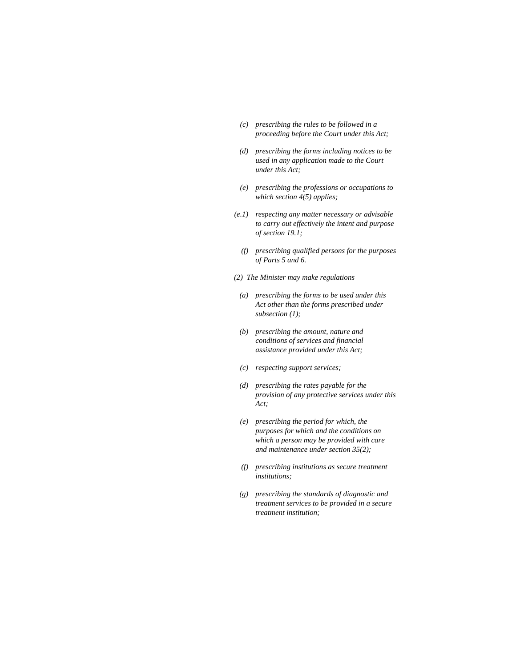- *(c) prescribing the rules to be followed in a proceeding before the Court under this Act;*
- *(d) prescribing the forms including notices to be used in any application made to the Court under this Act;*
- *(e) prescribing the professions or occupations to which section 4(5) applies;*
- *(e.1) respecting any matter necessary or advisable to carry out effectively the intent and purpose of section 19.1;* 
	- *(f) prescribing qualified persons for the purposes of Parts 5 and 6.*
- *(2) The Minister may make regulations*
- *(a) prescribing the forms to be used under this Act other than the forms prescribed under subsection (1);*
- *(b) prescribing the amount, nature and conditions of services and financial assistance provided under this Act;*
- *(c) respecting support services;*
- *(d) prescribing the rates payable for the provision of any protective services under this Act;*
- *(e) prescribing the period for which, the purposes for which and the conditions on which a person may be provided with care and maintenance under section 35(2);*
- *(f) prescribing institutions as secure treatment institutions;*
- *(g) prescribing the standards of diagnostic and treatment services to be provided in a secure treatment institution;*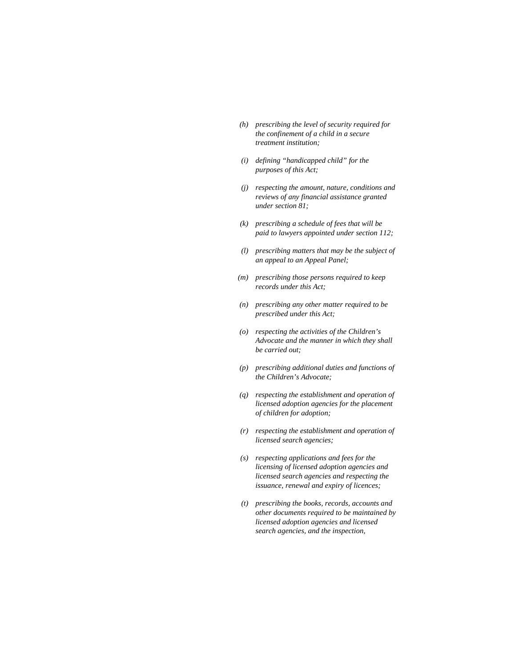- *(h) prescribing the level of security required for the confinement of a child in a secure treatment institution;*
- *(i) defining "handicapped child" for the purposes of this Act;*
- *(j) respecting the amount, nature, conditions and reviews of any financial assistance granted under section 81;*
- *(k) prescribing a schedule of fees that will be paid to lawyers appointed under section 112;*
- *(l) prescribing matters that may be the subject of an appeal to an Appeal Panel;*
- *(m) prescribing those persons required to keep records under this Act;*
- *(n) prescribing any other matter required to be prescribed under this Act;*
- *(o) respecting the activities of the Children's Advocate and the manner in which they shall be carried out;*
- *(p) prescribing additional duties and functions of the Children's Advocate;*
- *(q) respecting the establishment and operation of licensed adoption agencies for the placement of children for adoption;*
- *(r) respecting the establishment and operation of licensed search agencies;*
- *(s) respecting applications and fees for the licensing of licensed adoption agencies and licensed search agencies and respecting the issuance, renewal and expiry of licences;*
- *(t) prescribing the books, records, accounts and other documents required to be maintained by licensed adoption agencies and licensed search agencies, and the inspection,*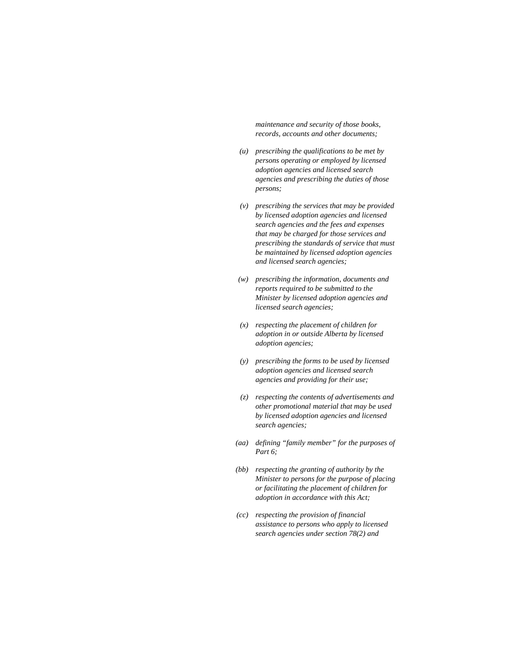*maintenance and security of those books, records, accounts and other documents;* 

- *(u) prescribing the qualifications to be met by persons operating or employed by licensed adoption agencies and licensed search agencies and prescribing the duties of those persons;*
- *(v) prescribing the services that may be provided by licensed adoption agencies and licensed search agencies and the fees and expenses that may be charged for those services and prescribing the standards of service that must be maintained by licensed adoption agencies and licensed search agencies;*
- *(w) prescribing the information, documents and reports required to be submitted to the Minister by licensed adoption agencies and licensed search agencies;*
- *(x) respecting the placement of children for adoption in or outside Alberta by licensed adoption agencies;*
- *(y) prescribing the forms to be used by licensed adoption agencies and licensed search agencies and providing for their use;*
- *(z) respecting the contents of advertisements and other promotional material that may be used by licensed adoption agencies and licensed search agencies;*
- *(aa) defining "family member" for the purposes of Part 6;*
- *(bb) respecting the granting of authority by the Minister to persons for the purpose of placing or facilitating the placement of children for adoption in accordance with this Act;*
- *(cc) respecting the provision of financial assistance to persons who apply to licensed search agencies under section 78(2) and*